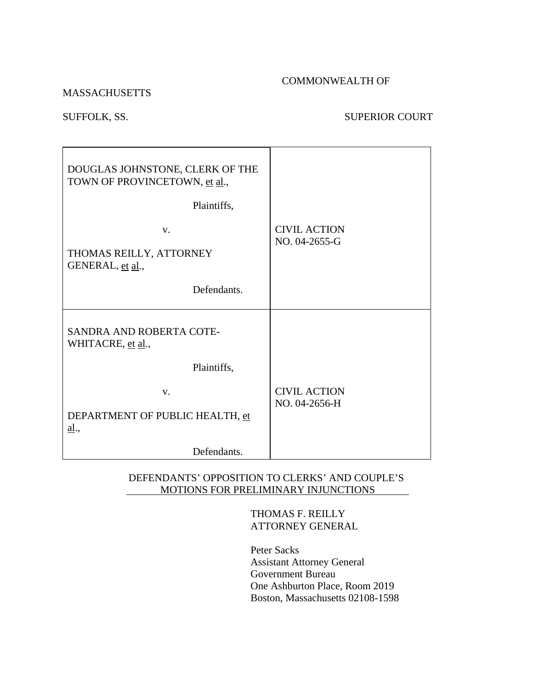#### COMMONWEALTH OF

#### MASSACHUSETTS

# SUFFOLK, SS. SUPERIOR COURT

| DOUGLAS JOHNSTONE, CLERK OF THE<br>TOWN OF PROVINCETOWN, et al.,<br>Plaintiffs, |                                      |
|---------------------------------------------------------------------------------|--------------------------------------|
| V.<br>THOMAS REILLY, ATTORNEY<br>GENERAL, et al.,                               | <b>CIVIL ACTION</b><br>NO. 04-2655-G |
| Defendants.                                                                     |                                      |
| SANDRA AND ROBERTA COTE-<br>WHITACRE, et al.,                                   |                                      |
| Plaintiffs,                                                                     |                                      |
| $V_{\cdot}$<br>DEPARTMENT OF PUBLIC HEALTH, et<br>al.,                          | <b>CIVIL ACTION</b><br>NO. 04-2656-H |
| Defendants.                                                                     |                                      |

### DEFENDANTS' OPPOSITION TO CLERKS' AND COUPLE'S MOTIONS FOR PRELIMINARY INJUNCTIONS

### THOMAS F. REILLY ATTORNEY GENERAL

 Peter Sacks Assistant Attorney General Government Bureau One Ashburton Place, Room 2019 Boston, Massachusetts 02108-1598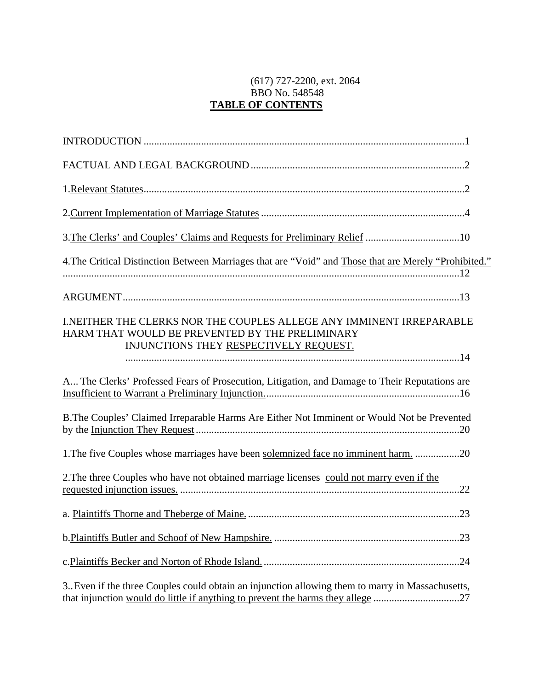# (617) 727-2200, ext. 2064 BBO No. 548548 **TABLE OF CONTENTS**

| 4. The Critical Distinction Between Marriages that are "Void" and Those that are Merely "Prohibited."                                                                               |
|-------------------------------------------------------------------------------------------------------------------------------------------------------------------------------------|
|                                                                                                                                                                                     |
| <b>I.NEITHER THE CLERKS NOR THE COUPLES ALLEGE ANY IMMINENT IRREPARABLE</b><br>HARM THAT WOULD BE PREVENTED BY THE PRELIMINARY<br>INJUNCTIONS THEY RESPECTIVELY REQUEST.            |
| A The Clerks' Professed Fears of Prosecution, Litigation, and Damage to Their Reputations are                                                                                       |
| B. The Couples' Claimed Irreparable Harms Are Either Not Imminent or Would Not be Prevented                                                                                         |
| 1. The five Couples whose marriages have been solemnized face no imminent harm. 20                                                                                                  |
| 2. The three Couples who have not obtained marriage licenses could not marry even if the                                                                                            |
|                                                                                                                                                                                     |
|                                                                                                                                                                                     |
|                                                                                                                                                                                     |
| 3. Even if the three Couples could obtain an injunction allowing them to marry in Massachusetts,<br>that injunction would do little if anything to prevent the harms they allege 27 |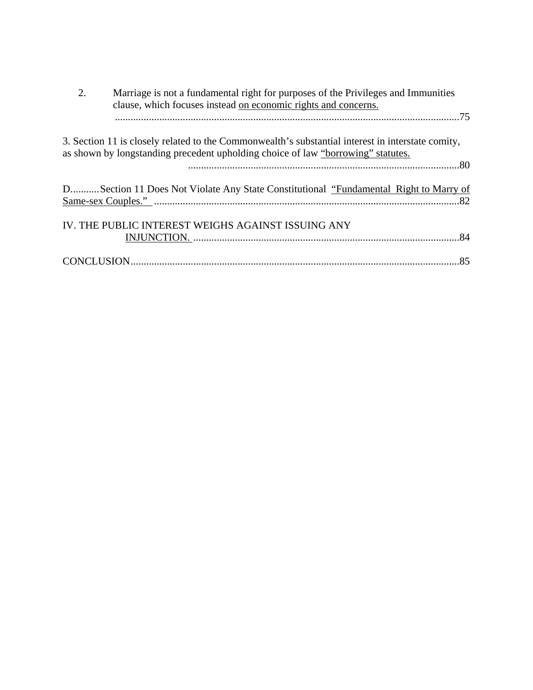| 2. | Marriage is not a fundamental right for purposes of the Privileges and Immunities<br>clause, which focuses instead on economic rights and concerns.                                   |
|----|---------------------------------------------------------------------------------------------------------------------------------------------------------------------------------------|
|    |                                                                                                                                                                                       |
|    | 3. Section 11 is closely related to the Commonwealth's substantial interest in interstate comity,<br>as shown by longstanding precedent upholding choice of law "borrowing" statutes. |
|    | DSection 11 Does Not Violate Any State Constitutional "Fundamental Right to Marry of                                                                                                  |
|    | IV. THE PUBLIC INTEREST WEIGHS AGAINST ISSUING ANY                                                                                                                                    |
|    |                                                                                                                                                                                       |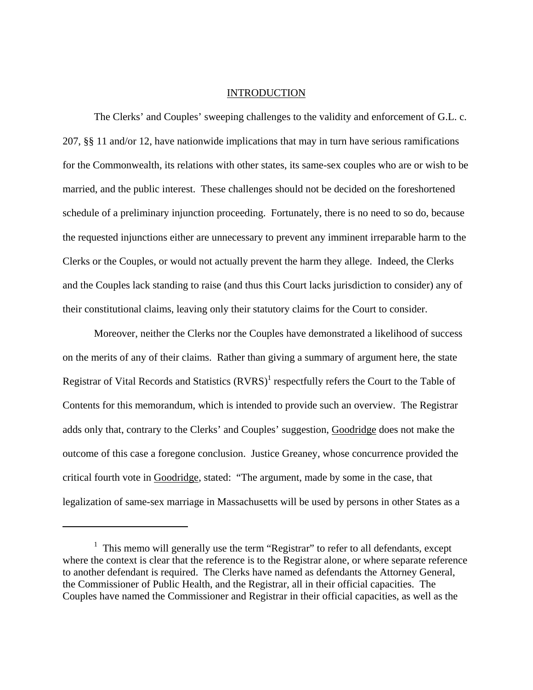#### INTRODUCTION

<span id="page-4-0"></span> The Clerks' and Couples' sweeping challenges to the validity and enforcement of G.L. c. 207, §§ 11 and/or 12, have nationwide implications that may in turn have serious ramifications for the Commonwealth, its relations with other states, its same-sex couples who are or wish to be married, and the public interest. These challenges should not be decided on the foreshortened schedule of a preliminary injunction proceeding. Fortunately, there is no need to so do, because the requested injunctions either are unnecessary to prevent any imminent irreparable harm to the Clerks or the Couples, or would not actually prevent the harm they allege. Indeed, the Clerks and the Couples lack standing to raise (and thus this Court lacks jurisdiction to consider) any of their constitutional claims, leaving only their statutory claims for the Court to consider.

 Moreover, neither the Clerks nor the Couples have demonstrated a likelihood of success on the merits of any of their claims. Rather than giving a summary of argument here, the state Registrar of Vital Records and Statistics  $(RVRS)^1$  $(RVRS)^1$  respectfully refers the Court to the Table of Contents for this memorandum, which is intended to provide such an overview. The Registrar adds only that, contrary to the Clerks' and Couples' suggestion, Goodridge does not make the outcome of this case a foregone conclusion. Justice Greaney, whose concurrence provided the critical fourth vote in Goodridge, stated: "The argument, made by some in the case, that legalization of same-sex marriage in Massachusetts will be used by persons in other States as a

<sup>&</sup>lt;sup>1</sup> This memo will generally use the term "Registrar" to refer to all defendants, except where the context is clear that the reference is to the Registrar alone, or where separate reference to another defendant is required. The Clerks have named as defendants the Attorney General, the Commissioner of Public Health, and the Registrar, all in their official capacities. The Couples have named the Commissioner and Registrar in their official capacities, as well as the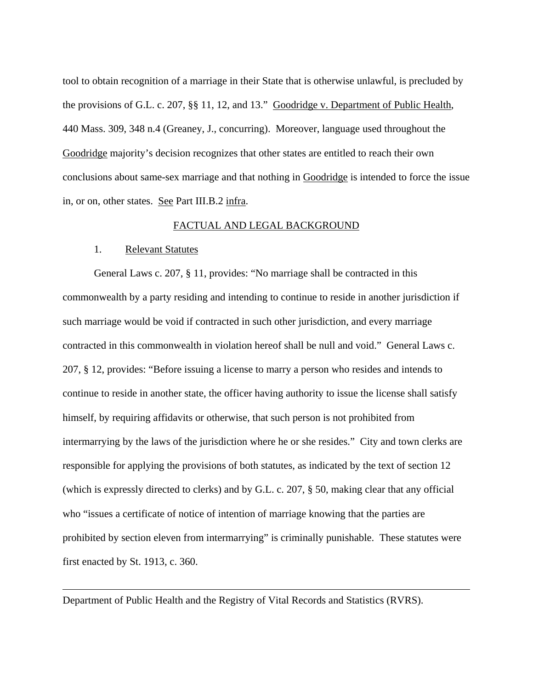tool to obtain recognition of a marriage in their State that is otherwise unlawful, is precluded by the provisions of G.L. c. 207, §§ 11, 12, and 13." Goodridge v. Department of Public Health, 440 Mass. 309, 348 n.4 (Greaney, J., concurring). Moreover, language used throughout the Goodridge majority's decision recognizes that other states are entitled to reach their own conclusions about same-sex marriage and that nothing in Goodridge is intended to force the issue in, or on, other states. See Part III.B.2 infra.

#### FACTUAL AND LEGAL BACKGROUND

#### 1. Relevant Statutes

 $\overline{a}$ 

 General Laws c. 207, § 11, provides: "No marriage shall be contracted in this commonwealth by a party residing and intending to continue to reside in another jurisdiction if such marriage would be void if contracted in such other jurisdiction, and every marriage contracted in this commonwealth in violation hereof shall be null and void." General Laws c. 207, § 12, provides: "Before issuing a license to marry a person who resides and intends to continue to reside in another state, the officer having authority to issue the license shall satisfy himself, by requiring affidavits or otherwise, that such person is not prohibited from intermarrying by the laws of the jurisdiction where he or she resides." City and town clerks are responsible for applying the provisions of both statutes, as indicated by the text of section 12 (which is expressly directed to clerks) and by G.L. c. 207, § 50, making clear that any official who "issues a certificate of notice of intention of marriage knowing that the parties are prohibited by section eleven from intermarrying" is criminally punishable. These statutes were first enacted by St. 1913, c. 360.

Department of Public Health and the Registry of Vital Records and Statistics (RVRS).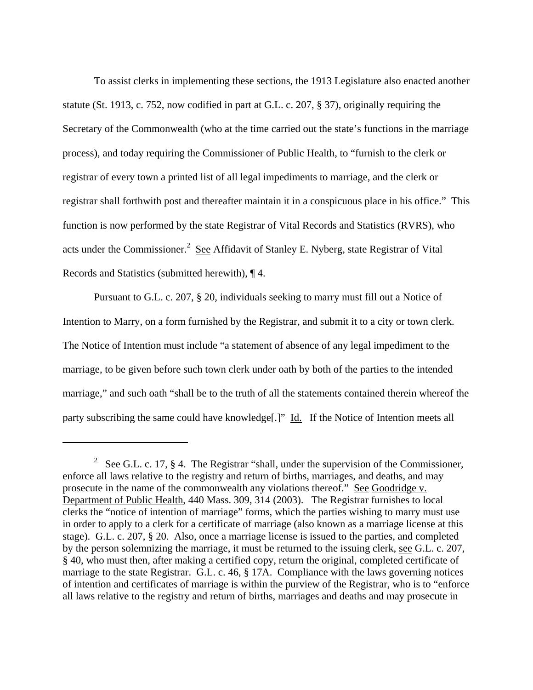<span id="page-6-0"></span> To assist clerks in implementing these sections, the 1913 Legislature also enacted another statute (St. 1913, c. 752, now codified in part at G.L. c. 207, § 37), originally requiring the Secretary of the Commonwealth (who at the time carried out the state's functions in the marriage process), and today requiring the Commissioner of Public Health, to "furnish to the clerk or registrar of every town a printed list of all legal impediments to marriage, and the clerk or registrar shall forthwith post and thereafter maintain it in a conspicuous place in his office." This function is now performed by the state Registrar of Vital Records and Statistics (RVRS), who acts under the Commissioner.<sup>[2](#page-6-0)</sup> See Affidavit of Stanley E. Nyberg, state Registrar of Vital Records and Statistics (submitted herewith), ¶ 4.

 Pursuant to G.L. c. 207, § 20, individuals seeking to marry must fill out a Notice of Intention to Marry, on a form furnished by the Registrar, and submit it to a city or town clerk. The Notice of Intention must include "a statement of absence of any legal impediment to the marriage, to be given before such town clerk under oath by both of the parties to the intended marriage," and such oath "shall be to the truth of all the statements contained therein whereof the party subscribing the same could have knowledge[.]" Id. If the Notice of Intention meets all

 $2 \text{ See } G.L. \text{ c. } 17, \text{ § } 4. \text{ The Register's hall, under the supervision of the Commissioner, }$ enforce all laws relative to the registry and return of births, marriages, and deaths, and may prosecute in the name of the commonwealth any violations thereof." See Goodridge v. Department of Public Health, 440 Mass. 309, 314 (2003). The Registrar furnishes to local clerks the "notice of intention of marriage" forms, which the parties wishing to marry must use in order to apply to a clerk for a certificate of marriage (also known as a marriage license at this stage). G.L. c. 207, § 20. Also, once a marriage license is issued to the parties, and completed by the person solemnizing the marriage, it must be returned to the issuing clerk, see G.L. c. 207, § 40, who must then, after making a certified copy, return the original, completed certificate of marriage to the state Registrar. G.L. c. 46, § 17A. Compliance with the laws governing notices of intention and certificates of marriage is within the purview of the Registrar, who is to "enforce all laws relative to the registry and return of births, marriages and deaths and may prosecute in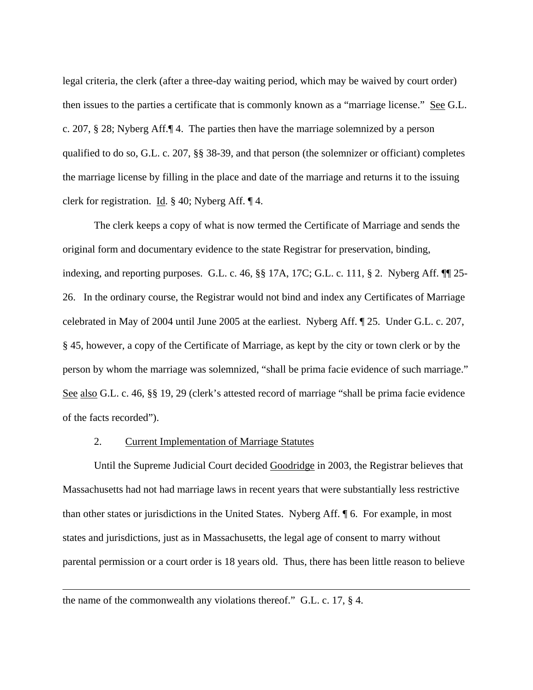legal criteria, the clerk (after a three-day waiting period, which may be waived by court order) then issues to the parties a certificate that is commonly known as a "marriage license." See G.L. c. 207, § 28; Nyberg Aff.¶ 4. The parties then have the marriage solemnized by a person qualified to do so, G.L. c. 207, §§ 38-39, and that person (the solemnizer or officiant) completes the marriage license by filling in the place and date of the marriage and returns it to the issuing clerk for registration. Id. § 40; Nyberg Aff. ¶ 4.

 The clerk keeps a copy of what is now termed the Certificate of Marriage and sends the original form and documentary evidence to the state Registrar for preservation, binding, indexing, and reporting purposes. G.L. c. 46, §§ 17A, 17C; G.L. c. 111, § 2. Nyberg Aff. ¶¶ 25- 26. In the ordinary course, the Registrar would not bind and index any Certificates of Marriage celebrated in May of 2004 until June 2005 at the earliest. Nyberg Aff. ¶ 25. Under G.L. c. 207, § 45, however, a copy of the Certificate of Marriage, as kept by the city or town clerk or by the person by whom the marriage was solemnized, "shall be prima facie evidence of such marriage." See also G.L. c. 46, §§ 19, 29 (clerk's attested record of marriage "shall be prima facie evidence of the facts recorded").

#### 2. Current Implementation of Marriage Statutes

 Until the Supreme Judicial Court decided Goodridge in 2003, the Registrar believes that Massachusetts had not had marriage laws in recent years that were substantially less restrictive than other states or jurisdictions in the United States. Nyberg Aff. ¶ 6. For example, in most states and jurisdictions, just as in Massachusetts, the legal age of consent to marry without parental permission or a court order is 18 years old. Thus, there has been little reason to believe

the name of the commonwealth any violations thereof." G.L. c. 17, § 4.

<u>.</u>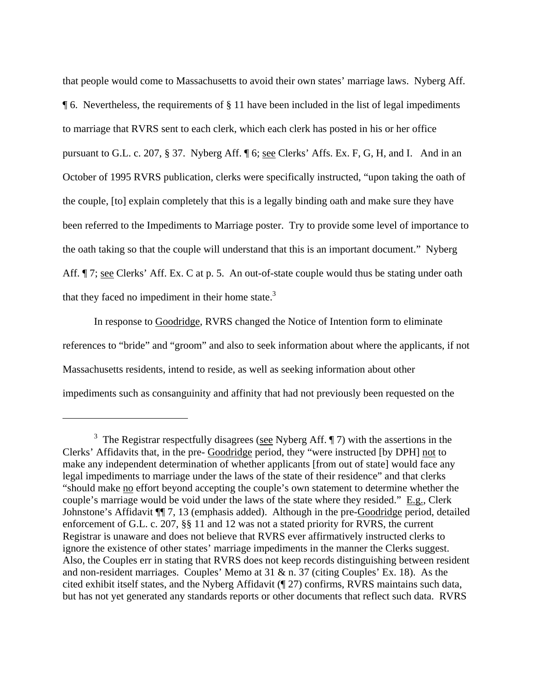<span id="page-8-0"></span>that people would come to Massachusetts to avoid their own states' marriage laws. Nyberg Aff. ¶ 6. Nevertheless, the requirements of § 11 have been included in the list of legal impediments to marriage that RVRS sent to each clerk, which each clerk has posted in his or her office pursuant to G.L. c. 207, § 37. Nyberg Aff. ¶ 6; see Clerks' Affs. Ex. F, G, H, and I. And in an October of 1995 RVRS publication, clerks were specifically instructed, "upon taking the oath of the couple, [to] explain completely that this is a legally binding oath and make sure they have been referred to the Impediments to Marriage poster. Try to provide some level of importance to the oath taking so that the couple will understand that this is an important document." Nyberg Aff.  $\P$ 7; see Clerks' Aff. Ex. C at p. 5. An out-of-state couple would thus be stating under oath that they faced no impediment in their home state.<sup>3</sup>

 In response to Goodridge, RVRS changed the Notice of Intention form to eliminate references to "bride" and "groom" and also to seek information about where the applicants, if not Massachusetts residents, intend to reside, as well as seeking information about other impediments such as consanguinity and affinity that had not previously been requested on the

<sup>&</sup>lt;sup>3</sup> The Registrar respectfully disagrees (see Nyberg Aff.  $\P$  7) with the assertions in the Clerks' Affidavits that, in the pre- Goodridge period, they "were instructed [by DPH] not to make any independent determination of whether applicants [from out of state] would face any legal impediments to marriage under the laws of the state of their residence" and that clerks "should make no effort beyond accepting the couple's own statement to determine whether the couple's marriage would be void under the laws of the state where they resided." E.g., Clerk Johnstone's Affidavit  $\P$  7, 13 (emphasis added). Although in the pre-Goodridge period, detailed enforcement of G.L. c. 207, §§ 11 and 12 was not a stated priority for RVRS, the current Registrar is unaware and does not believe that RVRS ever affirmatively instructed clerks to ignore the existence of other states' marriage impediments in the manner the Clerks suggest. Also, the Couples err in stating that RVRS does not keep records distinguishing between resident and non-resident marriages. Couples' Memo at 31 & n. 37 (citing Couples' Ex. 18). As the cited exhibit itself states, and the Nyberg Affidavit (¶ 27) confirms, RVRS maintains such data, but has not yet generated any standards reports or other documents that reflect such data. RVRS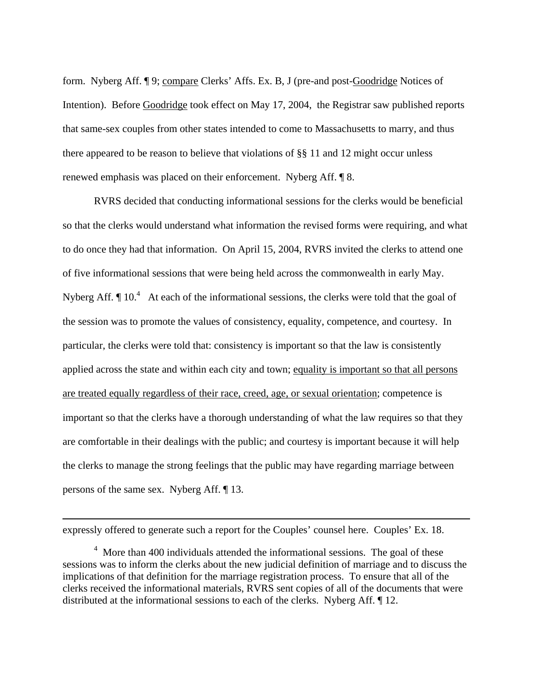form. Nyberg Aff. ¶ 9; compare Clerks' Affs. Ex. B, J (pre-and post-Goodridge Notices of Intention). Before Goodridge took effect on May 17, 2004, the Registrar saw published reports that same-sex couples from other states intended to come to Massachusetts to marry, and thus there appeared to be reason to believe that violations of §§ 11 and 12 might occur unless renewed emphasis was placed on their enforcement. Nyberg Aff. ¶ 8.

 RVRS decided that conducting informational sessions for the clerks would be beneficial so that the clerks would understand what information the revised forms were requiring, and what to do once they had that information. On April 15, 2004, RVRS invited the clerks to attend one of five informational sessions that were being held across the commonwealth in early May. Nyberg Aff.  $\P$  10.<sup>4</sup> At each of the informational sessions, the clerks were told that the goal of the session was to promote the values of consistency, equality, competence, and courtesy. In particular, the clerks were told that: consistency is important so that the law is consistently applied across the state and within each city and town; equality is important so that all persons are treated equally regardless of their race, creed, age, or sexual orientation; competence is important so that the clerks have a thorough understanding of what the law requires so that they are comfortable in their dealings with the public; and courtesy is important because it will help the clerks to manage the strong feelings that the public may have regarding marriage between persons of the same sex. Nyberg Aff. ¶ 13.

<u>.</u>

expressly offered to generate such a report for the Couples' counsel here. Couples' Ex. 18.

<span id="page-9-0"></span><sup>&</sup>lt;sup>4</sup> More than 400 individuals attended the informational sessions. The goal of these sessions was to inform the clerks about the new judicial definition of marriage and to discuss the implications of that definition for the marriage registration process. To ensure that all of the clerks received the informational materials, RVRS sent copies of all of the documents that were distributed at the informational sessions to each of the clerks. Nyberg Aff. ¶ 12.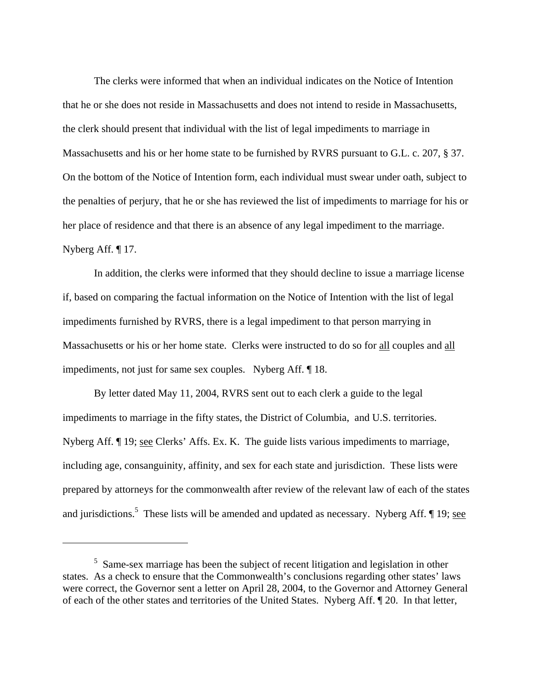<span id="page-10-0"></span> The clerks were informed that when an individual indicates on the Notice of Intention that he or she does not reside in Massachusetts and does not intend to reside in Massachusetts, the clerk should present that individual with the list of legal impediments to marriage in Massachusetts and his or her home state to be furnished by RVRS pursuant to G.L. c. 207, § 37. On the bottom of the Notice of Intention form, each individual must swear under oath, subject to the penalties of perjury, that he or she has reviewed the list of impediments to marriage for his or her place of residence and that there is an absence of any legal impediment to the marriage. Nyberg Aff. ¶ 17.

 In addition, the clerks were informed that they should decline to issue a marriage license if, based on comparing the factual information on the Notice of Intention with the list of legal impediments furnished by RVRS, there is a legal impediment to that person marrying in Massachusetts or his or her home state. Clerks were instructed to do so for all couples and all impediments, not just for same sex couples. Nyberg Aff. ¶ 18.

 By letter dated May 11, 2004, RVRS sent out to each clerk a guide to the legal impediments to marriage in the fifty states, the District of Columbia, and U.S. territories. Nyberg Aff. ¶ 19; see Clerks' Affs. Ex. K. The guide lists various impediments to marriage, including age, consanguinity, affinity, and sex for each state and jurisdiction. These lists were prepared by attorneys for the commonwealth after review of the relevant law of each of the states and jurisdictions.<sup>[5](#page-10-0)</sup> These lists will be amended and updated as necessary. Nyberg Aff. 19; see

<sup>&</sup>lt;sup>5</sup> Same-sex marriage has been the subject of recent litigation and legislation in other states. As a check to ensure that the Commonwealth's conclusions regarding other states' laws were correct, the Governor sent a letter on April 28, 2004, to the Governor and Attorney General of each of the other states and territories of the United States. Nyberg Aff. ¶ 20. In that letter,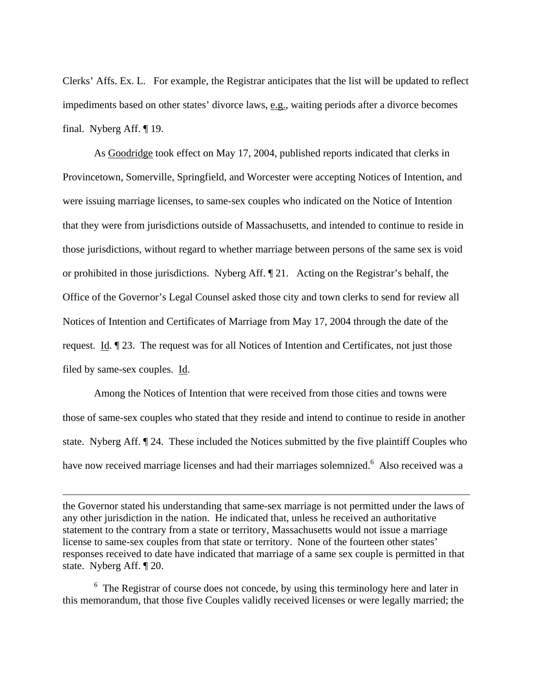<span id="page-11-0"></span>Clerks' Affs. Ex. L. For example, the Registrar anticipates that the list will be updated to reflect impediments based on other states' divorce laws, e.g., waiting periods after a divorce becomes final. Nyberg Aff. ¶ 19.

 As Goodridge took effect on May 17, 2004, published reports indicated that clerks in Provincetown, Somerville, Springfield, and Worcester were accepting Notices of Intention, and were issuing marriage licenses, to same-sex couples who indicated on the Notice of Intention that they were from jurisdictions outside of Massachusetts, and intended to continue to reside in those jurisdictions, without regard to whether marriage between persons of the same sex is void or prohibited in those jurisdictions. Nyberg Aff. ¶ 21. Acting on the Registrar's behalf, the Office of the Governor's Legal Counsel asked those city and town clerks to send for review all Notices of Intention and Certificates of Marriage from May 17, 2004 through the date of the request. Id. ¶ 23. The request was for all Notices of Intention and Certificates, not just those filed by same-sex couples. Id.

 Among the Notices of Intention that were received from those cities and towns were those of same-sex couples who stated that they reside and intend to continue to reside in another state. Nyberg Aff. ¶ 24. These included the Notices submitted by the five plaintiff Couples who have now received marriage licenses and had their marriages solemnized. <sup>[6](#page-11-0)</sup> Also received was a

1

 $6$  The Registrar of course does not concede, by using this terminology here and later in this memorandum, that those five Couples validly received licenses or were legally married; the

the Governor stated his understanding that same-sex marriage is not permitted under the laws of any other jurisdiction in the nation. He indicated that, unless he received an authoritative statement to the contrary from a state or territory, Massachusetts would not issue a marriage license to same-sex couples from that state or territory. None of the fourteen other states' responses received to date have indicated that marriage of a same sex couple is permitted in that state. Nyberg Aff. ¶ 20.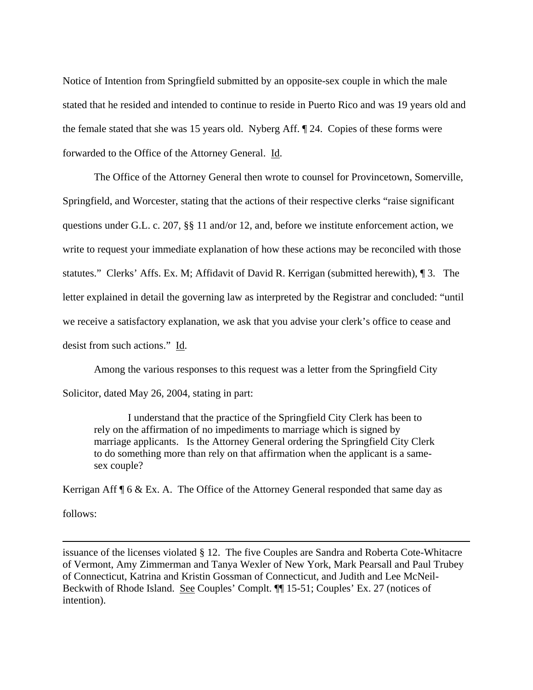Notice of Intention from Springfield submitted by an opposite-sex couple in which the male stated that he resided and intended to continue to reside in Puerto Rico and was 19 years old and the female stated that she was 15 years old. Nyberg Aff. ¶ 24. Copies of these forms were forwarded to the Office of the Attorney General. Id.

 The Office of the Attorney General then wrote to counsel for Provincetown, Somerville, Springfield, and Worcester, stating that the actions of their respective clerks "raise significant questions under G.L. c. 207, §§ 11 and/or 12, and, before we institute enforcement action, we write to request your immediate explanation of how these actions may be reconciled with those statutes." Clerks' Affs. Ex. M; Affidavit of David R. Kerrigan (submitted herewith), ¶ 3. The letter explained in detail the governing law as interpreted by the Registrar and concluded: "until we receive a satisfactory explanation, we ask that you advise your clerk's office to cease and desist from such actions." Id.

 Among the various responses to this request was a letter from the Springfield City Solicitor, dated May 26, 2004, stating in part:

 I understand that the practice of the Springfield City Clerk has been to rely on the affirmation of no impediments to marriage which is signed by marriage applicants. Is the Attorney General ordering the Springfield City Clerk to do something more than rely on that affirmation when the applicant is a samesex couple?

Kerrigan Aff  $\mathcal{F}$  6 & Ex. A. The Office of the Attorney General responded that same day as follows:

1

issuance of the licenses violated § 12. The five Couples are Sandra and Roberta Cote-Whitacre of Vermont, Amy Zimmerman and Tanya Wexler of New York, Mark Pearsall and Paul Trubey of Connecticut, Katrina and Kristin Gossman of Connecticut, and Judith and Lee McNeil-Beckwith of Rhode Island. See Couples' Complt. ¶¶ 15-51; Couples' Ex. 27 (notices of intention).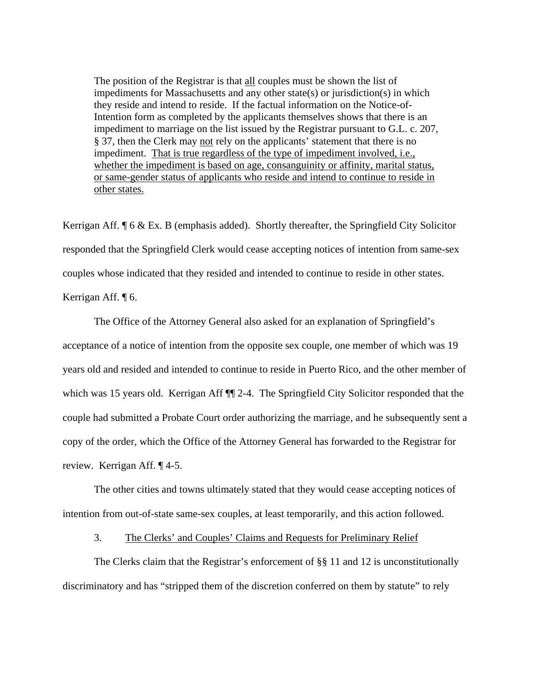The position of the Registrar is that all couples must be shown the list of impediments for Massachusetts and any other state(s) or jurisdiction(s) in which they reside and intend to reside. If the factual information on the Notice-of-Intention form as completed by the applicants themselves shows that there is an impediment to marriage on the list issued by the Registrar pursuant to G.L. c. 207, § 37, then the Clerk may not rely on the applicants' statement that there is no impediment. That is true regardless of the type of impediment involved, i.e., whether the impediment is based on age, consanguinity or affinity, marital status, or same-gender status of applicants who reside and intend to continue to reside in other states.

Kerrigan Aff. ¶ 6 & Ex. B (emphasis added). Shortly thereafter, the Springfield City Solicitor responded that the Springfield Clerk would cease accepting notices of intention from same-sex couples whose indicated that they resided and intended to continue to reside in other states. Kerrigan Aff. ¶ 6.

 The Office of the Attorney General also asked for an explanation of Springfield's acceptance of a notice of intention from the opposite sex couple, one member of which was 19 years old and resided and intended to continue to reside in Puerto Rico, and the other member of which was 15 years old. Kerrigan Aff  $\P$  2-4. The Springfield City Solicitor responded that the couple had submitted a Probate Court order authorizing the marriage, and he subsequently sent a copy of the order, which the Office of the Attorney General has forwarded to the Registrar for review. Kerrigan Aff. ¶ 4-5.

 The other cities and towns ultimately stated that they would cease accepting notices of intention from out-of-state same-sex couples, at least temporarily, and this action followed.

3. The Clerks' and Couples' Claims and Requests for Preliminary Relief

The Clerks claim that the Registrar's enforcement of  $\S$ § 11 and 12 is unconstitutionally discriminatory and has "stripped them of the discretion conferred on them by statute" to rely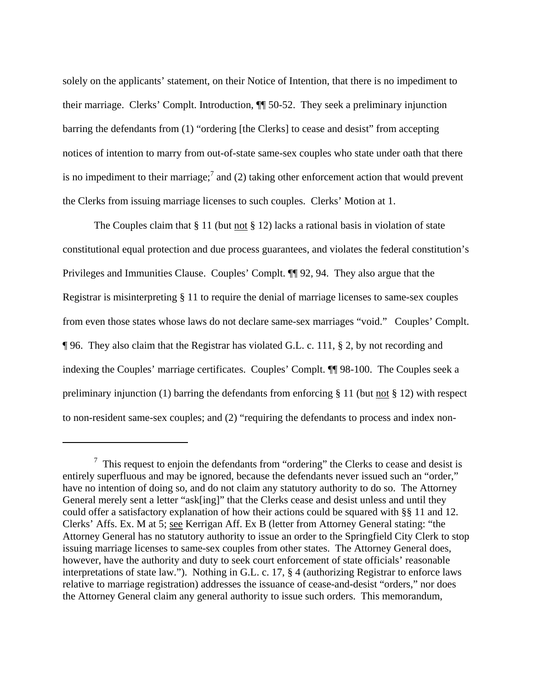<span id="page-14-0"></span>solely on the applicants' statement, on their Notice of Intention, that there is no impediment to their marriage. Clerks' Complt. Introduction, ¶¶ 50-52. They seek a preliminary injunction barring the defendants from (1) "ordering [the Clerks] to cease and desist" from accepting notices of intention to marry from out-of-state same-sex couples who state under oath that there is no impediment to their marriage;<sup>[7](#page-14-0)</sup> and (2) taking other enforcement action that would prevent the Clerks from issuing marriage licenses to such couples. Clerks' Motion at 1.

The Couples claim that  $\S 11$  (but <u>not</u>  $\S 12$ ) lacks a rational basis in violation of state constitutional equal protection and due process guarantees, and violates the federal constitution's Privileges and Immunities Clause. Couples' Complt. ¶¶ 92, 94. They also argue that the Registrar is misinterpreting § 11 to require the denial of marriage licenses to same-sex couples from even those states whose laws do not declare same-sex marriages "void." Couples' Complt. ¶ 96. They also claim that the Registrar has violated G.L. c. 111, § 2, by not recording and indexing the Couples' marriage certificates. Couples' Complt. ¶¶ 98-100. The Couples seek a preliminary injunction (1) barring the defendants from enforcing § 11 (but not § 12) with respect to non-resident same-sex couples; and (2) "requiring the defendants to process and index non-

 $\frac{7}{1}$  This request to enjoin the defendants from "ordering" the Clerks to cease and desist is entirely superfluous and may be ignored, because the defendants never issued such an "order," have no intention of doing so, and do not claim any statutory authority to do so. The Attorney General merely sent a letter "ask[ing]" that the Clerks cease and desist unless and until they could offer a satisfactory explanation of how their actions could be squared with §§ 11 and 12. Clerks' Affs. Ex. M at 5; see Kerrigan Aff. Ex B (letter from Attorney General stating: "the Attorney General has no statutory authority to issue an order to the Springfield City Clerk to stop issuing marriage licenses to same-sex couples from other states. The Attorney General does, however, have the authority and duty to seek court enforcement of state officials' reasonable interpretations of state law."). Nothing in G.L. c. 17, § 4 (authorizing Registrar to enforce laws relative to marriage registration) addresses the issuance of cease-and-desist "orders," nor does the Attorney General claim any general authority to issue such orders. This memorandum,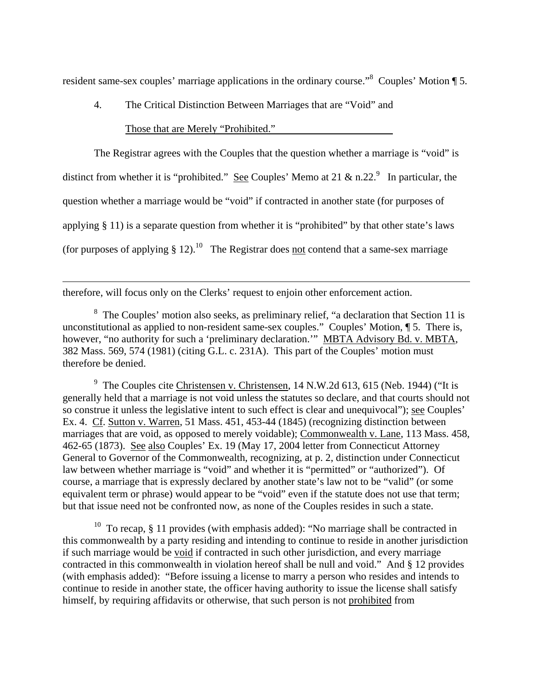<span id="page-15-2"></span>resident same-sex couples' marriage applications in the ordinary course."<sup>8</sup> Couples' Motion ¶ 5.

4. The Critical Distinction Between Marriages that are "Void" and

Those that are Merely "Prohibited."

 The Registrar agrees with the Couples that the question whether a marriage is "void" is distinct from whether it is "prohibited." See Couples' Memo at 21 & n.22. In particular, the question whether a marriage would be "void" if contracted in another state (for purposes of applying § 11) is a separate question from whether it is "prohibited" by that other state's laws (for purposes of applying  $\S 12$ ).<sup>10</sup> The Registrar does not contend that a same-sex marriage

therefore, will focus only on the Clerks' request to enjoin other enforcement action.

 $\overline{a}$ 

<span id="page-15-0"></span> $8\text{ The Couplex' motion also seeks, as preliminary relief, "a declaration that Section 11 is$ unconstitutional as applied to non-resident same-sex couples." Couples' Motion, ¶ 5. There is, however, "no authority for such a 'preliminary declaration." MBTA Advisory Bd. v. MBTA, 382 Mass. 569, 574 (1981) (citing G.L. c. 231A). This part of the Couples' motion must therefore be denied.

<span id="page-15-1"></span><sup>9</sup> The Couples cite Christensen v. Christensen, 14 N.W.2d 613, 615 (Neb. 1944) ("It is generally held that a marriage is not void unless the statutes so declare, and that courts should not so construe it unless the legislative intent to such effect is clear and unequivocal"); see Couples' Ex. 4. Cf. Sutton v. Warren, 51 Mass. 451, 453-44 (1845) (recognizing distinction between marriages that are void, as opposed to merely voidable); Commonwealth v. Lane, 113 Mass. 458, 462-65 (1873). See also Couples' Ex. 19 (May 17, 2004 letter from Connecticut Attorney General to Governor of the Commonwealth, recognizing, at p. 2, distinction under Connecticut law between whether marriage is "void" and whether it is "permitted" or "authorized"). Of course, a marriage that is expressly declared by another state's law not to be "valid" (or some equivalent term or phrase) would appear to be "void" even if the statute does not use that term; but that issue need not be confronted now, as none of the Couples resides in such a state.

<sup>10</sup> To recap, § 11 provides (with emphasis added): "No marriage shall be contracted in this commonwealth by a party residing and intending to continue to reside in another jurisdiction if such marriage would be void if contracted in such other jurisdiction, and every marriage contracted in this commonwealth in violation hereof shall be null and void." And § 12 provides (with emphasis added): "Before issuing a license to marry a person who resides and intends to continue to reside in another state, the officer having authority to issue the license shall satisfy himself, by requiring affidavits or otherwise, that such person is not prohibited from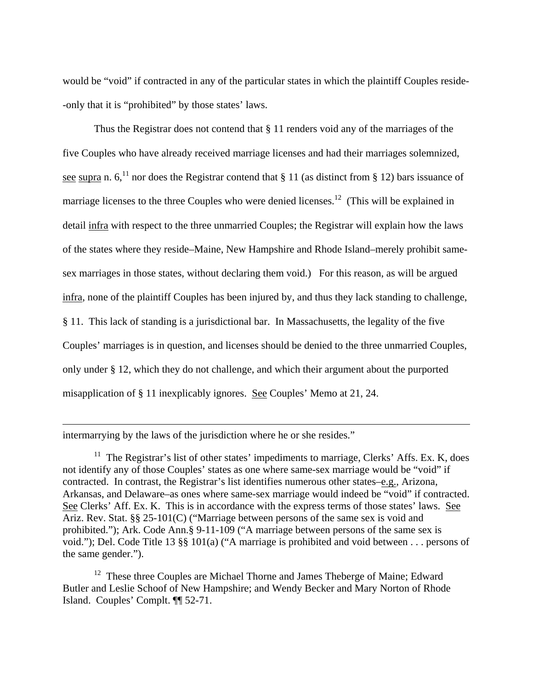would be "void" if contracted in any of the particular states in which the plaintiff Couples reside- -only that it is "prohibited" by those states' laws.

 Thus the Registrar does not contend that § 11 renders void any of the marriages of the five Couples who have already received marriage licenses and had their marriages solemnized, see supra n.  $6<sup>11</sup>$  nor does the Registrar contend that § 11 (as distinct from § 12) bars issuance of marriage licenses to the three Couples who were denied licenses.<sup>12</sup> (This will be explained in detail infra with respect to the three unmarried Couples; the Registrar will explain how the laws of the states where they reside–Maine, New Hampshire and Rhode Island–merely prohibit samesex marriages in those states, without declaring them void.) For this reason, as will be argued infra, none of the plaintiff Couples has been injured by, and thus they lack standing to challenge, § 11. This lack of standing is a jurisdictional bar. In Massachusetts, the legality of the five Couples' marriages is in question, and licenses should be denied to the three unmarried Couples, only under § 12, which they do not challenge, and which their argument about the purported misapplication of § 11 inexplicably ignores. See Couples' Memo at 21, 24.

intermarrying by the laws of the jurisdiction where he or she resides."

 $\overline{a}$ 

<span id="page-16-0"></span> $11$  The Registrar's list of other states' impediments to marriage, Clerks' Affs. Ex. K, does not identify any of those Couples' states as one where same-sex marriage would be "void" if contracted. In contrast, the Registrar's list identifies numerous other states–e.g., Arizona, Arkansas, and Delaware–as ones where same-sex marriage would indeed be "void" if contracted. See Clerks' Aff. Ex. K. This is in accordance with the express terms of those states' laws. See Ariz. Rev. Stat. §§ 25-101(C) ("Marriage between persons of the same sex is void and prohibited."); Ark. Code Ann.§ 9-11-109 ("A marriage between persons of the same sex is void."); Del. Code Title 13 §§ 101(a) ("A marriage is prohibited and void between . . . persons of the same gender.").

<span id="page-16-1"></span><sup>12</sup> These three Couples are Michael Thorne and James Theberge of Maine; Edward Butler and Leslie Schoof of New Hampshire; and Wendy Becker and Mary Norton of Rhode Island. Couples' Complt. ¶¶ 52-71.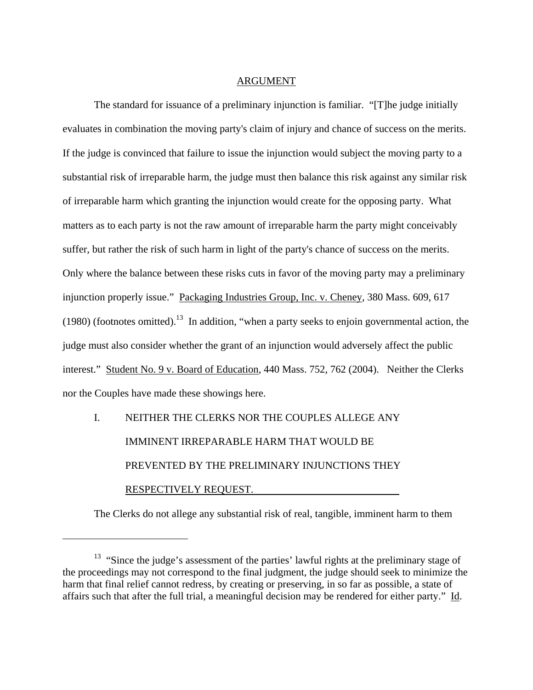#### ARGUMENT

<span id="page-17-0"></span> The standard for issuance of a preliminary injunction is familiar. "[T]he judge initially evaluates in combination the moving party's claim of injury and chance of success on the merits. If the judge is convinced that failure to issue the injunction would subject the moving party to a substantial risk of irreparable harm, the judge must then balance this risk against any similar risk of irreparable harm which granting the injunction would create for the opposing party. What matters as to each party is not the raw amount of irreparable harm the party might conceivably suffer, but rather the risk of such harm in light of the party's chance of success on the merits. Only where the balance between these risks cuts in favor of the moving party may a preliminary injunction properly issue." Packaging Industries Group, Inc. v. Cheney, 380 Mass. 609, 617 (1980) (footnotes omitted).<sup>13</sup> In addition, "when a party seeks to enjoin governmental action, the judge must also consider whether the grant of an injunction would adversely affect the public interest." Student No. 9 v. Board of Education, 440 Mass. 752, 762 (2004). Neither the Clerks nor the Couples have made these showings here.

# I. NEITHER THE CLERKS NOR THE COUPLES ALLEGE ANY IMMINENT IRREPARABLE HARM THAT WOULD BE PREVENTED BY THE PRELIMINARY INJUNCTIONS THEY RESPECTIVELY REQUEST.

 $\overline{a}$ 

The Clerks do not allege any substantial risk of real, tangible, imminent harm to them

<sup>&</sup>lt;sup>13</sup> "Since the judge's assessment of the parties' lawful rights at the preliminary stage of the proceedings may not correspond to the final judgment, the judge should seek to minimize the harm that final relief cannot redress, by creating or preserving, in so far as possible, a state of affairs such that after the full trial, a meaningful decision may be rendered for either party." Id.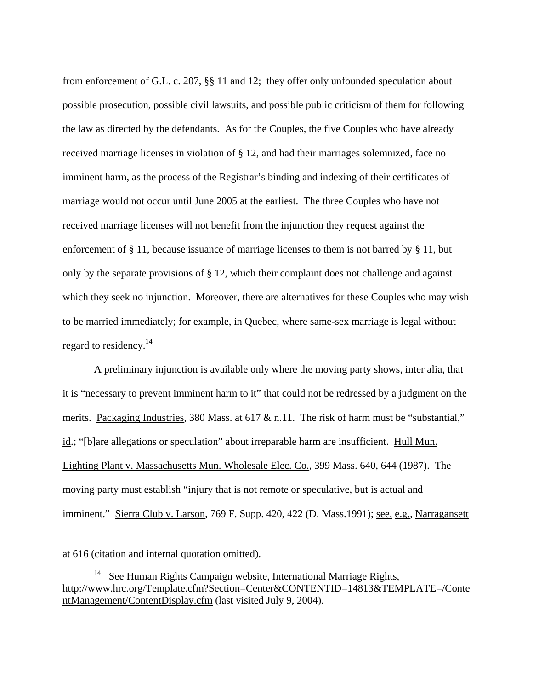from enforcement of G.L. c. 207, §§ 11 and 12; they offer only unfounded speculation about possible prosecution, possible civil lawsuits, and possible public criticism of them for following the law as directed by the defendants. As for the Couples, the five Couples who have already received marriage licenses in violation of § 12, and had their marriages solemnized, face no imminent harm, as the process of the Registrar's binding and indexing of their certificates of marriage would not occur until June 2005 at the earliest. The three Couples who have not received marriage licenses will not benefit from the injunction they request against the enforcement of § 11, because issuance of marriage licenses to them is not barred by § 11, but only by the separate provisions of § 12, which their complaint does not challenge and against which they seek no injunction. Moreover, there are alternatives for these Couples who may wish to be married immediately; for example, in Quebec, where same-sex marriage is legal without regard to residency.<sup>[14](#page-18-0)</sup>

 A preliminary injunction is available only where the moving party shows, inter alia, that it is "necessary to prevent imminent harm to it" that could not be redressed by a judgment on the merits. Packaging Industries, 380 Mass. at 617 & n.11. The risk of harm must be "substantial," id.; "[b]are allegations or speculation" about irreparable harm are insufficient. Hull Mun. Lighting Plant v. Massachusetts Mun. Wholesale Elec. Co., 399 Mass. 640, 644 (1987). The moving party must establish "injury that is not remote or speculative, but is actual and imminent." Sierra Club v. Larson, 769 F. Supp. 420, 422 (D. Mass.1991); see, e.g., Narragansett

at 616 (citation and internal quotation omitted).

<span id="page-18-0"></span> $14$  See Human Rights Campaign website, International Marriage Rights, http://www.hrc.org/Template.cfm?Section=Center&CONTENTID=14813&TEMPLATE=/Conte ntManagement/ContentDisplay.cfm (last visited July 9, 2004).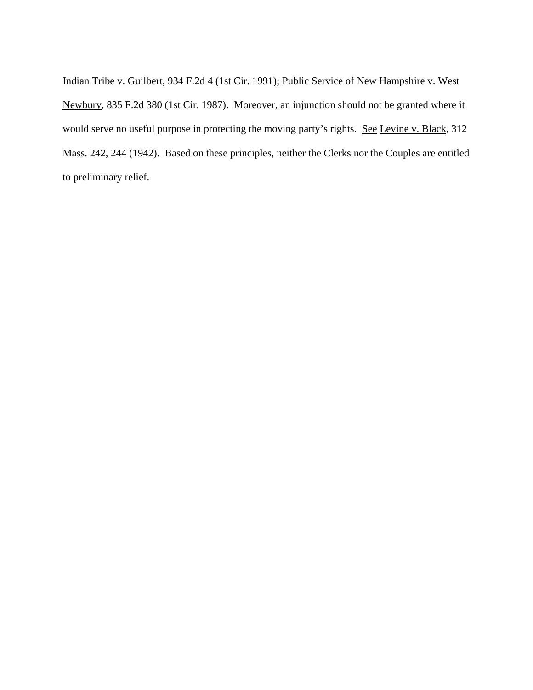Indian Tribe v. Guilbert, 934 F.2d 4 (1st Cir. 1991); Public Service of New Hampshire v. West Newbury, 835 F.2d 380 (1st Cir. 1987). Moreover, an injunction should not be granted where it would serve no useful purpose in protecting the moving party's rights. See Levine v. Black, 312 Mass. 242, 244 (1942). Based on these principles, neither the Clerks nor the Couples are entitled to preliminary relief.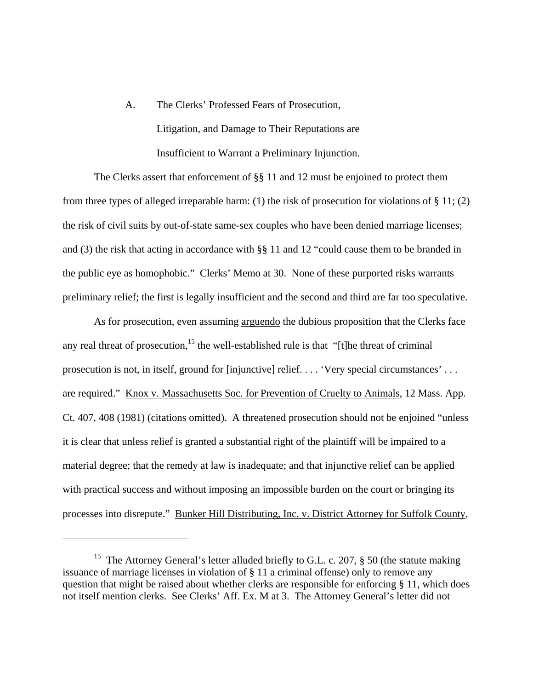# <span id="page-20-0"></span> A. The Clerks' Professed Fears of Prosecution, Litigation, and Damage to Their Reputations are Insufficient to Warrant a Preliminary Injunction.

 The Clerks assert that enforcement of §§ 11 and 12 must be enjoined to protect them from three types of alleged irreparable harm: (1) the risk of prosecution for violations of § 11; (2) the risk of civil suits by out-of-state same-sex couples who have been denied marriage licenses; and (3) the risk that acting in accordance with §§ 11 and 12 "could cause them to be branded in the public eye as homophobic." Clerks' Memo at 30. None of these purported risks warrants preliminary relief; the first is legally insufficient and the second and third are far too speculative.

 As for prosecution, even assuming arguendo the dubious proposition that the Clerks face any real threat of prosecution,<sup>15</sup> the well-established rule is that "[t]he threat of criminal prosecution is not, in itself, ground for [injunctive] relief. . . . 'Very special circumstances' . . . are required." Knox v. Massachusetts Soc. for Prevention of Cruelty to Animals, 12 Mass. App. Ct. 407, 408 (1981) (citations omitted). A threatened prosecution should not be enjoined "unless it is clear that unless relief is granted a substantial right of the plaintiff will be impaired to a material degree; that the remedy at law is inadequate; and that injunctive relief can be applied with practical success and without imposing an impossible burden on the court or bringing its processes into disrepute." Bunker Hill Distributing, Inc. v. District Attorney for Suffolk County,

<sup>&</sup>lt;sup>15</sup> The Attorney General's letter alluded briefly to G.L. c. 207,  $\S$  50 (the statute making issuance of marriage licenses in violation of § 11 a criminal offense) only to remove any question that might be raised about whether clerks are responsible for enforcing § 11, which does not itself mention clerks. See Clerks' Aff. Ex. M at 3. The Attorney General's letter did not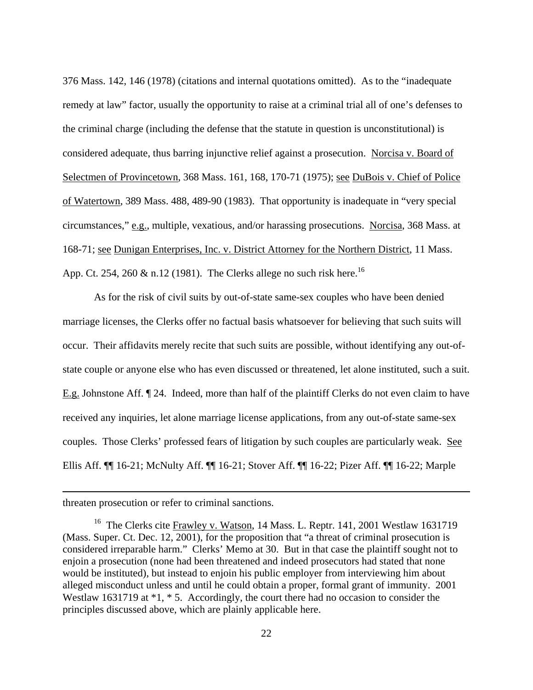376 Mass. 142, 146 (1978) (citations and internal quotations omitted). As to the "inadequate remedy at law" factor, usually the opportunity to raise at a criminal trial all of one's defenses to the criminal charge (including the defense that the statute in question is unconstitutional) is considered adequate, thus barring injunctive relief against a prosecution. Norcisa v. Board of Selectmen of Provincetown, 368 Mass. 161, 168, 170-71 (1975); see DuBois v. Chief of Police of Watertown, 389 Mass. 488, 489-90 (1983). That opportunity is inadequate in "very special circumstances," e.g., multiple, vexatious, and/or harassing prosecutions. Norcisa, 368 Mass. at 168-71; see Dunigan Enterprises, Inc. v. District Attorney for the Northern District, 11 Mass. App. Ct. 254, 260 & n.12 (1981). The Clerks allege no such risk here.<sup>[16](#page-21-0)</sup>

 As for the risk of civil suits by out-of-state same-sex couples who have been denied marriage licenses, the Clerks offer no factual basis whatsoever for believing that such suits will occur. Their affidavits merely recite that such suits are possible, without identifying any out-ofstate couple or anyone else who has even discussed or threatened, let alone instituted, such a suit. E.g. Johnstone Aff. ¶ 24. Indeed, more than half of the plaintiff Clerks do not even claim to have received any inquiries, let alone marriage license applications, from any out-of-state same-sex couples. Those Clerks' professed fears of litigation by such couples are particularly weak. See Ellis Aff. ¶¶ 16-21; McNulty Aff. ¶¶ 16-21; Stover Aff. ¶¶ 16-22; Pizer Aff. ¶¶ 16-22; Marple

threaten prosecution or refer to criminal sanctions.

<span id="page-21-0"></span><sup>&</sup>lt;sup>16</sup> The Clerks cite Frawley v. Watson, 14 Mass. L. Reptr. 141, 2001 Westlaw 1631719 (Mass. Super. Ct. Dec. 12, 2001), for the proposition that "a threat of criminal prosecution is considered irreparable harm." Clerks' Memo at 30. But in that case the plaintiff sought not to enjoin a prosecution (none had been threatened and indeed prosecutors had stated that none would be instituted), but instead to enjoin his public employer from interviewing him about alleged misconduct unless and until he could obtain a proper, formal grant of immunity. 2001 Westlaw 1631719 at  $*1, *5$ . Accordingly, the court there had no occasion to consider the principles discussed above, which are plainly applicable here.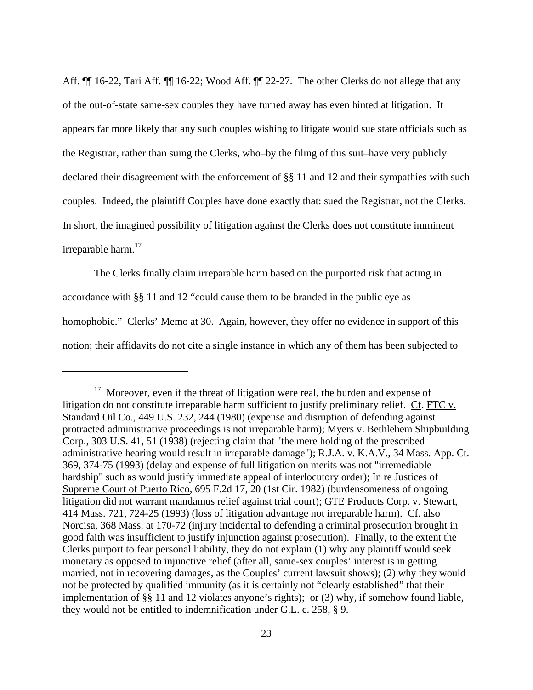Aff.  $\P$  16-22, Tari Aff.  $\P$  16-22; Wood Aff.  $\P$  22-27. The other Clerks do not allege that any of the out-of-state same-sex couples they have turned away has even hinted at litigation. It appears far more likely that any such couples wishing to litigate would sue state officials such as the Registrar, rather than suing the Clerks, who–by the filing of this suit–have very publicly declared their disagreement with the enforcement of §§ 11 and 12 and their sympathies with such couples. Indeed, the plaintiff Couples have done exactly that: sued the Registrar, not the Clerks. In short, the imagined possibility of litigation against the Clerks does not constitute imminent irreparable harm.<sup>17</sup>

 The Clerks finally claim irreparable harm based on the purported risk that acting in accordance with §§ 11 and 12 "could cause them to be branded in the public eye as homophobic." Clerks' Memo at 30. Again, however, they offer no evidence in support of this notion; their affidavits do not cite a single instance in which any of them has been subjected to

<span id="page-22-0"></span> $17$  Moreover, even if the threat of litigation were real, the burden and expense of litigation do not constitute irreparable harm sufficient to justify preliminary relief. Cf. FTC v. Standard Oil Co., 449 U.S. 232, 244 (1980) (expense and disruption of defending against protracted administrative proceedings is not irreparable harm); Myers v. Bethlehem Shipbuilding Corp., 303 U.S. 41, 51 (1938) (rejecting claim that "the mere holding of the prescribed administrative hearing would result in irreparable damage"); R.J.A. v. K.A.V., 34 Mass. App. Ct. 369, 374-75 (1993) (delay and expense of full litigation on merits was not "irremediable hardship" such as would justify immediate appeal of interlocutory order); In re Justices of Supreme Court of Puerto Rico, 695 F.2d 17, 20 (1st Cir. 1982) (burdensomeness of ongoing litigation did not warrant mandamus relief against trial court); GTE Products Corp. v. Stewart, 414 Mass. 721, 724-25 (1993) (loss of litigation advantage not irreparable harm). Cf. also Norcisa, 368 Mass. at 170-72 (injury incidental to defending a criminal prosecution brought in good faith was insufficient to justify injunction against prosecution). Finally, to the extent the Clerks purport to fear personal liability, they do not explain (1) why any plaintiff would seek monetary as opposed to injunctive relief (after all, same-sex couples' interest is in getting married, not in recovering damages, as the Couples' current lawsuit shows); (2) why they would not be protected by qualified immunity (as it is certainly not "clearly established" that their implementation of §§ 11 and 12 violates anyone's rights); or (3) why, if somehow found liable, they would not be entitled to indemnification under G.L. c. 258, § 9.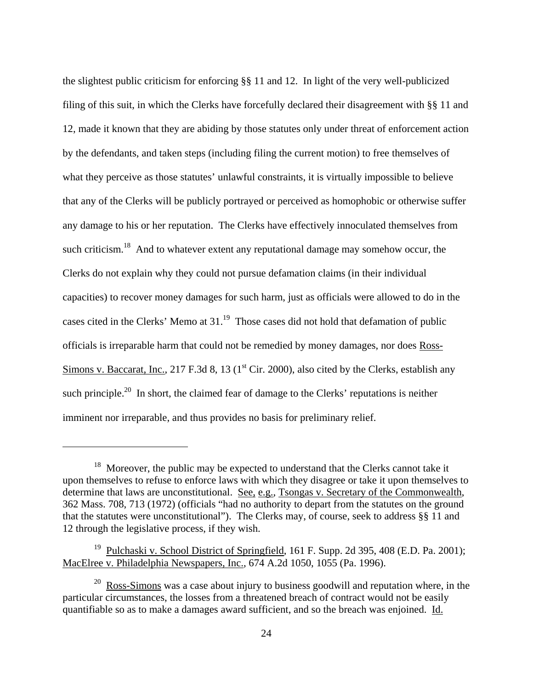the slightest public criticism for enforcing §§ 11 and 12. In light of the very well-publicized filing of this suit, in which the Clerks have forcefully declared their disagreement with §§ 11 and 12, made it known that they are abiding by those statutes only under threat of enforcement action by the defendants, and taken steps (including filing the current motion) to free themselves of what they perceive as those statutes' unlawful constraints, it is virtually impossible to believe that any of the Clerks will be publicly portrayed or perceived as homophobic or otherwise suffer any damage to his or her reputation. The Clerks have effectively innoculated themselves from such criticism.<sup>18</sup> And to whatever extent any reputational damage may somehow occur, the Clerks do not explain why they could not pursue defamation claims (in their individual capacities) to recover money damages for such harm, just as officials were allowed to do in the cases cited in the Clerks' Memo at 31.<sup>19</sup> Those cases did not hold that defamation of public officials is irreparable harm that could not be remedied by money damages, nor does Ross-Simons v. Baccarat, Inc., 217 F.3d 8, 13 ( $1<sup>st</sup> Cir. 2000$ ), also cited by the Clerks, establish any such principle.<sup>20</sup> In short, the claimed fear of damage to the Clerks' reputations is neither imminent nor irreparable, and thus provides no basis for preliminary relief.

<span id="page-23-0"></span> $18$  Moreover, the public may be expected to understand that the Clerks cannot take it upon themselves to refuse to enforce laws with which they disagree or take it upon themselves to determine that laws are unconstitutional. See, e.g., Tsongas v. Secretary of the Commonwealth, 362 Mass. 708, 713 (1972) (officials "had no authority to depart from the statutes on the ground that the statutes were unconstitutional"). The Clerks may, of course, seek to address §§ 11 and 12 through the legislative process, if they wish.

<span id="page-23-1"></span><sup>&</sup>lt;sup>19</sup> Pulchaski v. School District of Springfield, 161 F. Supp. 2d 395, 408 (E.D. Pa. 2001); MacElree v. Philadelphia Newspapers, Inc., 674 A.2d 1050, 1055 (Pa. 1996).

<span id="page-23-2"></span> $20$  Ross-Simons was a case about injury to business goodwill and reputation where, in the particular circumstances, the losses from a threatened breach of contract would not be easily quantifiable so as to make a damages award sufficient, and so the breach was enjoined. Id.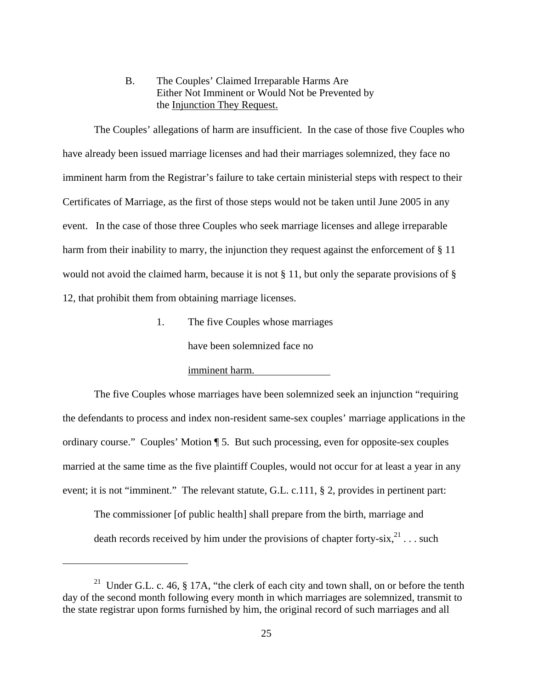B. The Couples' Claimed Irreparable Harms Are Either Not Imminent or Would Not be Prevented by the Injunction They Request.

<span id="page-24-0"></span> The Couples' allegations of harm are insufficient. In the case of those five Couples who have already been issued marriage licenses and had their marriages solemnized, they face no imminent harm from the Registrar's failure to take certain ministerial steps with respect to their Certificates of Marriage, as the first of those steps would not be taken until June 2005 in any event. In the case of those three Couples who seek marriage licenses and allege irreparable harm from their inability to marry, the injunction they request against the enforcement of § 11 would not avoid the claimed harm, because it is not § 11, but only the separate provisions of § 12, that prohibit them from obtaining marriage licenses.

1. The five Couples whose marriages

have been solemnized face no

#### imminent harm.

1

 The five Couples whose marriages have been solemnized seek an injunction "requiring the defendants to process and index non-resident same-sex couples' marriage applications in the ordinary course." Couples' Motion ¶ 5. But such processing, even for opposite-sex couples married at the same time as the five plaintiff Couples, would not occur for at least a year in any event; it is not "imminent." The relevant statute, G.L. c.111, § 2, provides in pertinent part:

The commissioner [of public health] shall prepare from the birth, marriage and death records received by him under the provisions of chapter forty-six,  $21$ ... such

<sup>&</sup>lt;sup>21</sup> Under G.L. c. 46, § 17A, "the clerk of each city and town shall, on or before the tenth day of the second month following every month in which marriages are solemnized, transmit to the state registrar upon forms furnished by him, the original record of such marriages and all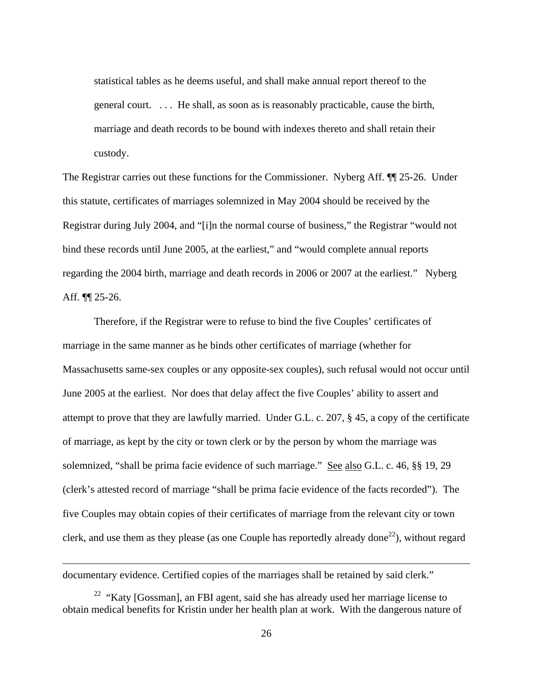<span id="page-25-0"></span>statistical tables as he deems useful, and shall make annual report thereof to the general court. . . . He shall, as soon as is reasonably practicable, cause the birth, marriage and death records to be bound with indexes thereto and shall retain their custody.

The Registrar carries out these functions for the Commissioner. Nyberg Aff. ¶¶ 25-26. Under this statute, certificates of marriages solemnized in May 2004 should be received by the Registrar during July 2004, and "[i]n the normal course of business," the Registrar "would not bind these records until June 2005, at the earliest," and "would complete annual reports regarding the 2004 birth, marriage and death records in 2006 or 2007 at the earliest." Nyberg Aff. ¶¶ 25-26.

 Therefore, if the Registrar were to refuse to bind the five Couples' certificates of marriage in the same manner as he binds other certificates of marriage (whether for Massachusetts same-sex couples or any opposite-sex couples), such refusal would not occur until June 2005 at the earliest. Nor does that delay affect the five Couples' ability to assert and attempt to prove that they are lawfully married. Under G.L. c. 207, § 45, a copy of the certificate of marriage, as kept by the city or town clerk or by the person by whom the marriage was solemnized, "shall be prima facie evidence of such marriage." See also G.L. c. 46, §§ 19, 29 (clerk's attested record of marriage "shall be prima facie evidence of the facts recorded"). The five Couples may obtain copies of their certificates of marriage from the relevant city or town clerk, and use them as they please (as one Couple has reportedly already done<sup>22</sup>), without regard

documentary evidence. Certified copies of the marriages shall be retained by said clerk."

<sup>&</sup>lt;sup>22</sup> "Katy [Gossman], an FBI agent, said she has already used her marriage license to obtain medical benefits for Kristin under her health plan at work. With the dangerous nature of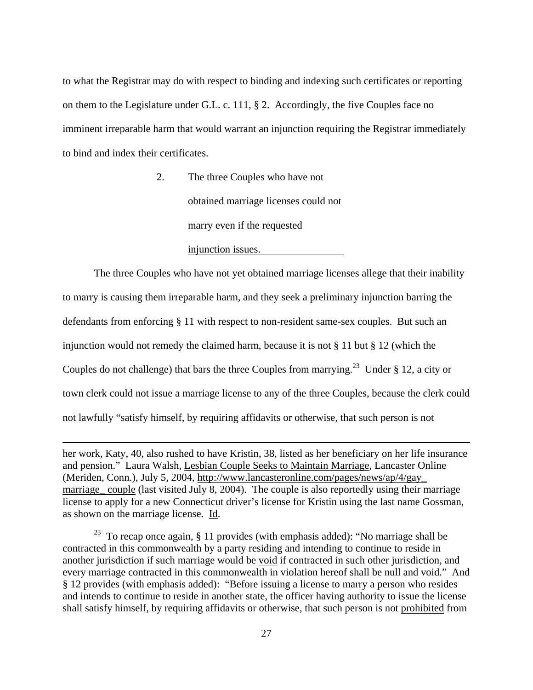<span id="page-26-0"></span>to what the Registrar may do with respect to binding and indexing such certificates or reporting on them to the Legislature under G.L. c. 111, § 2. Accordingly, the five Couples face no imminent irreparable harm that would warrant an injunction requiring the Registrar immediately to bind and index their certificates.

> 2. The three Couples who have not obtained marriage licenses could not marry even if the requested

> > injunction issues.

 The three Couples who have not yet obtained marriage licenses allege that their inability to marry is causing them irreparable harm, and they seek a preliminary injunction barring the defendants from enforcing § 11 with respect to non-resident same-sex couples. But such an injunction would not remedy the claimed harm, because it is not § 11 but § 12 (which the Couples do not challenge) that bars the three Couples from marrying.<sup>23</sup> Under § 12, a city or town clerk could not issue a marriage license to any of the three Couples, because the clerk could not lawfully "satisfy himself, by requiring affidavits or otherwise, that such person is not

her work, Katy, 40, also rushed to have Kristin, 38, listed as her beneficiary on her life insurance and pension." Laura Walsh, Lesbian Couple Seeks to Maintain Marriage, Lancaster Online (Meriden, Conn.), July 5, 2004, http://www.lancasteronline.com/pages/news/ap/4/gay\_ marriage couple (last visited July 8, 2004). The couple is also reportedly using their marriage license to apply for a new Connecticut driver's license for Kristin using the last name Gossman, as shown on the marriage license. Id.

1

<sup>23</sup> To recap once again, § 11 provides (with emphasis added): "No marriage shall be contracted in this commonwealth by a party residing and intending to continue to reside in another jurisdiction if such marriage would be void if contracted in such other jurisdiction, and every marriage contracted in this commonwealth in violation hereof shall be null and void." And § 12 provides (with emphasis added): "Before issuing a license to marry a person who resides and intends to continue to reside in another state, the officer having authority to issue the license shall satisfy himself, by requiring affidavits or otherwise, that such person is not prohibited from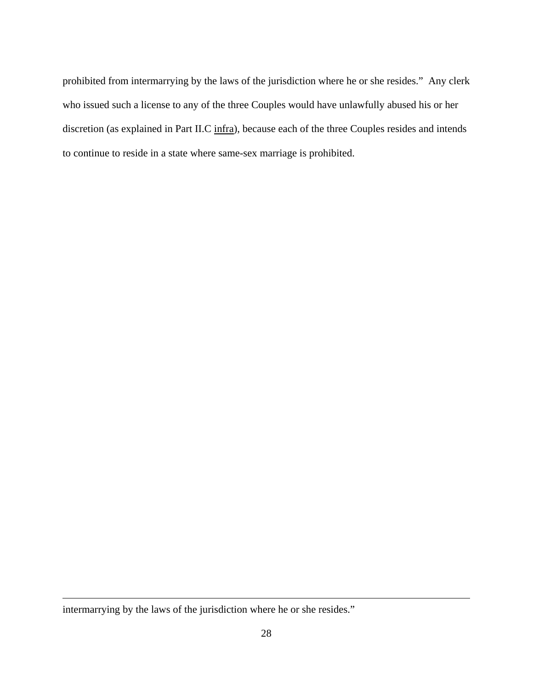prohibited from intermarrying by the laws of the jurisdiction where he or she resides." Any clerk who issued such a license to any of the three Couples would have unlawfully abused his or her discretion (as explained in Part II.C infra), because each of the three Couples resides and intends to continue to reside in a state where same-sex marriage is prohibited.

intermarrying by the laws of the jurisdiction where he or she resides."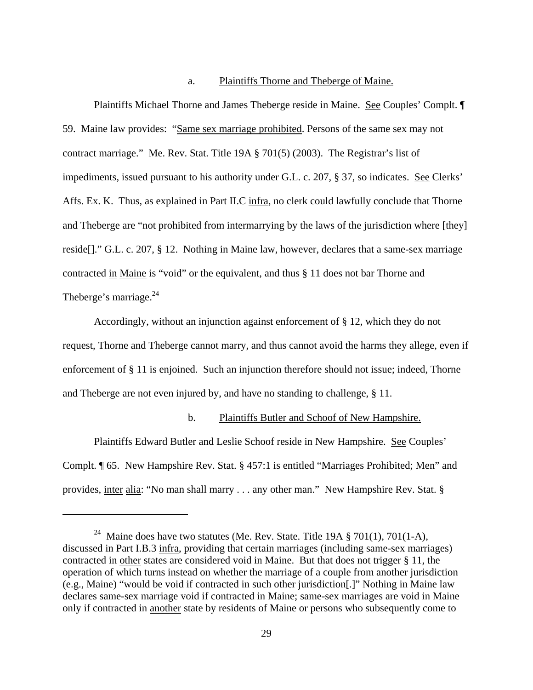#### a. Plaintiffs Thorne and Theberge of Maine.

<span id="page-28-0"></span> Plaintiffs Michael Thorne and James Theberge reside in Maine. See Couples' Complt. ¶ 59. Maine law provides: "Same sex marriage prohibited. Persons of the same sex may not contract marriage." Me. Rev. Stat. Title 19A § 701(5) (2003). The Registrar's list of impediments, issued pursuant to his authority under G.L. c. 207, § 37, so indicates. See Clerks' Affs. Ex. K. Thus, as explained in Part II.C infra, no clerk could lawfully conclude that Thorne and Theberge are "not prohibited from intermarrying by the laws of the jurisdiction where [they] reside[]." G.L. c. 207, § 12. Nothing in Maine law, however, declares that a same-sex marriage contracted in Maine is "void" or the equivalent, and thus § 11 does not bar Thorne and Theberge's marriage. $^{24}$ 

 Accordingly, without an injunction against enforcement of § 12, which they do not request, Thorne and Theberge cannot marry, and thus cannot avoid the harms they allege, even if enforcement of § 11 is enjoined. Such an injunction therefore should not issue; indeed, Thorne and Theberge are not even injured by, and have no standing to challenge, § 11.

#### b. Plaintiffs Butler and Schoof of New Hampshire.

 Plaintiffs Edward Butler and Leslie Schoof reside in New Hampshire. See Couples' Complt. ¶ 65. New Hampshire Rev. Stat. § 457:1 is entitled "Marriages Prohibited; Men" and provides, inter alia: "No man shall marry . . . any other man." New Hampshire Rev. Stat. §

<u>.</u>

<sup>&</sup>lt;sup>24</sup> Maine does have two statutes (Me. Rev. State. Title 19A  $\S 701(1)$ , 701(1-A), discussed in Part I.B.3 infra, providing that certain marriages (including same-sex marriages) contracted in other states are considered void in Maine. But that does not trigger § 11, the operation of which turns instead on whether the marriage of a couple from another jurisdiction (e.g., Maine) "would be void if contracted in such other jurisdiction[.]" Nothing in Maine law declares same-sex marriage void if contracted in Maine; same-sex marriages are void in Maine only if contracted in another state by residents of Maine or persons who subsequently come to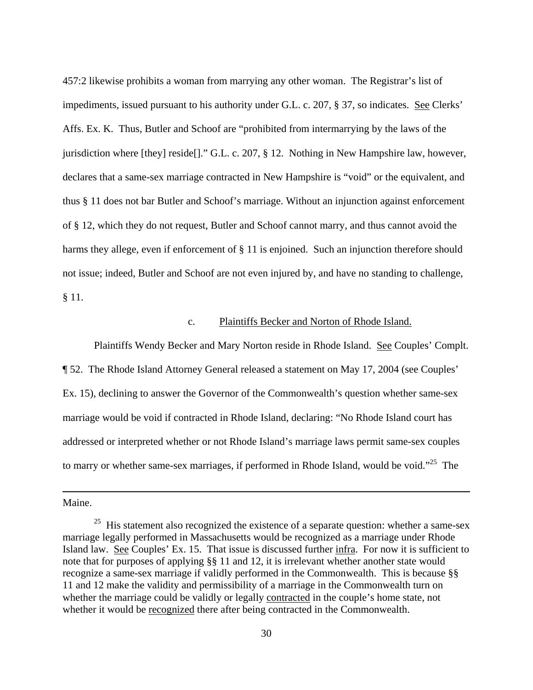457:2 likewise prohibits a woman from marrying any other woman. The Registrar's list of impediments, issued pursuant to his authority under G.L. c. 207, § 37, so indicates. See Clerks' Affs. Ex. K. Thus, Butler and Schoof are "prohibited from intermarrying by the laws of the jurisdiction where [they] reside[]." G.L. c. 207, § 12. Nothing in New Hampshire law, however, declares that a same-sex marriage contracted in New Hampshire is "void" or the equivalent, and thus § 11 does not bar Butler and Schoof's marriage. Without an injunction against enforcement of § 12, which they do not request, Butler and Schoof cannot marry, and thus cannot avoid the harms they allege, even if enforcement of § 11 is enjoined. Such an injunction therefore should not issue; indeed, Butler and Schoof are not even injured by, and have no standing to challenge, § 11.

#### c. Plaintiffs Becker and Norton of Rhode Island.

 Plaintiffs Wendy Becker and Mary Norton reside in Rhode Island. See Couples' Complt. ¶ 52. The Rhode Island Attorney General released a statement on May 17, 2004 (see Couples' Ex. 15), declining to answer the Governor of the Commonwealth's question whether same-sex marriage would be void if contracted in Rhode Island, declaring: "No Rhode Island court has addressed or interpreted whether or not Rhode Island's marriage laws permit same-sex couples to marry or whether same-sex marriages, if performed in Rhode Island, would be void."<sup>25</sup> The

Maine.

<span id="page-29-0"></span> $25$  His statement also recognized the existence of a separate question: whether a same-sex marriage legally performed in Massachusetts would be recognized as a marriage under Rhode Island law. See Couples' Ex. 15. That issue is discussed further infra. For now it is sufficient to note that for purposes of applying §§ 11 and 12, it is irrelevant whether another state would recognize a same-sex marriage if validly performed in the Commonwealth. This is because §§ 11 and 12 make the validity and permissibility of a marriage in the Commonwealth turn on whether the marriage could be validly or legally contracted in the couple's home state, not whether it would be recognized there after being contracted in the Commonwealth.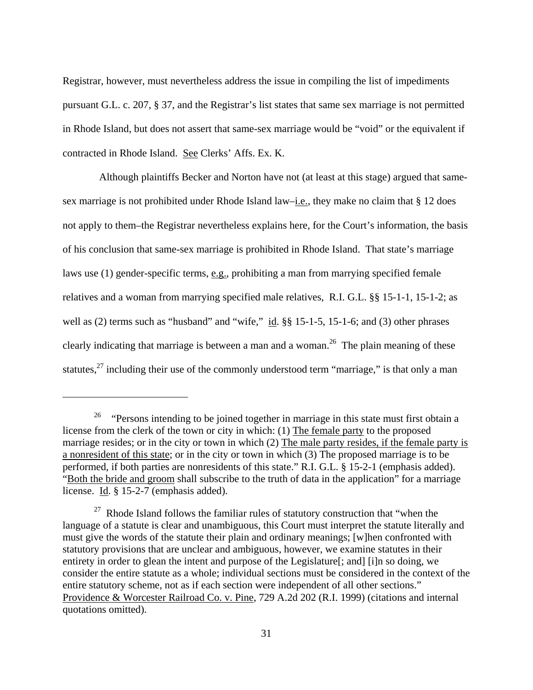Registrar, however, must nevertheless address the issue in compiling the list of impediments pursuant G.L. c. 207, § 37, and the Registrar's list states that same sex marriage is not permitted in Rhode Island, but does not assert that same-sex marriage would be "void" or the equivalent if contracted in Rhode Island. See Clerks' Affs. Ex. K.

 Although plaintiffs Becker and Norton have not (at least at this stage) argued that samesex marriage is not prohibited under Rhode Island law–i.e., they make no claim that § 12 does not apply to them–the Registrar nevertheless explains here, for the Court's information, the basis of his conclusion that same-sex marriage is prohibited in Rhode Island. That state's marriage laws use (1) gender-specific terms, e.g., prohibiting a man from marrying specified female relatives and a woman from marrying specified male relatives, R.I. G.L. §§ 15-1-1, 15-1-2; as well as (2) terms such as "husband" and "wife," id. §§ 15-1-5, 15-1-6; and (3) other phrases clearly indicating that marriage is between a man and a woman.<sup>26</sup> The plain meaning of these statutes, $^{27}$  including their use of the commonly understood term "marriage," is that only a man

<span id="page-30-0"></span><sup>&</sup>lt;sup>26</sup> "Persons intending to be joined together in marriage in this state must first obtain a license from the clerk of the town or city in which: (1) The female party to the proposed marriage resides; or in the city or town in which (2) The male party resides, if the female party is a nonresident of this state; or in the city or town in which (3) The proposed marriage is to be performed, if both parties are nonresidents of this state." R.I. G.L. § 15-2-1 (emphasis added). "Both the bride and groom shall subscribe to the truth of data in the application" for a marriage license. Id. § 15-2-7 (emphasis added).

<span id="page-30-1"></span> $27$  Rhode Island follows the familiar rules of statutory construction that "when the language of a statute is clear and unambiguous, this Court must interpret the statute literally and must give the words of the statute their plain and ordinary meanings; [w]hen confronted with statutory provisions that are unclear and ambiguous, however, we examine statutes in their entirety in order to glean the intent and purpose of the Legislature<sup>[</sup>; and<sup>[</sup>] [i]n so doing, we consider the entire statute as a whole; individual sections must be considered in the context of the entire statutory scheme, not as if each section were independent of all other sections." Providence & Worcester Railroad Co. v. Pine, 729 A.2d 202 (R.I. 1999) (citations and internal quotations omitted).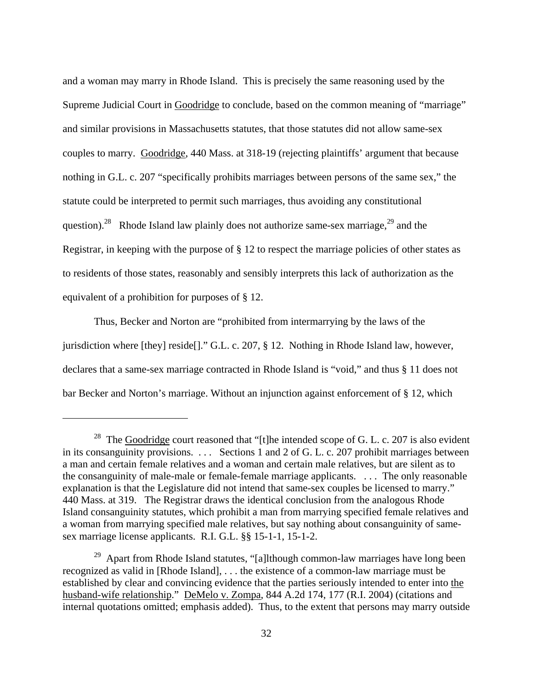<span id="page-31-1"></span>and a woman may marry in Rhode Island. This is precisely the same reasoning used by the Supreme Judicial Court in Goodridge to conclude, based on the common meaning of "marriage" and similar provisions in Massachusetts statutes, that those statutes did not allow same-sex couples to marry. Goodridge, 440 Mass. at 318-19 (rejecting plaintiffs' argument that because nothing in G.L. c. 207 "specifically prohibits marriages between persons of the same sex," the statute could be interpreted to permit such marriages, thus avoiding any constitutional question).<sup>28</sup> Rhode Island law plainly does not authorize same-sex marriage,<sup>29</sup> and the Registrar, in keeping with the purpose of § 12 to respect the marriage policies of other states as to residents of those states, reasonably and sensibly interprets this lack of authorization as the equivalent of a prohibition for purposes of § 12.

 Thus, Becker and Norton are "prohibited from intermarrying by the laws of the jurisdiction where [they] reside[]." G.L. c. 207, § 12. Nothing in Rhode Island law, however, declares that a same-sex marriage contracted in Rhode Island is "void," and thus § 11 does not bar Becker and Norton's marriage. Without an injunction against enforcement of § 12, which

<span id="page-31-0"></span><sup>&</sup>lt;sup>28</sup> The Goodridge court reasoned that "[t]he intended scope of G. L. c. 207 is also evident in its consanguinity provisions. . . . Sections 1 and 2 of G. L. c. 207 prohibit marriages between a man and certain female relatives and a woman and certain male relatives, but are silent as to the consanguinity of male-male or female-female marriage applicants. . . . The only reasonable explanation is that the Legislature did not intend that same-sex couples be licensed to marry." 440 Mass. at 319. The Registrar draws the identical conclusion from the analogous Rhode Island consanguinity statutes, which prohibit a man from marrying specified female relatives and a woman from marrying specified male relatives, but say nothing about consanguinity of samesex marriage license applicants. R.I. G.L. §§ 15-1-1, 15-1-2.

<sup>&</sup>lt;sup>29</sup> Apart from Rhode Island statutes, "[a]lthough common-law marriages have long been recognized as valid in [Rhode Island], . . . the existence of a common-law marriage must be established by clear and convincing evidence that the parties seriously intended to enter into the husband-wife relationship." DeMelo v. Zompa, 844 A.2d 174, 177 (R.I. 2004) (citations and internal quotations omitted; emphasis added). Thus, to the extent that persons may marry outside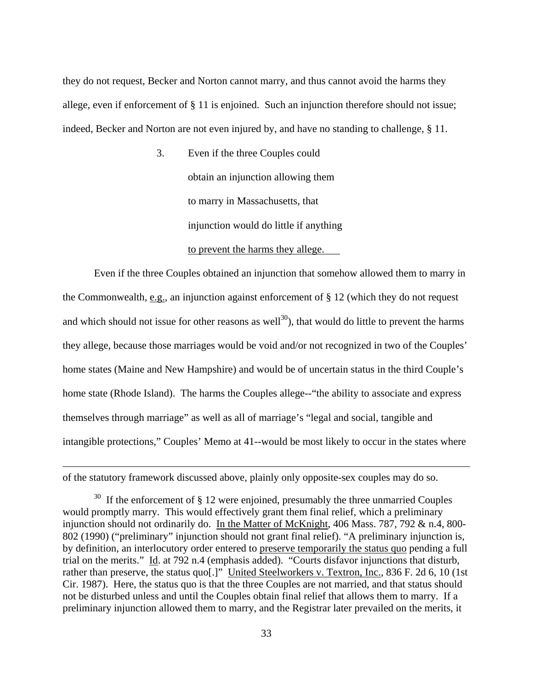<span id="page-32-0"></span>they do not request, Becker and Norton cannot marry, and thus cannot avoid the harms they allege, even if enforcement of § 11 is enjoined. Such an injunction therefore should not issue; indeed, Becker and Norton are not even injured by, and have no standing to challenge, § 11.

> 3. Even if the three Couples could obtain an injunction allowing them to marry in Massachusetts, that injunction would do little if anything to prevent the harms they allege.

 Even if the three Couples obtained an injunction that somehow allowed them to marry in the Commonwealth, e.g., an injunction against enforcement of § 12 (which they do not request and which should not issue for other reasons as well<sup>30</sup>), that would do little to prevent the harms they allege, because those marriages would be void and/or not recognized in two of the Couples' home states (Maine and New Hampshire) and would be of uncertain status in the third Couple's home state (Rhode Island). The harms the Couples allege--"the ability to associate and express themselves through marriage" as well as all of marriage's "legal and social, tangible and intangible protections," Couples' Memo at 41--would be most likely to occur in the states where

of the statutory framework discussed above, plainly only opposite-sex couples may do so.

 $30$  If the enforcement of § 12 were enjoined, presumably the three unmarried Couples would promptly marry. This would effectively grant them final relief, which a preliminary injunction should not ordinarily do. In the Matter of McKnight, 406 Mass. 787, 792 & n.4, 800-802 (1990) ("preliminary" injunction should not grant final relief). "A preliminary injunction is, by definition, an interlocutory order entered to preserve temporarily the status quo pending a full trial on the merits." Id. at 792 n.4 (emphasis added). "Courts disfavor injunctions that disturb, rather than preserve, the status quo[.]" United Steelworkers v. Textron, Inc., 836 F. 2d 6, 10 (1st Cir. 1987). Here, the status quo is that the three Couples are not married, and that status should not be disturbed unless and until the Couples obtain final relief that allows them to marry. If a preliminary injunction allowed them to marry, and the Registrar later prevailed on the merits, it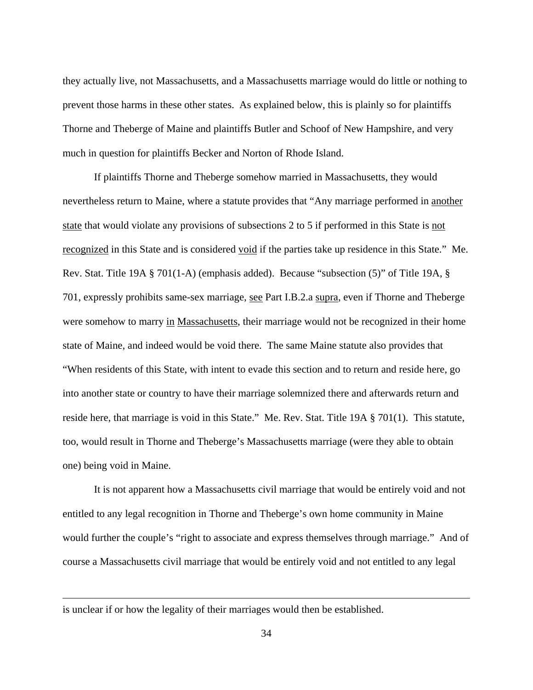they actually live, not Massachusetts, and a Massachusetts marriage would do little or nothing to prevent those harms in these other states. As explained below, this is plainly so for plaintiffs Thorne and Theberge of Maine and plaintiffs Butler and Schoof of New Hampshire, and very much in question for plaintiffs Becker and Norton of Rhode Island.

 If plaintiffs Thorne and Theberge somehow married in Massachusetts, they would nevertheless return to Maine, where a statute provides that "Any marriage performed in another state that would violate any provisions of subsections 2 to 5 if performed in this State is not recognized in this State and is considered void if the parties take up residence in this State." Me. Rev. Stat. Title 19A § 701(1-A) (emphasis added). Because "subsection (5)" of Title 19A, § 701, expressly prohibits same-sex marriage, see Part I.B.2.a supra, even if Thorne and Theberge were somehow to marry in Massachusetts, their marriage would not be recognized in their home state of Maine, and indeed would be void there. The same Maine statute also provides that "When residents of this State, with intent to evade this section and to return and reside here, go into another state or country to have their marriage solemnized there and afterwards return and reside here, that marriage is void in this State." Me. Rev. Stat. Title 19A § 701(1). This statute, too, would result in Thorne and Theberge's Massachusetts marriage (were they able to obtain one) being void in Maine.

 It is not apparent how a Massachusetts civil marriage that would be entirely void and not entitled to any legal recognition in Thorne and Theberge's own home community in Maine would further the couple's "right to associate and express themselves through marriage." And of course a Massachusetts civil marriage that would be entirely void and not entitled to any legal

is unclear if or how the legality of their marriages would then be established.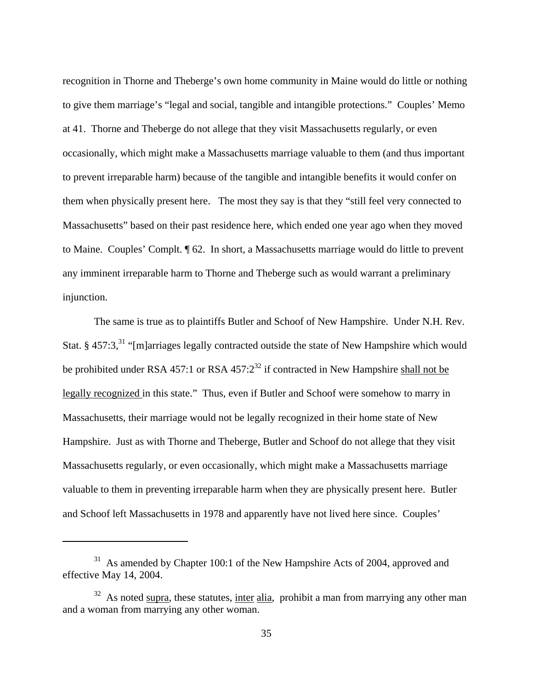recognition in Thorne and Theberge's own home community in Maine would do little or nothing to give them marriage's "legal and social, tangible and intangible protections." Couples' Memo at 41. Thorne and Theberge do not allege that they visit Massachusetts regularly, or even occasionally, which might make a Massachusetts marriage valuable to them (and thus important to prevent irreparable harm) because of the tangible and intangible benefits it would confer on them when physically present here. The most they say is that they "still feel very connected to Massachusetts" based on their past residence here, which ended one year ago when they moved to Maine. Couples' Complt. ¶ 62. In short, a Massachusetts marriage would do little to prevent any imminent irreparable harm to Thorne and Theberge such as would warrant a preliminary injunction.

 The same is true as to plaintiffs Butler and Schoof of New Hampshire. Under N.H. Rev. Stat. § 457:3,<sup>31</sup> "[m]arriages legally contracted outside the state of New Hampshire which would be prohibited under RSA 457:1 or RSA  $457:2^{32}$  if contracted in New Hampshire shall not be legally recognized in this state." Thus, even if Butler and Schoof were somehow to marry in Massachusetts, their marriage would not be legally recognized in their home state of New Hampshire. Just as with Thorne and Theberge, Butler and Schoof do not allege that they visit Massachusetts regularly, or even occasionally, which might make a Massachusetts marriage valuable to them in preventing irreparable harm when they are physically present here. Butler and Schoof left Massachusetts in 1978 and apparently have not lived here since. Couples'

<span id="page-34-0"></span><sup>&</sup>lt;sup>31</sup> As amended by Chapter 100:1 of the New Hampshire Acts of 2004, approved and effective May 14, 2004.

<span id="page-34-1"></span> $32$  As noted supra, these statutes, inter alia, prohibit a man from marrying any other man and a woman from marrying any other woman.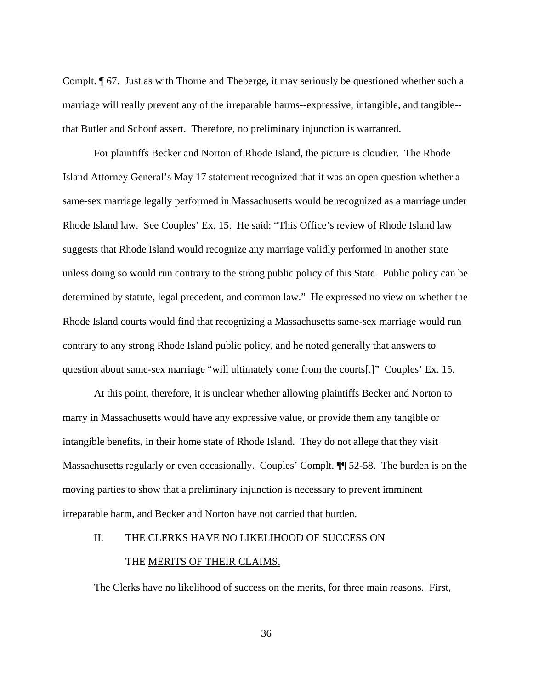Complt. ¶ 67. Just as with Thorne and Theberge, it may seriously be questioned whether such a marriage will really prevent any of the irreparable harms--expressive, intangible, and tangible- that Butler and Schoof assert. Therefore, no preliminary injunction is warranted.

 For plaintiffs Becker and Norton of Rhode Island, the picture is cloudier. The Rhode Island Attorney General's May 17 statement recognized that it was an open question whether a same-sex marriage legally performed in Massachusetts would be recognized as a marriage under Rhode Island law. See Couples' Ex. 15. He said: "This Office's review of Rhode Island law suggests that Rhode Island would recognize any marriage validly performed in another state unless doing so would run contrary to the strong public policy of this State. Public policy can be determined by statute, legal precedent, and common law." He expressed no view on whether the Rhode Island courts would find that recognizing a Massachusetts same-sex marriage would run contrary to any strong Rhode Island public policy, and he noted generally that answers to question about same-sex marriage "will ultimately come from the courts[.]" Couples' Ex. 15.

 At this point, therefore, it is unclear whether allowing plaintiffs Becker and Norton to marry in Massachusetts would have any expressive value, or provide them any tangible or intangible benefits, in their home state of Rhode Island. They do not allege that they visit Massachusetts regularly or even occasionally. Couples' Complt. ¶¶ 52-58. The burden is on the moving parties to show that a preliminary injunction is necessary to prevent imminent irreparable harm, and Becker and Norton have not carried that burden.

#### II. THE CLERKS HAVE NO LIKELIHOOD OF SUCCESS ON

#### THE MERITS OF THEIR CLAIMS.

The Clerks have no likelihood of success on the merits, for three main reasons. First,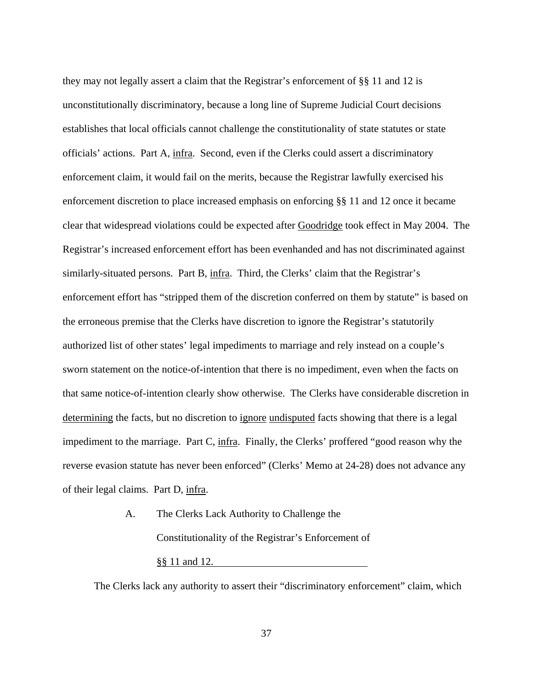they may not legally assert a claim that the Registrar's enforcement of §§ 11 and 12 is unconstitutionally discriminatory, because a long line of Supreme Judicial Court decisions establishes that local officials cannot challenge the constitutionality of state statutes or state officials' actions. Part A, infra. Second, even if the Clerks could assert a discriminatory enforcement claim, it would fail on the merits, because the Registrar lawfully exercised his enforcement discretion to place increased emphasis on enforcing §§ 11 and 12 once it became clear that widespread violations could be expected after Goodridge took effect in May 2004. The Registrar's increased enforcement effort has been evenhanded and has not discriminated against similarly-situated persons. Part B, infra. Third, the Clerks' claim that the Registrar's enforcement effort has "stripped them of the discretion conferred on them by statute" is based on the erroneous premise that the Clerks have discretion to ignore the Registrar's statutorily authorized list of other states' legal impediments to marriage and rely instead on a couple's sworn statement on the notice-of-intention that there is no impediment, even when the facts on that same notice-of-intention clearly show otherwise. The Clerks have considerable discretion in determining the facts, but no discretion to ignore undisputed facts showing that there is a legal impediment to the marriage. Part C, infra. Finally, the Clerks' proffered "good reason why the reverse evasion statute has never been enforced" (Clerks' Memo at 24-28) does not advance any of their legal claims. Part D, infra.

> A. The Clerks Lack Authority to Challenge the Constitutionality of the Registrar's Enforcement of §§ 11 and 12.

The Clerks lack any authority to assert their "discriminatory enforcement" claim, which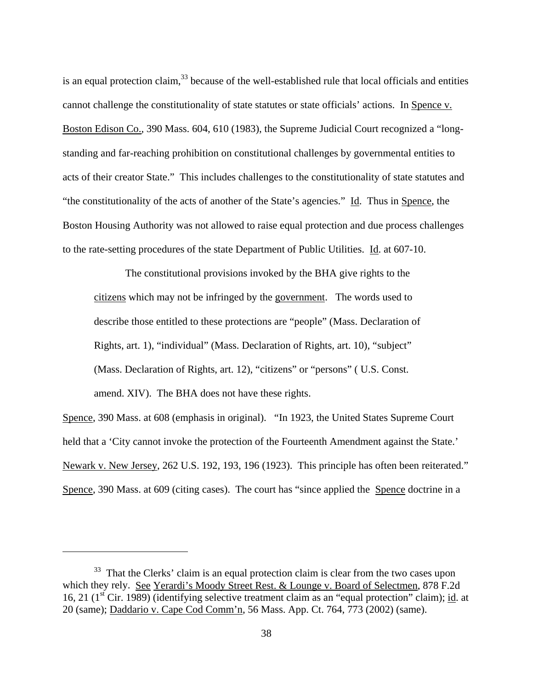is an equal protection claim, $33$  because of the well-established rule that local officials and entities cannot challenge the constitutionality of state statutes or state officials' actions. In Spence v. Boston Edison Co., 390 Mass. 604, 610 (1983), the Supreme Judicial Court recognized a "longstanding and far-reaching prohibition on constitutional challenges by governmental entities to acts of their creator State." This includes challenges to the constitutionality of state statutes and "the constitutionality of the acts of another of the State's agencies." Id. Thus in Spence, the Boston Housing Authority was not allowed to raise equal protection and due process challenges to the rate-setting procedures of the state Department of Public Utilities. Id. at 607-10.

 The constitutional provisions invoked by the BHA give rights to the citizens which may not be infringed by the government. The words used to describe those entitled to these protections are "people" (Mass. Declaration of Rights, art. 1), "individual" (Mass. Declaration of Rights, art. 10), "subject" (Mass. Declaration of Rights, art. 12), "citizens" or "persons" ( U.S. Const. amend. XIV). The BHA does not have these rights.

Spence, 390 Mass. at 608 (emphasis in original). "In 1923, the United States Supreme Court held that a 'City cannot invoke the protection of the Fourteenth Amendment against the State.' Newark v. New Jersey, 262 U.S. 192, 193, 196 (1923). This principle has often been reiterated." Spence, 390 Mass. at 609 (citing cases). The court has "since applied the Spence doctrine in a

<span id="page-37-0"></span> $33$  That the Clerks' claim is an equal protection claim is clear from the two cases upon which they rely. See Yerardi's Moody Street Rest. & Lounge v. Board of Selectmen, 878 F.2d 16, 21 ( $1<sup>st</sup>$  Cir. 1989) (identifying selective treatment claim as an "equal protection" claim); id. at 20 (same); Daddario v. Cape Cod Comm'n, 56 Mass. App. Ct. 764, 773 (2002) (same).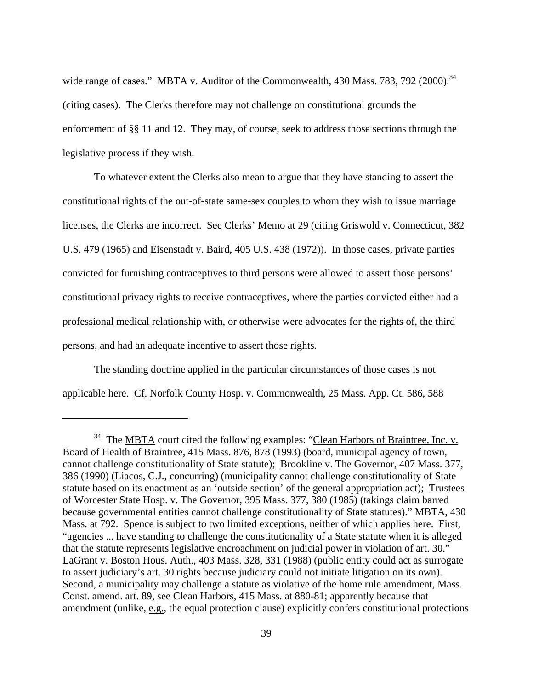<span id="page-38-0"></span>wide range of cases." MBTA v. Auditor of the Commonwealth, 430 Mass. 783, 792 (2000).<sup>[34](#page-38-0)</sup> (citing cases). The Clerks therefore may not challenge on constitutional grounds the enforcement of §§ 11 and 12. They may, of course, seek to address those sections through the legislative process if they wish.

 To whatever extent the Clerks also mean to argue that they have standing to assert the constitutional rights of the out-of-state same-sex couples to whom they wish to issue marriage licenses, the Clerks are incorrect. See Clerks' Memo at 29 (citing Griswold v. Connecticut, 382 U.S. 479 (1965) and Eisenstadt v. Baird, 405 U.S. 438 (1972)). In those cases, private parties convicted for furnishing contraceptives to third persons were allowed to assert those persons' constitutional privacy rights to receive contraceptives, where the parties convicted either had a professional medical relationship with, or otherwise were advocates for the rights of, the third persons, and had an adequate incentive to assert those rights.

 The standing doctrine applied in the particular circumstances of those cases is not applicable here. Cf. Norfolk County Hosp. v. Commonwealth, 25 Mass. App. Ct. 586, 588

<sup>&</sup>lt;sup>34</sup> The MBTA court cited the following examples: "Clean Harbors of Braintree, Inc. v. Board of Health of Braintree, 415 Mass. 876, 878 (1993) (board, municipal agency of town, cannot challenge constitutionality of State statute); Brookline v. The Governor, 407 Mass. 377, 386 (1990) (Liacos, C.J., concurring) (municipality cannot challenge constitutionality of State statute based on its enactment as an 'outside section' of the general appropriation act); Trustees of Worcester State Hosp. v. The Governor, 395 Mass. 377, 380 (1985) (takings claim barred because governmental entities cannot challenge constitutionality of State statutes)." MBTA, 430 Mass. at 792. Spence is subject to two limited exceptions, neither of which applies here. First, "agencies ... have standing to challenge the constitutionality of a State statute when it is alleged that the statute represents legislative encroachment on judicial power in violation of art. 30." LaGrant v. Boston Hous. Auth., 403 Mass. 328, 331 (1988) (public entity could act as surrogate to assert judiciary's art. 30 rights because judiciary could not initiate litigation on its own). Second, a municipality may challenge a statute as violative of the home rule amendment, Mass. Const. amend. art. 89, see Clean Harbors, 415 Mass. at 880-81; apparently because that amendment (unlike, e.g., the equal protection clause) explicitly confers constitutional protections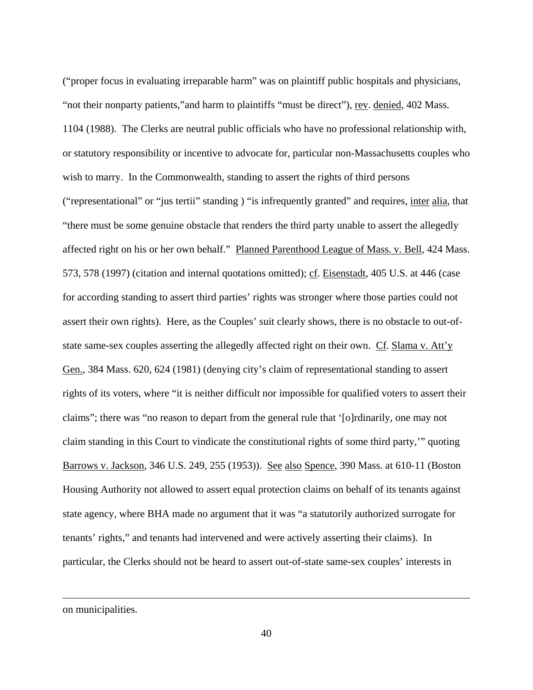("proper focus in evaluating irreparable harm" was on plaintiff public hospitals and physicians, "not their nonparty patients,"and harm to plaintiffs "must be direct"), rev. denied, 402 Mass. 1104 (1988). The Clerks are neutral public officials who have no professional relationship with, or statutory responsibility or incentive to advocate for, particular non-Massachusetts couples who wish to marry. In the Commonwealth, standing to assert the rights of third persons ("representational" or "jus tertii" standing ) "is infrequently granted" and requires, inter alia, that "there must be some genuine obstacle that renders the third party unable to assert the allegedly affected right on his or her own behalf." Planned Parenthood League of Mass. v. Bell, 424 Mass. 573, 578 (1997) (citation and internal quotations omitted); cf. Eisenstadt, 405 U.S. at 446 (case for according standing to assert third parties' rights was stronger where those parties could not assert their own rights). Here, as the Couples' suit clearly shows, there is no obstacle to out-ofstate same-sex couples asserting the allegedly affected right on their own. Cf. Slama v. Att'y Gen., 384 Mass. 620, 624 (1981) (denying city's claim of representational standing to assert rights of its voters, where "it is neither difficult nor impossible for qualified voters to assert their claims"; there was "no reason to depart from the general rule that '[o]rdinarily, one may not claim standing in this Court to vindicate the constitutional rights of some third party,'" quoting Barrows v. Jackson, 346 U.S. 249, 255 (1953)). See also Spence, 390 Mass. at 610-11 (Boston Housing Authority not allowed to assert equal protection claims on behalf of its tenants against state agency, where BHA made no argument that it was "a statutorily authorized surrogate for tenants' rights," and tenants had intervened and were actively asserting their claims). In particular, the Clerks should not be heard to assert out-of-state same-sex couples' interests in

on municipalities.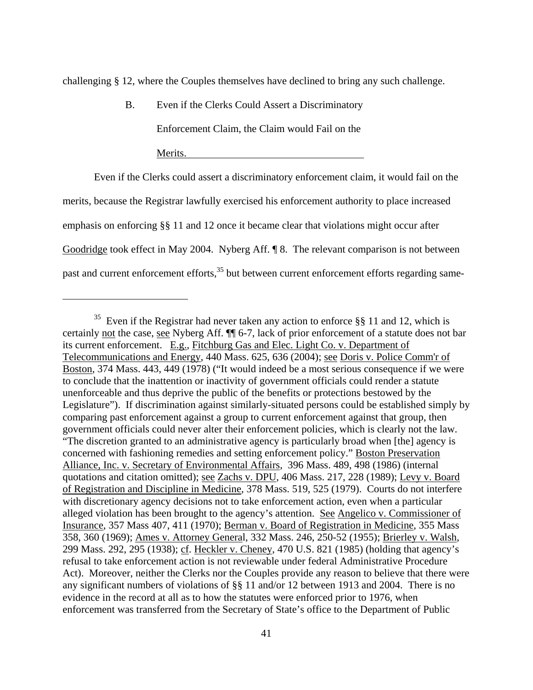<span id="page-40-0"></span>challenging § 12, where the Couples themselves have declined to bring any such challenge.

B. Even if the Clerks Could Assert a Discriminatory

Enforcement Claim, the Claim would Fail on the

Merits.

<u>.</u>

 Even if the Clerks could assert a discriminatory enforcement claim, it would fail on the merits, because the Registrar lawfully exercised his enforcement authority to place increased emphasis on enforcing §§ 11 and 12 once it became clear that violations might occur after Goodridge took effect in May 2004. Nyberg Aff. ¶ 8. The relevant comparison is not between past and current enforcement efforts,<sup>35</sup> but between current enforcement efforts regarding same-

<sup>&</sup>lt;sup>35</sup> Even if the Registrar had never taken any action to enforce §§ 11 and 12, which is certainly not the case, see Nyberg Aff. ¶¶ 6-7, lack of prior enforcement of a statute does not bar its current enforcement. E.g., Fitchburg Gas and Elec. Light Co. v. Department of Telecommunications and Energy, 440 Mass. 625, 636 (2004); see Doris v. Police Comm'r of Boston, 374 Mass. 443, 449 (1978) ("It would indeed be a most serious consequence if we were to conclude that the inattention or inactivity of government officials could render a statute unenforceable and thus deprive the public of the benefits or protections bestowed by the Legislature"). If discrimination against similarly-situated persons could be established simply by comparing past enforcement against a group to current enforcement against that group, then government officials could never alter their enforcement policies, which is clearly not the law. "The discretion granted to an administrative agency is particularly broad when [the] agency is concerned with fashioning remedies and setting enforcement policy." Boston Preservation Alliance, Inc. v. Secretary of Environmental Affairs, 396 Mass. 489, 498 (1986) (internal quotations and citation omitted); see Zachs v. DPU, 406 Mass. 217, 228 (1989); Levy v. Board of Registration and Discipline in Medicine, 378 Mass. 519, 525 (1979). Courts do not interfere with discretionary agency decisions not to take enforcement action, even when a particular alleged violation has been brought to the agency's attention. See Angelico v. Commissioner of Insurance, 357 Mass 407, 411 (1970); Berman v. Board of Registration in Medicine, 355 Mass 358, 360 (1969); Ames v. Attorney General, 332 Mass. 246, 250-52 (1955); Brierley v. Walsh, 299 Mass. 292, 295 (1938); cf. Heckler v. Cheney, 470 U.S. 821 (1985) (holding that agency's refusal to take enforcement action is not reviewable under federal Administrative Procedure Act). Moreover, neither the Clerks nor the Couples provide any reason to believe that there were any significant numbers of violations of §§ 11 and/or 12 between 1913 and 2004. There is no evidence in the record at all as to how the statutes were enforced prior to 1976, when enforcement was transferred from the Secretary of State's office to the Department of Public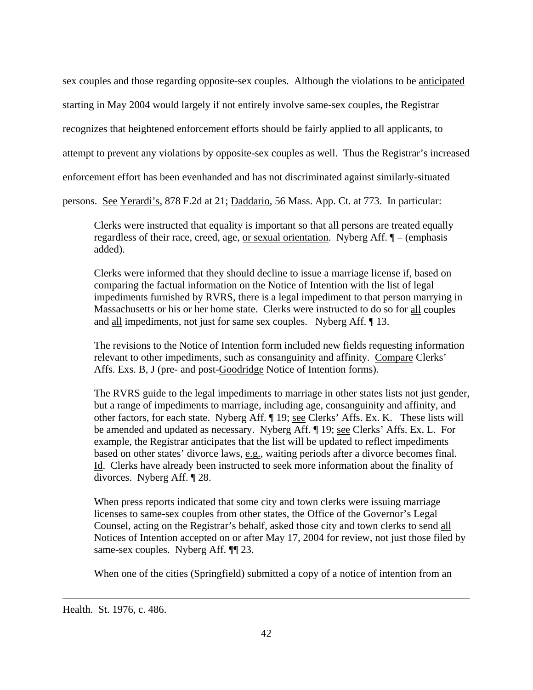sex couples and those regarding opposite-sex couples. Although the violations to be anticipated starting in May 2004 would largely if not entirely involve same-sex couples, the Registrar recognizes that heightened enforcement efforts should be fairly applied to all applicants, to attempt to prevent any violations by opposite-sex couples as well. Thus the Registrar's increased enforcement effort has been evenhanded and has not discriminated against similarly-situated persons. See Yerardi's, 878 F.2d at 21; Daddario, 56 Mass. App. Ct. at 773. In particular:

Clerks were instructed that equality is important so that all persons are treated equally regardless of their race, creed, age, or sexual orientation. Nyberg Aff. ¶ – (emphasis added).

Clerks were informed that they should decline to issue a marriage license if, based on comparing the factual information on the Notice of Intention with the list of legal impediments furnished by RVRS, there is a legal impediment to that person marrying in Massachusetts or his or her home state. Clerks were instructed to do so for all couples and all impediments, not just for same sex couples. Nyberg Aff. ¶ 13.

The revisions to the Notice of Intention form included new fields requesting information relevant to other impediments, such as consanguinity and affinity. Compare Clerks' Affs. Exs. B, J (pre- and post-Goodridge Notice of Intention forms).

The RVRS guide to the legal impediments to marriage in other states lists not just gender, but a range of impediments to marriage, including age, consanguinity and affinity, and other factors, for each state. Nyberg Aff. ¶ 19; see Clerks' Affs. Ex. K. These lists will be amended and updated as necessary. Nyberg Aff. ¶ 19; see Clerks' Affs. Ex. L. For example, the Registrar anticipates that the list will be updated to reflect impediments based on other states' divorce laws, e.g., waiting periods after a divorce becomes final. Id. Clerks have already been instructed to seek more information about the finality of divorces. Nyberg Aff. ¶ 28.

When press reports indicated that some city and town clerks were issuing marriage licenses to same-sex couples from other states, the Office of the Governor's Legal Counsel, acting on the Registrar's behalf, asked those city and town clerks to send all Notices of Intention accepted on or after May 17, 2004 for review, not just those filed by same-sex couples. Nyberg Aff.  $\P$ [23.

When one of the cities (Springfield) submitted a copy of a notice of intention from an

Health. St. 1976, c. 486.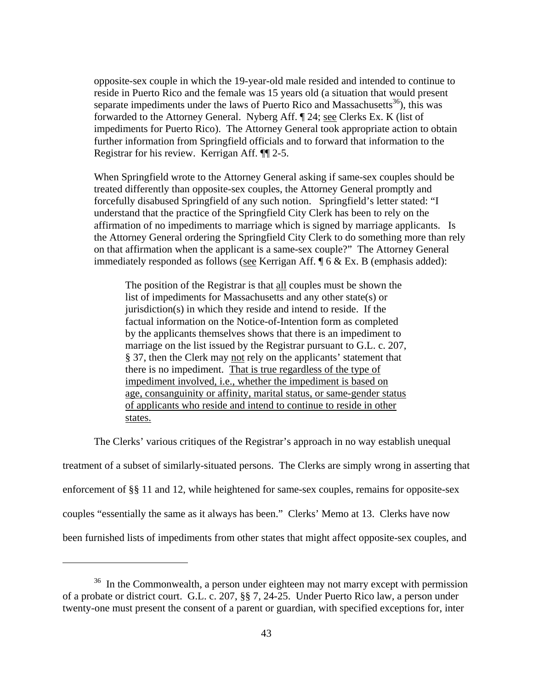<span id="page-42-0"></span>opposite-sex couple in which the 19-year-old male resided and intended to continue to reside in Puerto Rico and the female was 15 years old (a situation that would present separate impediments under the laws of Puerto Rico and Massachusetts<sup>36</sup>), this was forwarded to the Attorney General. Nyberg Aff. ¶ 24; see Clerks Ex. K (list of impediments for Puerto Rico). The Attorney General took appropriate action to obtain further information from Springfield officials and to forward that information to the Registrar for his review. Kerrigan Aff. ¶¶ 2-5.

When Springfield wrote to the Attorney General asking if same-sex couples should be treated differently than opposite-sex couples, the Attorney General promptly and forcefully disabused Springfield of any such notion. Springfield's letter stated: "I understand that the practice of the Springfield City Clerk has been to rely on the affirmation of no impediments to marriage which is signed by marriage applicants. Is the Attorney General ordering the Springfield City Clerk to do something more than rely on that affirmation when the applicant is a same-sex couple?" The Attorney General immediately responded as follows (see Kerrigan Aff. ¶ 6 & Ex. B (emphasis added):

The position of the Registrar is that all couples must be shown the list of impediments for Massachusetts and any other state(s) or jurisdiction(s) in which they reside and intend to reside. If the factual information on the Notice-of-Intention form as completed by the applicants themselves shows that there is an impediment to marriage on the list issued by the Registrar pursuant to G.L. c. 207, § 37, then the Clerk may not rely on the applicants' statement that there is no impediment. That is true regardless of the type of impediment involved, i.e., whether the impediment is based on age, consanguinity or affinity, marital status, or same-gender status of applicants who reside and intend to continue to reside in other states.

The Clerks' various critiques of the Registrar's approach in no way establish unequal

treatment of a subset of similarly-situated persons. The Clerks are simply wrong in asserting that enforcement of §§ 11 and 12, while heightened for same-sex couples, remains for opposite-sex couples "essentially the same as it always has been." Clerks' Memo at 13. Clerks have now been furnished lists of impediments from other states that might affect opposite-sex couples, and

<sup>&</sup>lt;sup>36</sup> In the Commonwealth, a person under eighteen may not marry except with permission of a probate or district court. G.L. c. 207, §§ 7, 24-25. Under Puerto Rico law, a person under twenty-one must present the consent of a parent or guardian, with specified exceptions for, inter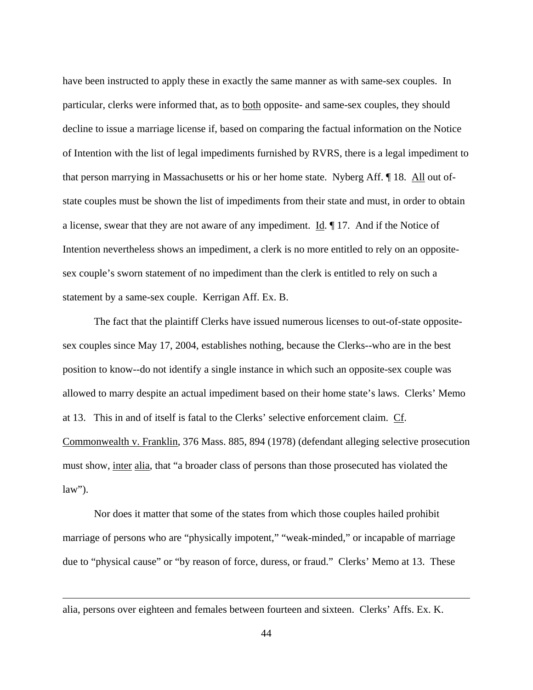have been instructed to apply these in exactly the same manner as with same-sex couples. In particular, clerks were informed that, as to both opposite- and same-sex couples, they should decline to issue a marriage license if, based on comparing the factual information on the Notice of Intention with the list of legal impediments furnished by RVRS, there is a legal impediment to that person marrying in Massachusetts or his or her home state. Nyberg Aff. ¶ 18. All out ofstate couples must be shown the list of impediments from their state and must, in order to obtain a license, swear that they are not aware of any impediment. Id. ¶ 17. And if the Notice of Intention nevertheless shows an impediment, a clerk is no more entitled to rely on an oppositesex couple's sworn statement of no impediment than the clerk is entitled to rely on such a statement by a same-sex couple. Kerrigan Aff. Ex. B.

 The fact that the plaintiff Clerks have issued numerous licenses to out-of-state oppositesex couples since May 17, 2004, establishes nothing, because the Clerks--who are in the best position to know--do not identify a single instance in which such an opposite-sex couple was allowed to marry despite an actual impediment based on their home state's laws. Clerks' Memo at 13. This in and of itself is fatal to the Clerks' selective enforcement claim. Cf. Commonwealth v. Franklin, 376 Mass. 885, 894 (1978) (defendant alleging selective prosecution must show, inter alia, that "a broader class of persons than those prosecuted has violated the  $law$ ").

 Nor does it matter that some of the states from which those couples hailed prohibit marriage of persons who are "physically impotent," "weak-minded," or incapable of marriage due to "physical cause" or "by reason of force, duress, or fraud." Clerks' Memo at 13. These

alia, persons over eighteen and females between fourteen and sixteen. Clerks' Affs. Ex. K.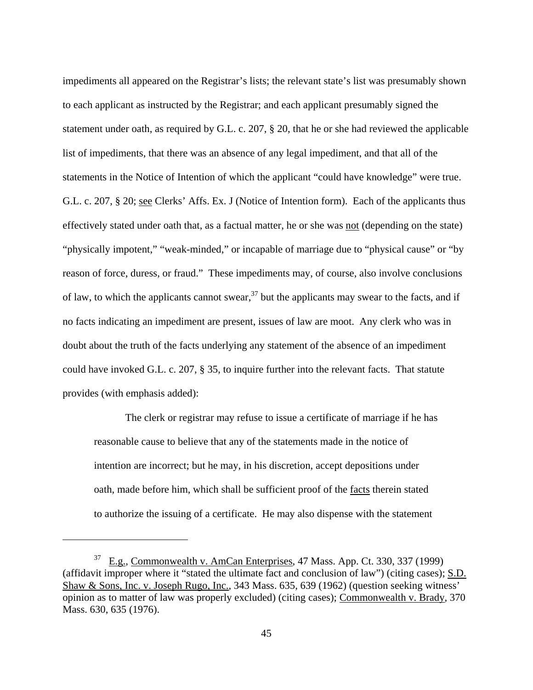impediments all appeared on the Registrar's lists; the relevant state's list was presumably shown to each applicant as instructed by the Registrar; and each applicant presumably signed the statement under oath, as required by G.L. c. 207, § 20, that he or she had reviewed the applicable list of impediments, that there was an absence of any legal impediment, and that all of the statements in the Notice of Intention of which the applicant "could have knowledge" were true. G.L. c. 207, § 20; see Clerks' Affs. Ex. J (Notice of Intention form). Each of the applicants thus effectively stated under oath that, as a factual matter, he or she was not (depending on the state) "physically impotent," "weak-minded," or incapable of marriage due to "physical cause" or "by reason of force, duress, or fraud." These impediments may, of course, also involve conclusions of law, to which the applicants cannot swear,  $37$  but the applicants may swear to the facts, and if no facts indicating an impediment are present, issues of law are moot. Any clerk who was in doubt about the truth of the facts underlying any statement of the absence of an impediment could have invoked G.L. c. 207, § 35, to inquire further into the relevant facts. That statute provides (with emphasis added):

 The clerk or registrar may refuse to issue a certificate of marriage if he has reasonable cause to believe that any of the statements made in the notice of intention are incorrect; but he may, in his discretion, accept depositions under oath, made before him, which shall be sufficient proof of the facts therein stated to authorize the issuing of a certificate. He may also dispense with the statement

<u>.</u>

<span id="page-44-0"></span> $37$  E.g., Commonwealth v. AmCan Enterprises, 47 Mass. App. Ct. 330, 337 (1999) (affidavit improper where it "stated the ultimate fact and conclusion of law") (citing cases); S.D. Shaw & Sons, Inc. v. Joseph Rugo, Inc., 343 Mass. 635, 639 (1962) (question seeking witness' opinion as to matter of law was properly excluded) (citing cases); Commonwealth v. Brady, 370 Mass. 630, 635 (1976).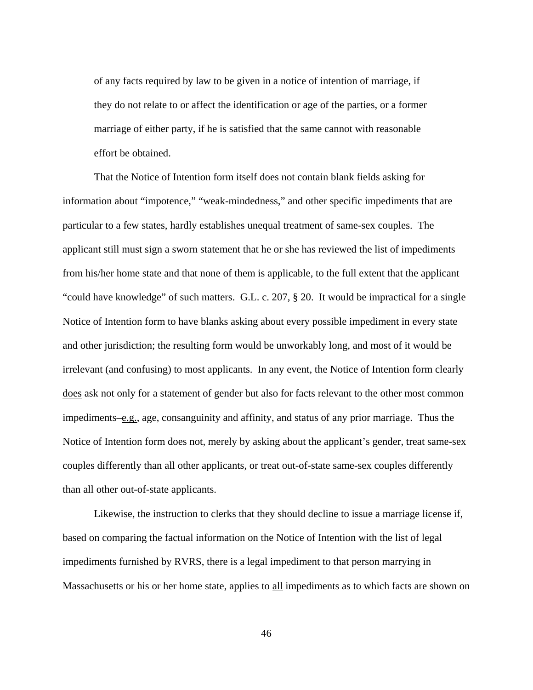of any facts required by law to be given in a notice of intention of marriage, if they do not relate to or affect the identification or age of the parties, or a former marriage of either party, if he is satisfied that the same cannot with reasonable effort be obtained.

 That the Notice of Intention form itself does not contain blank fields asking for information about "impotence," "weak-mindedness," and other specific impediments that are particular to a few states, hardly establishes unequal treatment of same-sex couples. The applicant still must sign a sworn statement that he or she has reviewed the list of impediments from his/her home state and that none of them is applicable, to the full extent that the applicant "could have knowledge" of such matters. G.L. c. 207, § 20. It would be impractical for a single Notice of Intention form to have blanks asking about every possible impediment in every state and other jurisdiction; the resulting form would be unworkably long, and most of it would be irrelevant (and confusing) to most applicants. In any event, the Notice of Intention form clearly does ask not only for a statement of gender but also for facts relevant to the other most common impediments–e.g., age, consanguinity and affinity, and status of any prior marriage. Thus the Notice of Intention form does not, merely by asking about the applicant's gender, treat same-sex couples differently than all other applicants, or treat out-of-state same-sex couples differently than all other out-of-state applicants.

 Likewise, the instruction to clerks that they should decline to issue a marriage license if, based on comparing the factual information on the Notice of Intention with the list of legal impediments furnished by RVRS, there is a legal impediment to that person marrying in Massachusetts or his or her home state, applies to all impediments as to which facts are shown on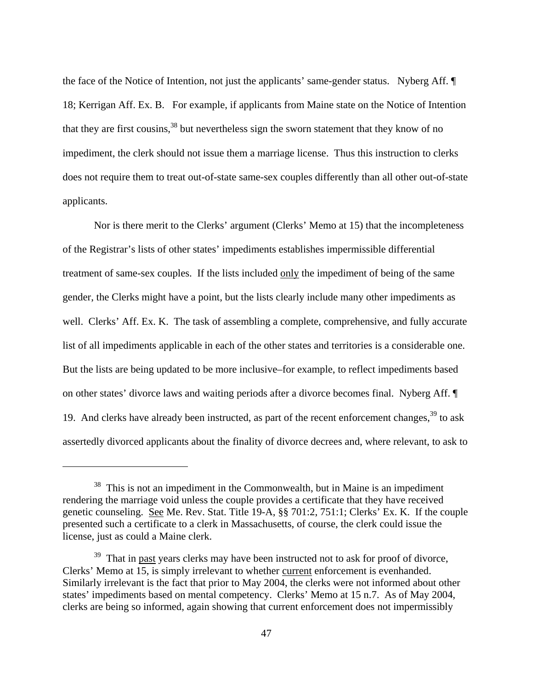<span id="page-46-1"></span>the face of the Notice of Intention, not just the applicants' same-gender status. Nyberg Aff. ¶ 18; Kerrigan Aff. Ex. B. For example, if applicants from Maine state on the Notice of Intention that they are first cousins,<sup>38</sup> but nevertheless sign the sworn statement that they know of no impediment, the clerk should not issue them a marriage license. Thus this instruction to clerks does not require them to treat out-of-state same-sex couples differently than all other out-of-state applicants.

 Nor is there merit to the Clerks' argument (Clerks' Memo at 15) that the incompleteness of the Registrar's lists of other states' impediments establishes impermissible differential treatment of same-sex couples. If the lists included only the impediment of being of the same gender, the Clerks might have a point, but the lists clearly include many other impediments as well. Clerks' Aff. Ex. K. The task of assembling a complete, comprehensive, and fully accurate list of all impediments applicable in each of the other states and territories is a considerable one. But the lists are being updated to be more inclusive–for example, to reflect impediments based on other states' divorce laws and waiting periods after a divorce becomes final. Nyberg Aff. ¶ 19. And clerks have already been instructed, as part of the recent enforcement changes,  $39$  to ask assertedly divorced applicants about the finality of divorce decrees and, where relevant, to ask to

<span id="page-46-0"></span> $38$  This is not an impediment in the Commonwealth, but in Maine is an impediment rendering the marriage void unless the couple provides a certificate that they have received genetic counseling. See Me. Rev. Stat. Title 19-A, §§ 701:2, 751:1; Clerks' Ex. K. If the couple presented such a certificate to a clerk in Massachusetts, of course, the clerk could issue the license, just as could a Maine clerk.

<sup>&</sup>lt;sup>39</sup> That in past years clerks may have been instructed not to ask for proof of divorce, Clerks' Memo at 15, is simply irrelevant to whether current enforcement is evenhanded. Similarly irrelevant is the fact that prior to May 2004, the clerks were not informed about other states' impediments based on mental competency. Clerks' Memo at 15 n.7. As of May 2004, clerks are being so informed, again showing that current enforcement does not impermissibly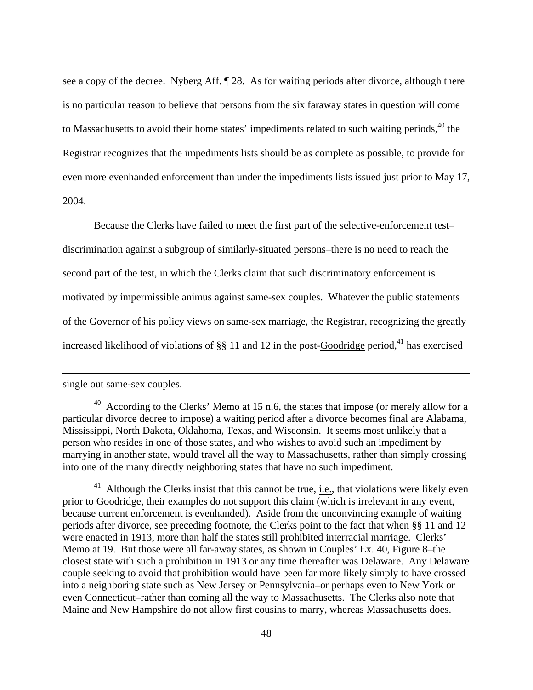<span id="page-47-1"></span>see a copy of the decree. Nyberg Aff. ¶ 28. As for waiting periods after divorce, although there is no particular reason to believe that persons from the six faraway states in question will come to Massachusetts to avoid their home states' impediments related to such waiting periods,<sup>40</sup> the Registrar recognizes that the impediments lists should be as complete as possible, to provide for even more evenhanded enforcement than under the impediments lists issued just prior to May 17, 2004.

 Because the Clerks have failed to meet the first part of the selective-enforcement test– discrimination against a subgroup of similarly-situated persons–there is no need to reach the second part of the test, in which the Clerks claim that such discriminatory enforcement is motivated by impermissible animus against same-sex couples. Whatever the public statements of the Governor of his policy views on same-sex marriage, the Registrar, recognizing the greatly increased likelihood of violations of  $\S$  11 and 12 in the post-Goodridge period,<sup>41</sup> has exercised

single out same-sex couples.

1

<sup>41</sup> Although the Clerks insist that this cannot be true, <u>i.e.</u>, that violations were likely even prior to Goodridge, their examples do not support this claim (which is irrelevant in any event, because current enforcement is evenhanded). Aside from the unconvincing example of waiting periods after divorce, see preceding footnote, the Clerks point to the fact that when §§ 11 and 12 were enacted in 1913, more than half the states still prohibited interracial marriage. Clerks' Memo at 19. But those were all far-away states, as shown in Couples' Ex. 40, Figure 8–the closest state with such a prohibition in 1913 or any time thereafter was Delaware. Any Delaware couple seeking to avoid that prohibition would have been far more likely simply to have crossed into a neighboring state such as New Jersey or Pennsylvania–or perhaps even to New York or even Connecticut–rather than coming all the way to Massachusetts. The Clerks also note that Maine and New Hampshire do not allow first cousins to marry, whereas Massachusetts does.

<span id="page-47-0"></span> $40$  According to the Clerks' Memo at 15 n.6, the states that impose (or merely allow for a particular divorce decree to impose) a waiting period after a divorce becomes final are Alabama, Mississippi, North Dakota, Oklahoma, Texas, and Wisconsin. It seems most unlikely that a person who resides in one of those states, and who wishes to avoid such an impediment by marrying in another state, would travel all the way to Massachusetts, rather than simply crossing into one of the many directly neighboring states that have no such impediment.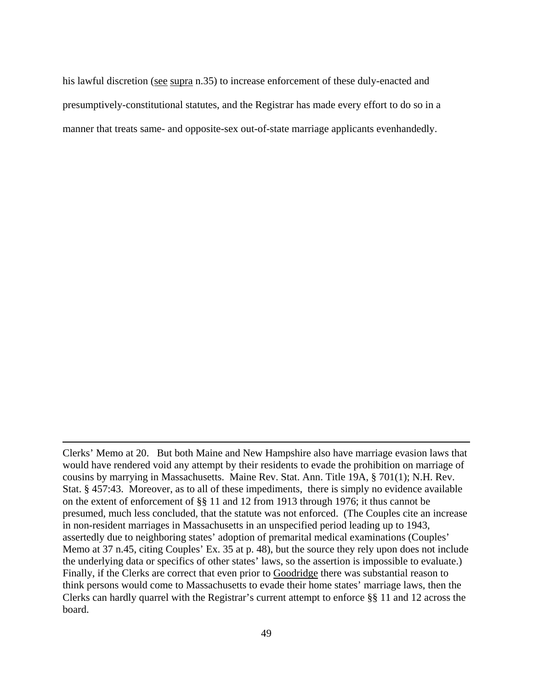his lawful discretion (see supra n.35) to increase enforcement of these duly-enacted and presumptively-constitutional statutes, and the Registrar has made every effort to do so in a manner that treats same- and opposite-sex out-of-state marriage applicants evenhandedly.

Clerks' Memo at 20. But both Maine and New Hampshire also have marriage evasion laws that would have rendered void any attempt by their residents to evade the prohibition on marriage of cousins by marrying in Massachusetts. Maine Rev. Stat. Ann. Title 19A, § 701(1); N.H. Rev. Stat. § 457:43. Moreover, as to all of these impediments, there is simply no evidence available on the extent of enforcement of §§ 11 and 12 from 1913 through 1976; it thus cannot be presumed, much less concluded, that the statute was not enforced. (The Couples cite an increase in non-resident marriages in Massachusetts in an unspecified period leading up to 1943, assertedly due to neighboring states' adoption of premarital medical examinations (Couples' Memo at 37 n.45, citing Couples' Ex. 35 at p. 48), but the source they rely upon does not include the underlying data or specifics of other states' laws, so the assertion is impossible to evaluate.) Finally, if the Clerks are correct that even prior to Goodridge there was substantial reason to think persons would come to Massachusetts to evade their home states' marriage laws, then the Clerks can hardly quarrel with the Registrar's current attempt to enforce §§ 11 and 12 across the board.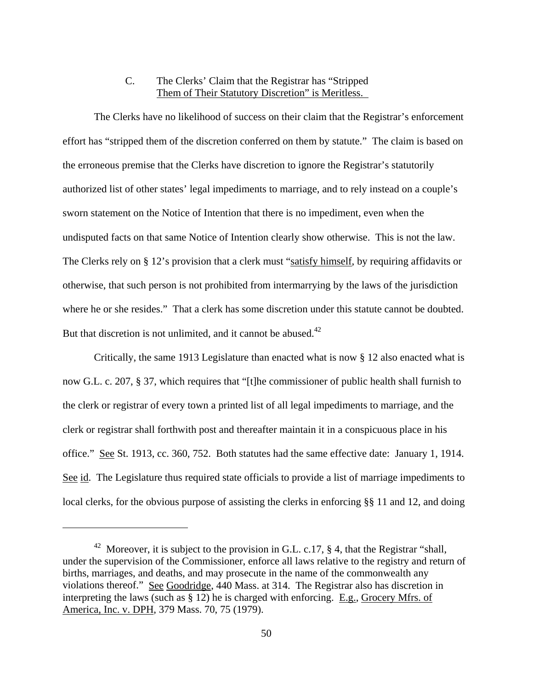# C. The Clerks' Claim that the Registrar has "Stripped Them of Their Statutory Discretion" is Meritless.

 The Clerks have no likelihood of success on their claim that the Registrar's enforcement effort has "stripped them of the discretion conferred on them by statute." The claim is based on the erroneous premise that the Clerks have discretion to ignore the Registrar's statutorily authorized list of other states' legal impediments to marriage, and to rely instead on a couple's sworn statement on the Notice of Intention that there is no impediment, even when the undisputed facts on that same Notice of Intention clearly show otherwise. This is not the law. The Clerks rely on § 12's provision that a clerk must "satisfy himself, by requiring affidavits or otherwise, that such person is not prohibited from intermarrying by the laws of the jurisdiction where he or she resides." That a clerk has some discretion under this statute cannot be doubted. But that discretion is not unlimited, and it cannot be abused.<sup>42</sup>

 Critically, the same 1913 Legislature than enacted what is now § 12 also enacted what is now G.L. c. 207, § 37, which requires that "[t]he commissioner of public health shall furnish to the clerk or registrar of every town a printed list of all legal impediments to marriage, and the clerk or registrar shall forthwith post and thereafter maintain it in a conspicuous place in his office." See St. 1913, cc. 360, 752. Both statutes had the same effective date: January 1, 1914. See id. The Legislature thus required state officials to provide a list of marriage impediments to local clerks, for the obvious purpose of assisting the clerks in enforcing §§ 11 and 12, and doing

<span id="page-49-0"></span><sup>&</sup>lt;sup>42</sup> Moreover, it is subject to the provision in G.L. c.17,  $\S$  4, that the Registrar "shall, under the supervision of the Commissioner, enforce all laws relative to the registry and return of births, marriages, and deaths, and may prosecute in the name of the commonwealth any violations thereof." See Goodridge, 440 Mass. at 314. The Registrar also has discretion in interpreting the laws (such as § 12) he is charged with enforcing. E.g., Grocery Mfrs. of America, Inc. v. DPH, 379 Mass. 70, 75 (1979).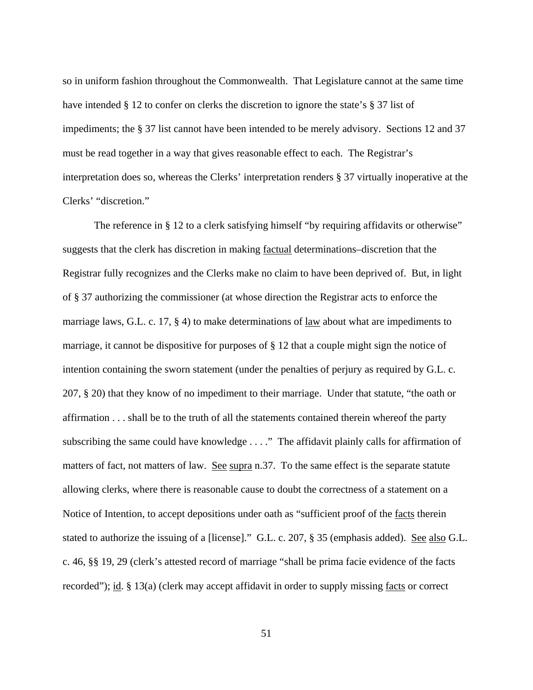so in uniform fashion throughout the Commonwealth. That Legislature cannot at the same time have intended § 12 to confer on clerks the discretion to ignore the state's § 37 list of impediments; the § 37 list cannot have been intended to be merely advisory. Sections 12 and 37 must be read together in a way that gives reasonable effect to each. The Registrar's interpretation does so, whereas the Clerks' interpretation renders § 37 virtually inoperative at the Clerks' "discretion."

The reference in § 12 to a clerk satisfying himself "by requiring affidavits or otherwise" suggests that the clerk has discretion in making factual determinations–discretion that the Registrar fully recognizes and the Clerks make no claim to have been deprived of. But, in light of § 37 authorizing the commissioner (at whose direction the Registrar acts to enforce the marriage laws, G.L. c. 17, § 4) to make determinations of law about what are impediments to marriage, it cannot be dispositive for purposes of § 12 that a couple might sign the notice of intention containing the sworn statement (under the penalties of perjury as required by G.L. c. 207, § 20) that they know of no impediment to their marriage. Under that statute, "the oath or affirmation . . . shall be to the truth of all the statements contained therein whereof the party subscribing the same could have knowledge . . . ." The affidavit plainly calls for affirmation of matters of fact, not matters of law. See supra n.37. To the same effect is the separate statute allowing clerks, where there is reasonable cause to doubt the correctness of a statement on a Notice of Intention, to accept depositions under oath as "sufficient proof of the facts therein stated to authorize the issuing of a [license]." G.L. c. 207, § 35 (emphasis added). See also G.L. c. 46, §§ 19, 29 (clerk's attested record of marriage "shall be prima facie evidence of the facts recorded"); id. § 13(a) (clerk may accept affidavit in order to supply missing facts or correct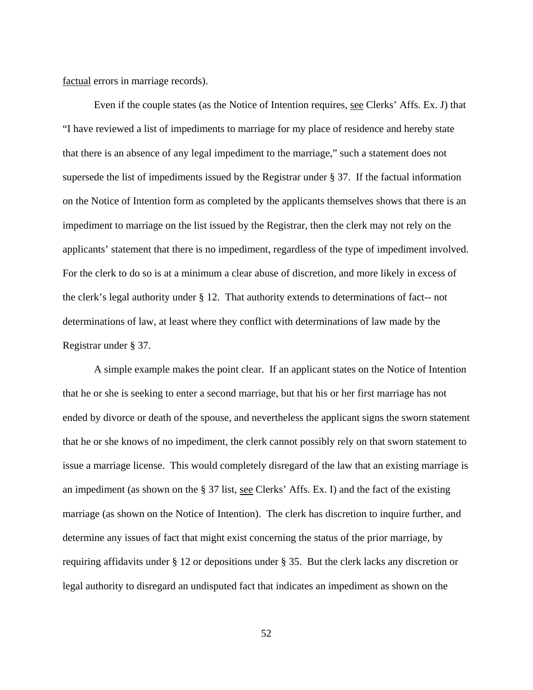factual errors in marriage records).

 Even if the couple states (as the Notice of Intention requires, see Clerks' Affs. Ex. J) that "I have reviewed a list of impediments to marriage for my place of residence and hereby state that there is an absence of any legal impediment to the marriage," such a statement does not supersede the list of impediments issued by the Registrar under § 37. If the factual information on the Notice of Intention form as completed by the applicants themselves shows that there is an impediment to marriage on the list issued by the Registrar, then the clerk may not rely on the applicants' statement that there is no impediment, regardless of the type of impediment involved. For the clerk to do so is at a minimum a clear abuse of discretion, and more likely in excess of the clerk's legal authority under § 12. That authority extends to determinations of fact-- not determinations of law, at least where they conflict with determinations of law made by the Registrar under § 37.

 A simple example makes the point clear. If an applicant states on the Notice of Intention that he or she is seeking to enter a second marriage, but that his or her first marriage has not ended by divorce or death of the spouse, and nevertheless the applicant signs the sworn statement that he or she knows of no impediment, the clerk cannot possibly rely on that sworn statement to issue a marriage license. This would completely disregard of the law that an existing marriage is an impediment (as shown on the § 37 list, see Clerks' Affs. Ex. I) and the fact of the existing marriage (as shown on the Notice of Intention). The clerk has discretion to inquire further, and determine any issues of fact that might exist concerning the status of the prior marriage, by requiring affidavits under § 12 or depositions under § 35. But the clerk lacks any discretion or legal authority to disregard an undisputed fact that indicates an impediment as shown on the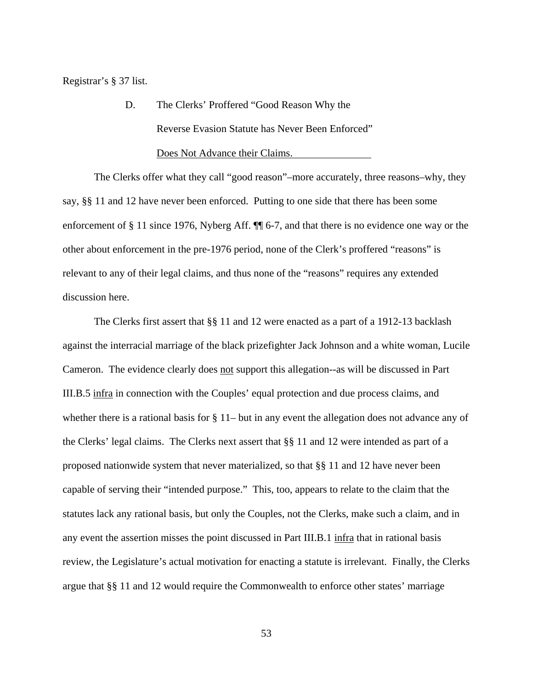Registrar's § 37 list.

 D. The Clerks' Proffered "Good Reason Why the Reverse Evasion Statute has Never Been Enforced" Does Not Advance their Claims.

 The Clerks offer what they call "good reason"–more accurately, three reasons–why, they say, §§ 11 and 12 have never been enforced. Putting to one side that there has been some enforcement of § 11 since 1976, Nyberg Aff. ¶¶ 6-7, and that there is no evidence one way or the other about enforcement in the pre-1976 period, none of the Clerk's proffered "reasons" is relevant to any of their legal claims, and thus none of the "reasons" requires any extended discussion here.

 The Clerks first assert that §§ 11 and 12 were enacted as a part of a 1912-13 backlash against the interracial marriage of the black prizefighter Jack Johnson and a white woman, Lucile Cameron. The evidence clearly does not support this allegation--as will be discussed in Part III.B.5 infra in connection with the Couples' equal protection and due process claims, and whether there is a rational basis for § 11– but in any event the allegation does not advance any of the Clerks' legal claims. The Clerks next assert that §§ 11 and 12 were intended as part of a proposed nationwide system that never materialized, so that §§ 11 and 12 have never been capable of serving their "intended purpose." This, too, appears to relate to the claim that the statutes lack any rational basis, but only the Couples, not the Clerks, make such a claim, and in any event the assertion misses the point discussed in Part III.B.1 infra that in rational basis review, the Legislature's actual motivation for enacting a statute is irrelevant. Finally, the Clerks argue that §§ 11 and 12 would require the Commonwealth to enforce other states' marriage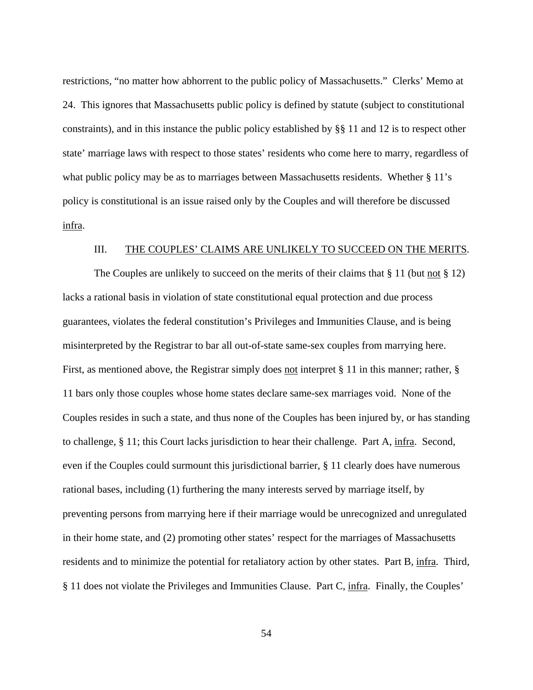restrictions, "no matter how abhorrent to the public policy of Massachusetts." Clerks' Memo at 24. This ignores that Massachusetts public policy is defined by statute (subject to constitutional constraints), and in this instance the public policy established by §§ 11 and 12 is to respect other state' marriage laws with respect to those states' residents who come here to marry, regardless of what public policy may be as to marriages between Massachusetts residents. Whether § 11's policy is constitutional is an issue raised only by the Couples and will therefore be discussed infra.

#### III. THE COUPLES' CLAIMS ARE UNLIKELY TO SUCCEED ON THE MERITS.

The Couples are unlikely to succeed on the merits of their claims that  $\S 11$  (but not  $\S 12$ ) lacks a rational basis in violation of state constitutional equal protection and due process guarantees, violates the federal constitution's Privileges and Immunities Clause, and is being misinterpreted by the Registrar to bar all out-of-state same-sex couples from marrying here. First, as mentioned above, the Registrar simply does not interpret § 11 in this manner; rather, § 11 bars only those couples whose home states declare same-sex marriages void. None of the Couples resides in such a state, and thus none of the Couples has been injured by, or has standing to challenge, § 11; this Court lacks jurisdiction to hear their challenge. Part A, infra. Second, even if the Couples could surmount this jurisdictional barrier, § 11 clearly does have numerous rational bases, including (1) furthering the many interests served by marriage itself, by preventing persons from marrying here if their marriage would be unrecognized and unregulated in their home state, and (2) promoting other states' respect for the marriages of Massachusetts residents and to minimize the potential for retaliatory action by other states. Part B, infra. Third, § 11 does not violate the Privileges and Immunities Clause. Part C, infra. Finally, the Couples'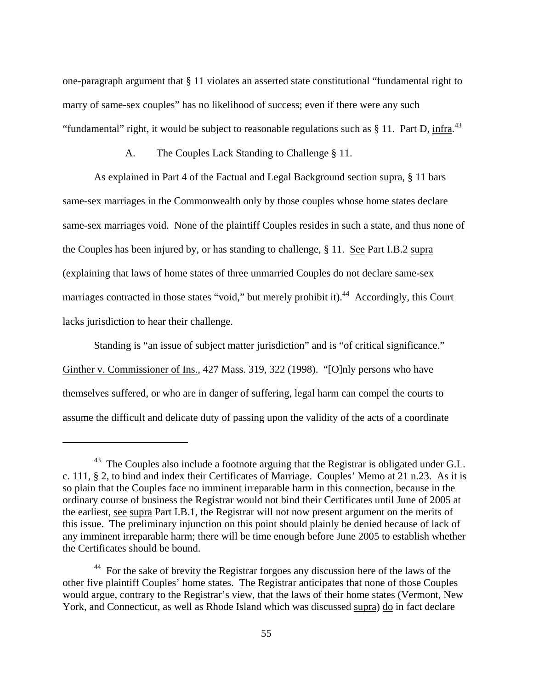<span id="page-54-1"></span>one-paragraph argument that § 11 violates an asserted state constitutional "fundamental right to marry of same-sex couples" has no likelihood of success; even if there were any such "fundamental" right, it would be subject to reasonable regulations such as § 11. Part D, infra.<sup>[43](#page-54-0)</sup>

### A. The Couples Lack Standing to Challenge § 11.

 As explained in Part 4 of the Factual and Legal Background section supra, § 11 bars same-sex marriages in the Commonwealth only by those couples whose home states declare same-sex marriages void. None of the plaintiff Couples resides in such a state, and thus none of the Couples has been injured by, or has standing to challenge, § 11. See Part I.B.2 supra (explaining that laws of home states of three unmarried Couples do not declare same-sex marriages contracted in those states "void," but merely prohibit it).<sup>44</sup> Accordingly, this Court lacks jurisdiction to hear their challenge.

 Standing is "an issue of subject matter jurisdiction" and is "of critical significance." Ginther v. Commissioner of Ins., 427 Mass. 319, 322 (1998). "[O]nly persons who have themselves suffered, or who are in danger of suffering, legal harm can compel the courts to assume the difficult and delicate duty of passing upon the validity of the acts of a coordinate

<span id="page-54-0"></span> $43$  The Couples also include a footnote arguing that the Registrar is obligated under G.L. c. 111, § 2, to bind and index their Certificates of Marriage. Couples' Memo at 21 n.23. As it is so plain that the Couples face no imminent irreparable harm in this connection, because in the ordinary course of business the Registrar would not bind their Certificates until June of 2005 at the earliest, see supra Part I.B.1, the Registrar will not now present argument on the merits of this issue. The preliminary injunction on this point should plainly be denied because of lack of any imminent irreparable harm; there will be time enough before June 2005 to establish whether the Certificates should be bound.

<sup>&</sup>lt;sup>44</sup> For the sake of brevity the Registrar forgoes any discussion here of the laws of the other five plaintiff Couples' home states. The Registrar anticipates that none of those Couples would argue, contrary to the Registrar's view, that the laws of their home states (Vermont, New York, and Connecticut, as well as Rhode Island which was discussed supra) do in fact declare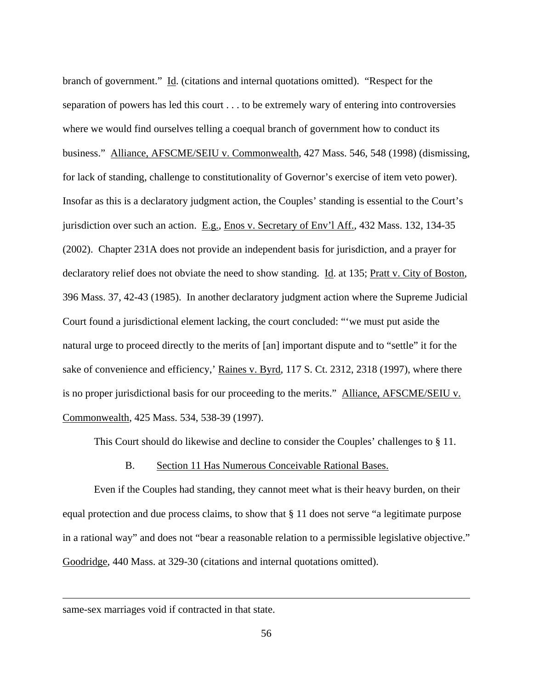branch of government." Id. (citations and internal quotations omitted). "Respect for the separation of powers has led this court . . . to be extremely wary of entering into controversies where we would find ourselves telling a coequal branch of government how to conduct its business." Alliance, AFSCME/SEIU v. Commonwealth, 427 Mass. 546, 548 (1998) (dismissing, for lack of standing, challenge to constitutionality of Governor's exercise of item veto power). Insofar as this is a declaratory judgment action, the Couples' standing is essential to the Court's jurisdiction over such an action. E.g., Enos v. Secretary of Env'l Aff., 432 Mass. 132, 134-35 (2002). Chapter 231A does not provide an independent basis for jurisdiction, and a prayer for declaratory relief does not obviate the need to show standing. Id. at 135; Pratt v. City of Boston, 396 Mass. 37, 42-43 (1985). In another declaratory judgment action where the Supreme Judicial Court found a jurisdictional element lacking, the court concluded: "'we must put aside the natural urge to proceed directly to the merits of [an] important dispute and to "settle" it for the sake of convenience and efficiency,' Raines v. Byrd, 117 S. Ct. 2312, 2318 (1997), where there is no proper jurisdictional basis for our proceeding to the merits." Alliance, AFSCME/SEIU v. Commonwealth, 425 Mass. 534, 538-39 (1997).

This Court should do likewise and decline to consider the Couples' challenges to § 11.

#### B. Section 11 Has Numerous Conceivable Rational Bases.

 Even if the Couples had standing, they cannot meet what is their heavy burden, on their equal protection and due process claims, to show that § 11 does not serve "a legitimate purpose in a rational way" and does not "bear a reasonable relation to a permissible legislative objective." Goodridge, 440 Mass. at 329-30 (citations and internal quotations omitted).

same-sex marriages void if contracted in that state.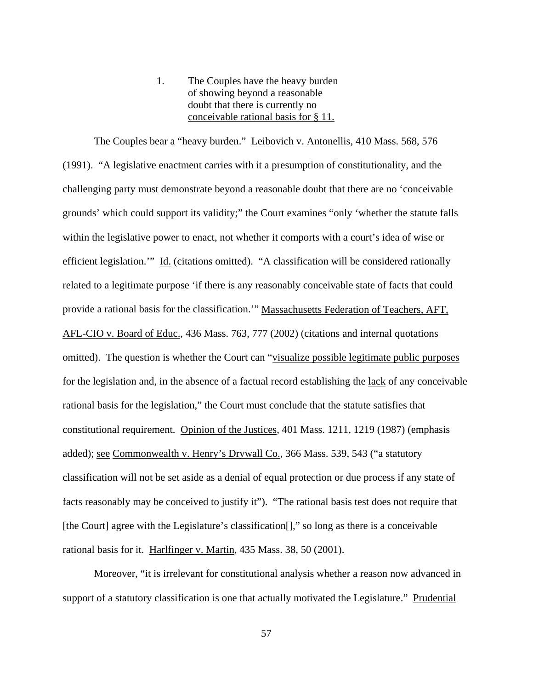# 1. The Couples have the heavy burden of showing beyond a reasonable doubt that there is currently no conceivable rational basis for § 11.

 The Couples bear a "heavy burden." Leibovich v. Antonellis, 410 Mass. 568, 576 (1991). "A legislative enactment carries with it a presumption of constitutionality, and the challenging party must demonstrate beyond a reasonable doubt that there are no 'conceivable grounds' which could support its validity;" the Court examines "only 'whether the statute falls within the legislative power to enact, not whether it comports with a court's idea of wise or efficient legislation.'" Id. (citations omitted). "A classification will be considered rationally related to a legitimate purpose 'if there is any reasonably conceivable state of facts that could provide a rational basis for the classification.'" Massachusetts Federation of Teachers, AFT, AFL-CIO v. Board of Educ., 436 Mass. 763, 777 (2002) (citations and internal quotations omitted). The question is whether the Court can "visualize possible legitimate public purposes for the legislation and, in the absence of a factual record establishing the lack of any conceivable rational basis for the legislation," the Court must conclude that the statute satisfies that constitutional requirement. Opinion of the Justices, 401 Mass. 1211, 1219 (1987) (emphasis added); see Commonwealth v. Henry's Drywall Co., 366 Mass. 539, 543 ("a statutory classification will not be set aside as a denial of equal protection or due process if any state of facts reasonably may be conceived to justify it"). "The rational basis test does not require that [the Court] agree with the Legislature's classification<sup>[]</sup>," so long as there is a conceivable rational basis for it. Harlfinger v. Martin, 435 Mass. 38, 50 (2001).

 Moreover, "it is irrelevant for constitutional analysis whether a reason now advanced in support of a statutory classification is one that actually motivated the Legislature." Prudential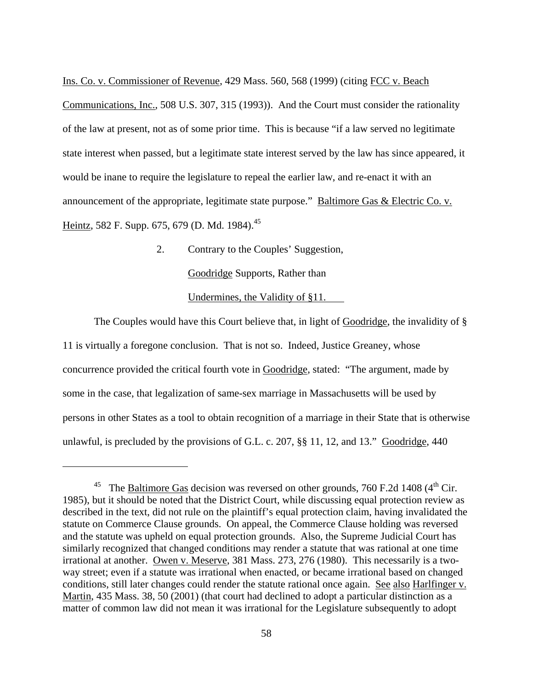<span id="page-57-0"></span>Ins. Co. v. Commissioner of Revenue, 429 Mass. 560, 568 (1999) (citing FCC v. Beach

Communications, Inc., 508 U.S. 307, 315 (1993)). And the Court must consider the rationality of the law at present, not as of some prior time. This is because "if a law served no legitimate state interest when passed, but a legitimate state interest served by the law has since appeared, it would be inane to require the legislature to repeal the earlier law, and re-enact it with an announcement of the appropriate, legitimate state purpose." Baltimore Gas & Electric Co. v. Heintz, 582 F. Supp. 675, 679 (D. Md. 1984).<sup>[45](#page-57-0)</sup>

2. Contrary to the Couples' Suggestion,

Goodridge Supports, Rather than

Undermines, the Validity of §11.

 The Couples would have this Court believe that, in light of Goodridge, the invalidity of § 11 is virtually a foregone conclusion. That is not so. Indeed, Justice Greaney, whose concurrence provided the critical fourth vote in Goodridge, stated: "The argument, made by some in the case, that legalization of same-sex marriage in Massachusetts will be used by persons in other States as a tool to obtain recognition of a marriage in their State that is otherwise unlawful, is precluded by the provisions of G.L. c. 207, §§ 11, 12, and 13." Goodridge, 440

The Baltimore Gas decision was reversed on other grounds, 760 F.2d 1408 ( $4<sup>th</sup>$  Cir. 1985), but it should be noted that the District Court, while discussing equal protection review as described in the text, did not rule on the plaintiff's equal protection claim, having invalidated the statute on Commerce Clause grounds. On appeal, the Commerce Clause holding was reversed and the statute was upheld on equal protection grounds. Also, the Supreme Judicial Court has similarly recognized that changed conditions may render a statute that was rational at one time irrational at another. Owen v. Meserve, 381 Mass. 273, 276 (1980). This necessarily is a twoway street; even if a statute was irrational when enacted, or became irrational based on changed conditions, still later changes could render the statute rational once again. See also Harlfinger v. Martin, 435 Mass. 38, 50 (2001) (that court had declined to adopt a particular distinction as a matter of common law did not mean it was irrational for the Legislature subsequently to adopt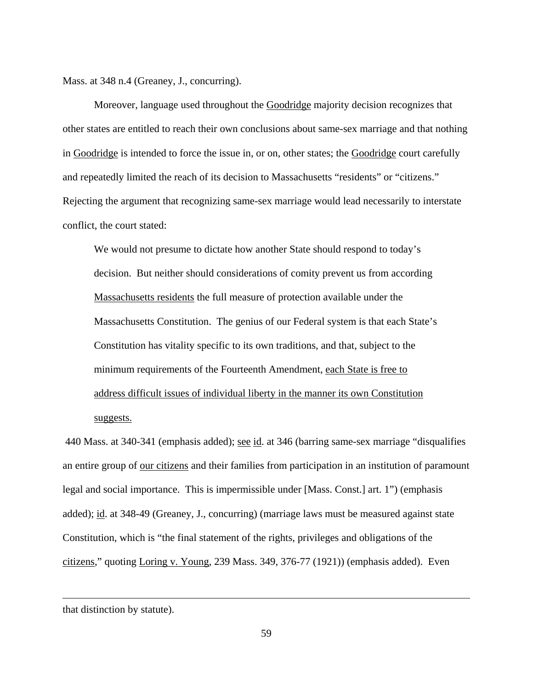Mass. at 348 n.4 (Greaney, J., concurring).

Moreover, language used throughout the Goodridge majority decision recognizes that other states are entitled to reach their own conclusions about same-sex marriage and that nothing in Goodridge is intended to force the issue in, or on, other states; the Goodridge court carefully and repeatedly limited the reach of its decision to Massachusetts "residents" or "citizens." Rejecting the argument that recognizing same-sex marriage would lead necessarily to interstate conflict, the court stated:

We would not presume to dictate how another State should respond to today's decision. But neither should considerations of comity prevent us from according Massachusetts residents the full measure of protection available under the Massachusetts Constitution. The genius of our Federal system is that each State's Constitution has vitality specific to its own traditions, and that, subject to the minimum requirements of the Fourteenth Amendment, each State is free to address difficult issues of individual liberty in the manner its own Constitution suggests.

440 Mass. at 340-341 (emphasis added); <u>see id</u>. at 346 (barring same-sex marriage "disqualifies an entire group of our citizens and their families from participation in an institution of paramount legal and social importance. This is impermissible under [Mass. Const.] art. 1") (emphasis added); id. at 348-49 (Greaney, J., concurring) (marriage laws must be measured against state Constitution, which is "the final statement of the rights, privileges and obligations of the citizens," quoting Loring v. Young, 239 Mass. 349, 376-77 (1921)) (emphasis added). Even

that distinction by statute).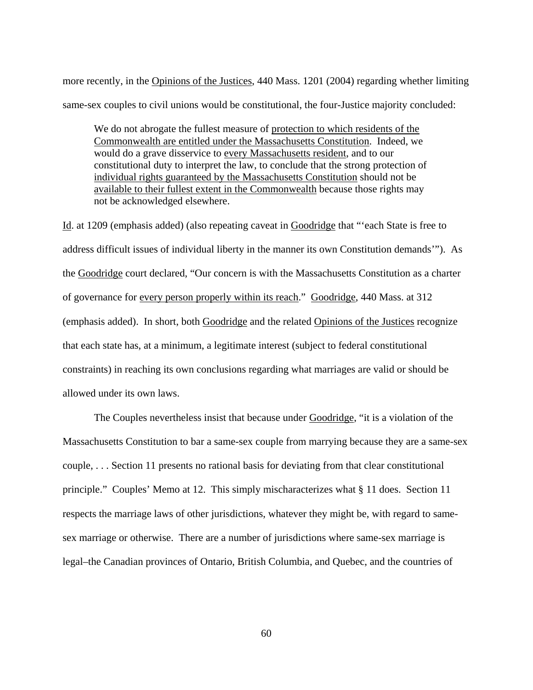more recently, in the Opinions of the Justices, 440 Mass. 1201 (2004) regarding whether limiting same-sex couples to civil unions would be constitutional, the four-Justice majority concluded:

We do not abrogate the fullest measure of protection to which residents of the Commonwealth are entitled under the Massachusetts Constitution. Indeed, we would do a grave disservice to every Massachusetts resident, and to our constitutional duty to interpret the law, to conclude that the strong protection of individual rights guaranteed by the Massachusetts Constitution should not be available to their fullest extent in the Commonwealth because those rights may not be acknowledged elsewhere.

Id. at 1209 (emphasis added) (also repeating caveat in Goodridge that "'each State is free to address difficult issues of individual liberty in the manner its own Constitution demands'"). As the Goodridge court declared, "Our concern is with the Massachusetts Constitution as a charter of governance for every person properly within its reach." Goodridge, 440 Mass. at 312 (emphasis added). In short, both Goodridge and the related Opinions of the Justices recognize that each state has, at a minimum, a legitimate interest (subject to federal constitutional constraints) in reaching its own conclusions regarding what marriages are valid or should be allowed under its own laws.

 The Couples nevertheless insist that because under Goodridge, "it is a violation of the Massachusetts Constitution to bar a same-sex couple from marrying because they are a same-sex couple, . . . Section 11 presents no rational basis for deviating from that clear constitutional principle." Couples' Memo at 12. This simply mischaracterizes what § 11 does. Section 11 respects the marriage laws of other jurisdictions, whatever they might be, with regard to samesex marriage or otherwise. There are a number of jurisdictions where same-sex marriage is legal–the Canadian provinces of Ontario, British Columbia, and Quebec, and the countries of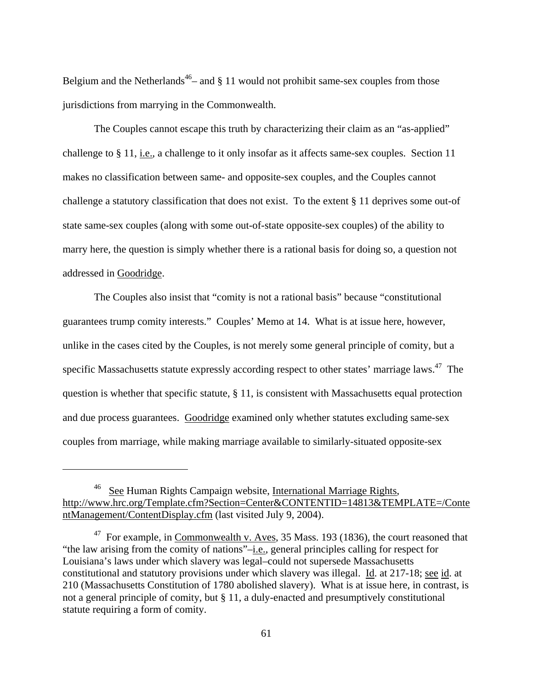Belgium and the Netherlands<sup>46</sup>– and  $\S$  11 would not prohibit same-sex couples from those jurisdictions from marrying in the Commonwealth.

 The Couples cannot escape this truth by characterizing their claim as an "as-applied" challenge to § 11, *i.e.*, a challenge to it only insofar as it affects same-sex couples. Section 11 makes no classification between same- and opposite-sex couples, and the Couples cannot challenge a statutory classification that does not exist. To the extent § 11 deprives some out-of state same-sex couples (along with some out-of-state opposite-sex couples) of the ability to marry here, the question is simply whether there is a rational basis for doing so, a question not addressed in Goodridge.

 The Couples also insist that "comity is not a rational basis" because "constitutional guarantees trump comity interests." Couples' Memo at 14. What is at issue here, however, unlike in the cases cited by the Couples, is not merely some general principle of comity, but a specific Massachusetts statute expressly according respect to other states' marriage laws.<sup>47</sup> The question is whether that specific statute,  $\S 11$ , is consistent with Massachusetts equal protection and due process guarantees. Goodridge examined only whether statutes excluding same-sex couples from marriage, while making marriage available to similarly-situated opposite-sex

<u>.</u>

<span id="page-60-0"></span><sup>46</sup> See Human Rights Campaign website, International Marriage Rights, http://www.hrc.org/Template.cfm?Section=Center&CONTENTID=14813&TEMPLATE=/Conte ntManagement/ContentDisplay.cfm (last visited July 9, 2004).

<span id="page-60-1"></span> $47$  For example, in Commonwealth v. Aves, 35 Mass. 193 (1836), the court reasoned that "the law arising from the comity of nations"–i.e., general principles calling for respect for Louisiana's laws under which slavery was legal–could not supersede Massachusetts constitutional and statutory provisions under which slavery was illegal. Id. at 217-18; see id. at 210 (Massachusetts Constitution of 1780 abolished slavery). What is at issue here, in contrast, is not a general principle of comity, but § 11, a duly-enacted and presumptively constitutional statute requiring a form of comity.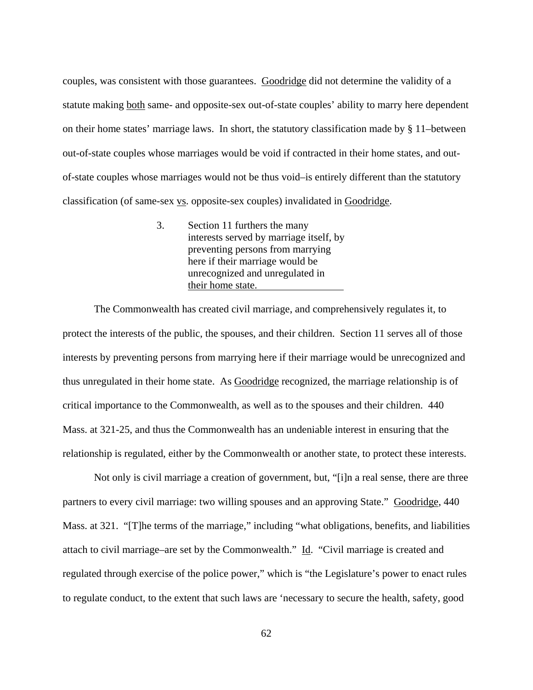couples, was consistent with those guarantees. Goodridge did not determine the validity of a statute making both same- and opposite-sex out-of-state couples' ability to marry here dependent on their home states' marriage laws. In short, the statutory classification made by § 11–between out-of-state couples whose marriages would be void if contracted in their home states, and outof-state couples whose marriages would not be thus void–is entirely different than the statutory classification (of same-sex vs. opposite-sex couples) invalidated in Goodridge.

> 3. Section 11 furthers the many interests served by marriage itself, by preventing persons from marrying here if their marriage would be unrecognized and unregulated in their home state.

 The Commonwealth has created civil marriage, and comprehensively regulates it, to protect the interests of the public, the spouses, and their children. Section 11 serves all of those interests by preventing persons from marrying here if their marriage would be unrecognized and thus unregulated in their home state. As Goodridge recognized, the marriage relationship is of critical importance to the Commonwealth, as well as to the spouses and their children. 440 Mass. at 321-25, and thus the Commonwealth has an undeniable interest in ensuring that the relationship is regulated, either by the Commonwealth or another state, to protect these interests.

 Not only is civil marriage a creation of government, but, "[i]n a real sense, there are three partners to every civil marriage: two willing spouses and an approving State." Goodridge, 440 Mass. at 321. "[T]he terms of the marriage," including "what obligations, benefits, and liabilities attach to civil marriage–are set by the Commonwealth." Id. "Civil marriage is created and regulated through exercise of the police power," which is "the Legislature's power to enact rules to regulate conduct, to the extent that such laws are 'necessary to secure the health, safety, good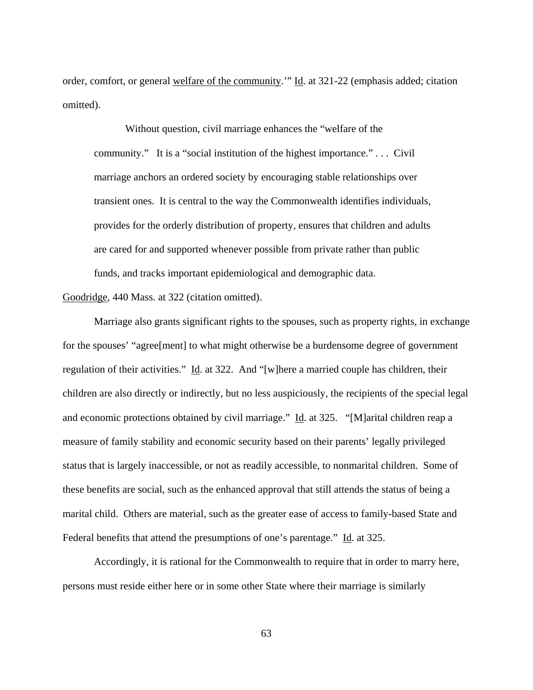order, comfort, or general welfare of the community." Id. at 321-22 (emphasis added; citation omitted).

 Without question, civil marriage enhances the "welfare of the community." It is a "social institution of the highest importance." . . . Civil marriage anchors an ordered society by encouraging stable relationships over transient ones. It is central to the way the Commonwealth identifies individuals, provides for the orderly distribution of property, ensures that children and adults are cared for and supported whenever possible from private rather than public funds, and tracks important epidemiological and demographic data.

Goodridge, 440 Mass. at 322 (citation omitted).

 Marriage also grants significant rights to the spouses, such as property rights, in exchange for the spouses' "agree[ment] to what might otherwise be a burdensome degree of government regulation of their activities." Id. at 322. And "[w]here a married couple has children, their children are also directly or indirectly, but no less auspiciously, the recipients of the special legal and economic protections obtained by civil marriage." Id. at 325. "[M]arital children reap a measure of family stability and economic security based on their parents' legally privileged status that is largely inaccessible, or not as readily accessible, to nonmarital children. Some of these benefits are social, such as the enhanced approval that still attends the status of being a marital child. Others are material, such as the greater ease of access to family-based State and Federal benefits that attend the presumptions of one's parentage." Id. at 325.

 Accordingly, it is rational for the Commonwealth to require that in order to marry here, persons must reside either here or in some other State where their marriage is similarly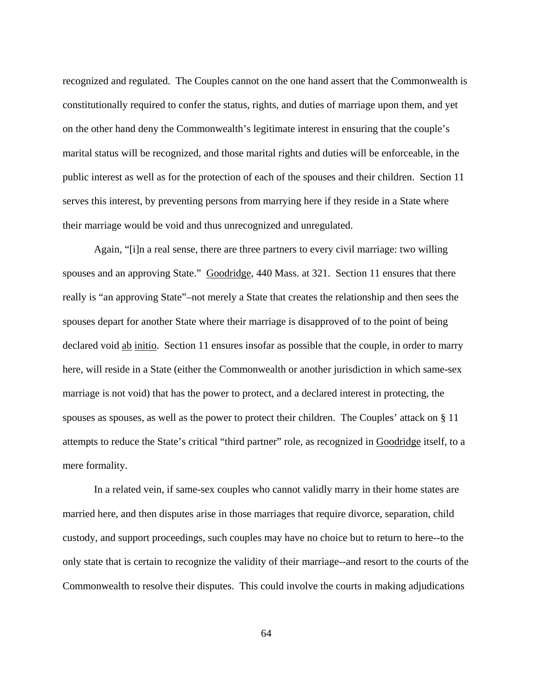recognized and regulated. The Couples cannot on the one hand assert that the Commonwealth is constitutionally required to confer the status, rights, and duties of marriage upon them, and yet on the other hand deny the Commonwealth's legitimate interest in ensuring that the couple's marital status will be recognized, and those marital rights and duties will be enforceable, in the public interest as well as for the protection of each of the spouses and their children. Section 11 serves this interest, by preventing persons from marrying here if they reside in a State where their marriage would be void and thus unrecognized and unregulated.

 Again, "[i]n a real sense, there are three partners to every civil marriage: two willing spouses and an approving State." Goodridge, 440 Mass. at 321. Section 11 ensures that there really is "an approving State"–not merely a State that creates the relationship and then sees the spouses depart for another State where their marriage is disapproved of to the point of being declared void ab initio. Section 11 ensures insofar as possible that the couple, in order to marry here, will reside in a State (either the Commonwealth or another jurisdiction in which same-sex marriage is not void) that has the power to protect, and a declared interest in protecting, the spouses as spouses, as well as the power to protect their children. The Couples' attack on § 11 attempts to reduce the State's critical "third partner" role, as recognized in Goodridge itself, to a mere formality.

 In a related vein, if same-sex couples who cannot validly marry in their home states are married here, and then disputes arise in those marriages that require divorce, separation, child custody, and support proceedings, such couples may have no choice but to return to here--to the only state that is certain to recognize the validity of their marriage--and resort to the courts of the Commonwealth to resolve their disputes. This could involve the courts in making adjudications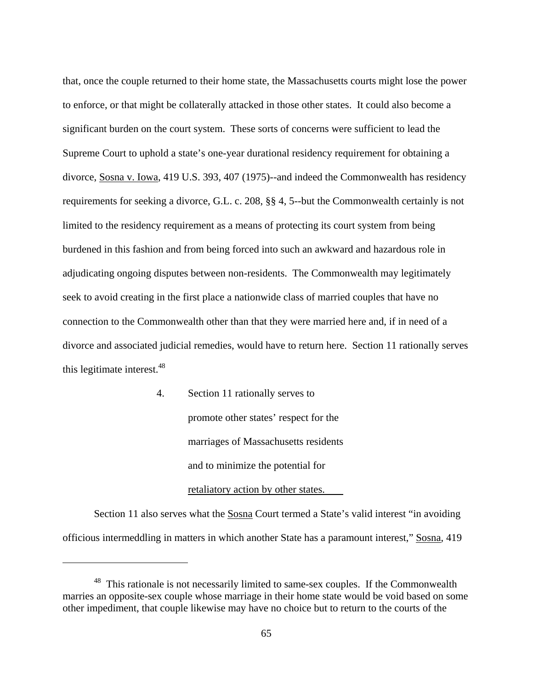<span id="page-64-0"></span>that, once the couple returned to their home state, the Massachusetts courts might lose the power to enforce, or that might be collaterally attacked in those other states. It could also become a significant burden on the court system. These sorts of concerns were sufficient to lead the Supreme Court to uphold a state's one-year durational residency requirement for obtaining a divorce, Sosna v. Iowa, 419 U.S. 393, 407 (1975)--and indeed the Commonwealth has residency requirements for seeking a divorce, G.L. c. 208, §§ 4, 5--but the Commonwealth certainly is not limited to the residency requirement as a means of protecting its court system from being burdened in this fashion and from being forced into such an awkward and hazardous role in adjudicating ongoing disputes between non-residents. The Commonwealth may legitimately seek to avoid creating in the first place a nationwide class of married couples that have no connection to the Commonwealth other than that they were married here and, if in need of a divorce and associated judicial remedies, would have to return here. Section 11 rationally serves this legitimate interest.<sup>[48](#page-64-0)</sup>

> 4. Section 11 rationally serves to promote other states' respect for the marriages of Massachusetts residents and to minimize the potential for retaliatory action by other states.

 Section 11 also serves what the Sosna Court termed a State's valid interest "in avoiding officious intermeddling in matters in which another State has a paramount interest," Sosna, 419

<sup>&</sup>lt;sup>48</sup> This rationale is not necessarily limited to same-sex couples. If the Commonwealth marries an opposite-sex couple whose marriage in their home state would be void based on some other impediment, that couple likewise may have no choice but to return to the courts of the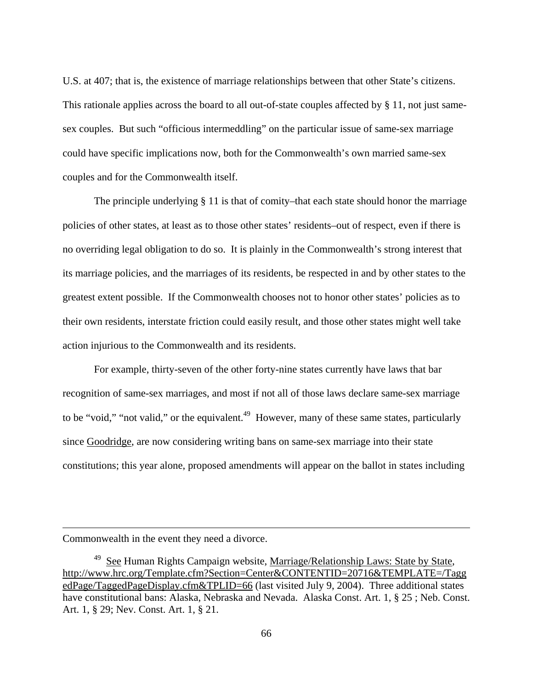U.S. at 407; that is, the existence of marriage relationships between that other State's citizens. This rationale applies across the board to all out-of-state couples affected by § 11, not just samesex couples. But such "officious intermeddling" on the particular issue of same-sex marriage could have specific implications now, both for the Commonwealth's own married same-sex couples and for the Commonwealth itself.

The principle underlying § 11 is that of comity–that each state should honor the marriage policies of other states, at least as to those other states' residents–out of respect, even if there is no overriding legal obligation to do so. It is plainly in the Commonwealth's strong interest that its marriage policies, and the marriages of its residents, be respected in and by other states to the greatest extent possible. If the Commonwealth chooses not to honor other states' policies as to their own residents, interstate friction could easily result, and those other states might well take action injurious to the Commonwealth and its residents.

 For example, thirty-seven of the other forty-nine states currently have laws that bar recognition of same-sex marriages, and most if not all of those laws declare same-sex marriage to be "void," "not valid," or the equivalent.<sup>49</sup> However, many of these same states, particularly since Goodridge, are now considering writing bans on same-sex marriage into their state constitutions; this year alone, proposed amendments will appear on the ballot in states including

Commonwealth in the event they need a divorce.

<span id="page-65-0"></span> $49$  See Human Rights Campaign website, Marriage/Relationship Laws: State by State, http://www.hrc.org/Template.cfm?Section=Center&CONTENTID=20716&TEMPLATE=/Tagg edPage/TaggedPageDisplay.cfm&TPLID=66 (last visited July 9, 2004). Three additional states have constitutional bans: Alaska, Nebraska and Nevada. Alaska Const. Art. 1, § 25 ; Neb. Const. Art. 1, § 29; Nev. Const. Art. 1, § 21.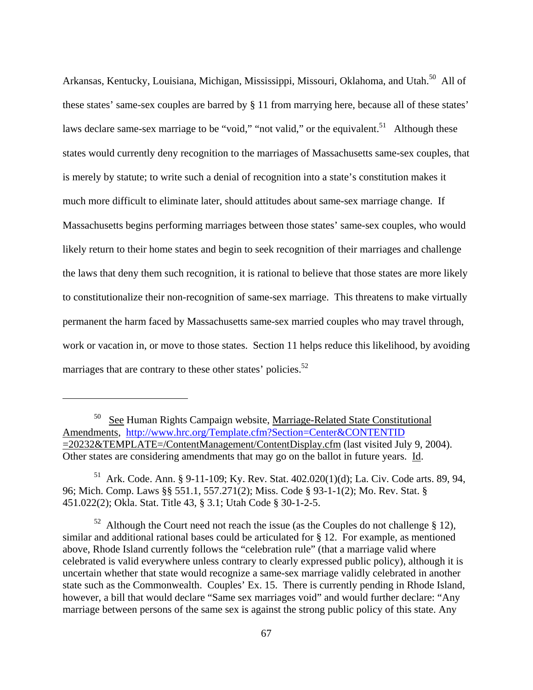<span id="page-66-2"></span>Arkansas, Kentucky, Louisiana, Michigan, Mississippi, Missouri, Oklahoma, and Utah.<sup>50</sup> All of these states' same-sex couples are barred by § 11 from marrying here, because all of these states' laws declare same-sex marriage to be "void," "not valid," or the equivalent.<sup>51</sup> Although these states would currently deny recognition to the marriages of Massachusetts same-sex couples, that is merely by statute; to write such a denial of recognition into a state's constitution makes it much more difficult to eliminate later, should attitudes about same-sex marriage change. If Massachusetts begins performing marriages between those states' same-sex couples, who would likely return to their home states and begin to seek recognition of their marriages and challenge the laws that deny them such recognition, it is rational to believe that those states are more likely to constitutionalize their non-recognition of same-sex marriage. This threatens to make virtually permanent the harm faced by Massachusetts same-sex married couples who may travel through, work or vacation in, or move to those states. Section 11 helps reduce this likelihood, by avoiding marriages that are contrary to these other states' policies.<sup>52</sup>

<span id="page-66-0"></span> $50\degree$  See Human Rights Campaign website, Marriage-Related State Constitutional Amendments, <http://www.hrc.org/Template.cfm?Section=Center&CONTENTID> =20232&TEMPLATE=/ContentManagement/ContentDisplay.cfm (last visited July 9, 2004). Other states are considering amendments that may go on the ballot in future years. Id.

<span id="page-66-1"></span><sup>&</sup>lt;sup>51</sup> Ark. Code. Ann. § 9-11-109; Ky. Rev. Stat.  $402.020(1)(d)$ ; La. Civ. Code arts. 89, 94, 96; Mich. Comp. Laws §§ 551.1, 557.271(2); Miss. Code § 93-1-1(2); Mo. Rev. Stat. § 451.022(2); Okla. Stat. Title 43, § 3.1; Utah Code § 30-1-2-5.

<sup>&</sup>lt;sup>52</sup> Although the Court need not reach the issue (as the Couples do not challenge  $\S$  12), similar and additional rational bases could be articulated for § 12. For example, as mentioned above, Rhode Island currently follows the "celebration rule" (that a marriage valid where celebrated is valid everywhere unless contrary to clearly expressed public policy), although it is uncertain whether that state would recognize a same-sex marriage validly celebrated in another state such as the Commonwealth. Couples' Ex. 15. There is currently pending in Rhode Island, however, a bill that would declare "Same sex marriages void" and would further declare: "Any marriage between persons of the same sex is against the strong public policy of this state. Any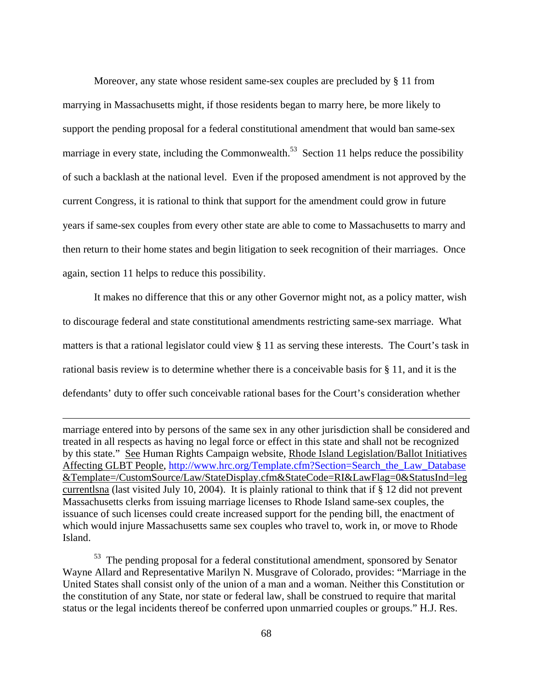<span id="page-67-0"></span> Moreover, any state whose resident same-sex couples are precluded by § 11 from marrying in Massachusetts might, if those residents began to marry here, be more likely to support the pending proposal for a federal constitutional amendment that would ban same-sex marriage in every state, including the Commonwealth.<sup>53</sup> Section 11 helps reduce the possibility of such a backlash at the national level. Even if the proposed amendment is not approved by the current Congress, it is rational to think that support for the amendment could grow in future years if same-sex couples from every other state are able to come to Massachusetts to marry and then return to their home states and begin litigation to seek recognition of their marriages. Once again, section 11 helps to reduce this possibility.

 It makes no difference that this or any other Governor might not, as a policy matter, wish to discourage federal and state constitutional amendments restricting same-sex marriage. What matters is that a rational legislator could view § 11 as serving these interests. The Court's task in rational basis review is to determine whether there is a conceivable basis for § 11, and it is the defendants' duty to offer such conceivable rational bases for the Court's consideration whether

marriage entered into by persons of the same sex in any other jurisdiction shall be considered and treated in all respects as having no legal force or effect in this state and shall not be recognized by this state." See Human Rights Campaign website, Rhode Island Legislation/Ballot Initiatives Affecting GLBT People, [http://www.hrc.org/Template.cfm?Section=Search\\_the\\_Law\\_Database](http://www.hrc.org/Template.cfm?Section=Search_the_Law_Database) &Template=/CustomSource/Law/StateDisplay.cfm&StateCode=RI&LawFlag=0&StatusInd=leg currentlsna (last visited July 10, 2004). It is plainly rational to think that if § 12 did not prevent Massachusetts clerks from issuing marriage licenses to Rhode Island same-sex couples, the issuance of such licenses could create increased support for the pending bill, the enactment of which would injure Massachusetts same sex couples who travel to, work in, or move to Rhode Island.

 $\overline{a}$ 

53 The pending proposal for a federal constitutional amendment, sponsored by Senator Wayne Allard and Representative Marilyn N. Musgrave of Colorado, provides: "Marriage in the United States shall consist only of the union of a man and a woman. Neither this Constitution or the constitution of any State, nor state or federal law, shall be construed to require that marital status or the legal incidents thereof be conferred upon unmarried couples or groups." H.J. Res.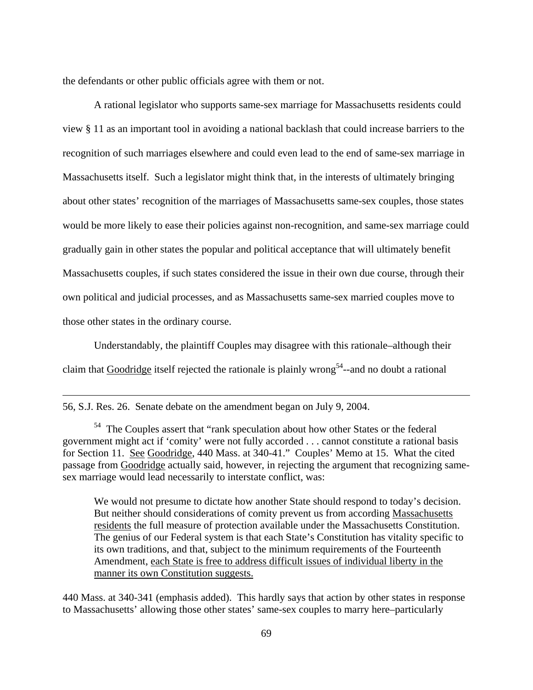<span id="page-68-0"></span>the defendants or other public officials agree with them or not.

 A rational legislator who supports same-sex marriage for Massachusetts residents could view § 11 as an important tool in avoiding a national backlash that could increase barriers to the recognition of such marriages elsewhere and could even lead to the end of same-sex marriage in Massachusetts itself. Such a legislator might think that, in the interests of ultimately bringing about other states' recognition of the marriages of Massachusetts same-sex couples, those states would be more likely to ease their policies against non-recognition, and same-sex marriage could gradually gain in other states the popular and political acceptance that will ultimately benefit Massachusetts couples, if such states considered the issue in their own due course, through their own political and judicial processes, and as Massachusetts same-sex married couples move to those other states in the ordinary course.

 Understandably, the plaintiff Couples may disagree with this rationale–although their claim that Goodridge itself rejected the rationale is plainly wrong<sup>54</sup>--and no doubt a rational

56, S.J. Res. 26. Senate debate on the amendment began on July 9, 2004.

1

We would not presume to dictate how another State should respond to today's decision. But neither should considerations of comity prevent us from according Massachusetts residents the full measure of protection available under the Massachusetts Constitution. The genius of our Federal system is that each State's Constitution has vitality specific to its own traditions, and that, subject to the minimum requirements of the Fourteenth Amendment, each State is free to address difficult issues of individual liberty in the manner its own Constitution suggests.

440 Mass. at 340-341 (emphasis added). This hardly says that action by other states in response to Massachusetts' allowing those other states' same-sex couples to marry here–particularly

<sup>&</sup>lt;sup>54</sup> The Couples assert that "rank speculation about how other States or the federal government might act if 'comity' were not fully accorded . . . cannot constitute a rational basis for Section 11. See Goodridge, 440 Mass. at 340-41." Couples' Memo at 15. What the cited passage from Goodridge actually said, however, in rejecting the argument that recognizing samesex marriage would lead necessarily to interstate conflict, was: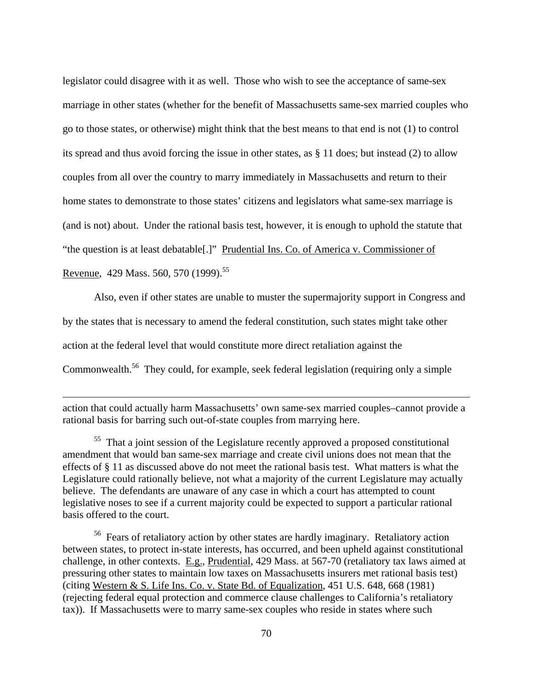<span id="page-69-1"></span>legislator could disagree with it as well. Those who wish to see the acceptance of same-sex marriage in other states (whether for the benefit of Massachusetts same-sex married couples who go to those states, or otherwise) might think that the best means to that end is not (1) to control its spread and thus avoid forcing the issue in other states, as § 11 does; but instead (2) to allow couples from all over the country to marry immediately in Massachusetts and return to their home states to demonstrate to those states' citizens and legislators what same-sex marriage is (and is not) about. Under the rational basis test, however, it is enough to uphold the statute that "the question is at least debatable[.]" Prudential Ins. Co. of America v. Commissioner of Revenue, 429 Mass. 560, 570 (1999).<sup>[55](#page-69-0)</sup>

 Also, even if other states are unable to muster the supermajority support in Congress and by the states that is necessary to amend the federal constitution, such states might take other action at the federal level that would constitute more direct retaliation against the Commonwealth.<sup>56</sup> They could, for example, seek federal legislation (requiring only a simple

action that could actually harm Massachusetts' own same-sex married couples–cannot provide a rational basis for barring such out-of-state couples from marrying here.

 $\overline{a}$ 

<span id="page-69-0"></span><sup>55</sup> That a joint session of the Legislature recently approved a proposed constitutional amendment that would ban same-sex marriage and create civil unions does not mean that the effects of § 11 as discussed above do not meet the rational basis test. What matters is what the Legislature could rationally believe, not what a majority of the current Legislature may actually believe. The defendants are unaware of any case in which a court has attempted to count legislative noses to see if a current majority could be expected to support a particular rational basis offered to the court.

<sup>56</sup> Fears of retaliatory action by other states are hardly imaginary. Retaliatory action between states, to protect in-state interests, has occurred, and been upheld against constitutional challenge, in other contexts. E.g., Prudential, 429 Mass. at 567-70 (retaliatory tax laws aimed at pressuring other states to maintain low taxes on Massachusetts insurers met rational basis test) (citing Western & S. Life Ins. Co. v. State Bd. of Equalization, 451 U.S. 648, 668 (1981) (rejecting federal equal protection and commerce clause challenges to California's retaliatory tax)). If Massachusetts were to marry same-sex couples who reside in states where such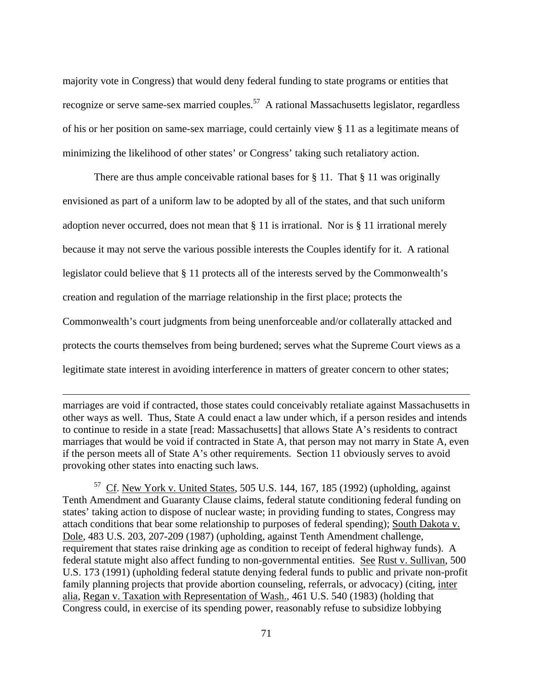<span id="page-70-0"></span>majority vote in Congress) that would deny federal funding to state programs or entities that recognize or serve same-sex married couples.<sup>57</sup> A rational Massachusetts legislator, regardless of his or her position on same-sex marriage, could certainly view § 11 as a legitimate means of minimizing the likelihood of other states' or Congress' taking such retaliatory action.

There are thus ample conceivable rational bases for  $\S 11$ . That  $\S 11$  was originally envisioned as part of a uniform law to be adopted by all of the states, and that such uniform adoption never occurred, does not mean that § 11 is irrational. Nor is § 11 irrational merely because it may not serve the various possible interests the Couples identify for it. A rational legislator could believe that § 11 protects all of the interests served by the Commonwealth's creation and regulation of the marriage relationship in the first place; protects the Commonwealth's court judgments from being unenforceable and/or collaterally attacked and protects the courts themselves from being burdened; serves what the Supreme Court views as a legitimate state interest in avoiding interference in matters of greater concern to other states;

marriages are void if contracted, those states could conceivably retaliate against Massachusetts in other ways as well. Thus, State A could enact a law under which, if a person resides and intends to continue to reside in a state [read: Massachusetts] that allows State A's residents to contract marriages that would be void if contracted in State A, that person may not marry in State A, even if the person meets all of State A's other requirements. Section 11 obviously serves to avoid provoking other states into enacting such laws.

 $\overline{a}$ 

 $57$  Cf. New York v. United States, 505 U.S. 144, 167, 185 (1992) (upholding, against Tenth Amendment and Guaranty Clause claims, federal statute conditioning federal funding on states' taking action to dispose of nuclear waste; in providing funding to states, Congress may attach conditions that bear some relationship to purposes of federal spending); South Dakota v. Dole, 483 U.S. 203, 207-209 (1987) (upholding, against Tenth Amendment challenge, requirement that states raise drinking age as condition to receipt of federal highway funds). A federal statute might also affect funding to non-governmental entities. See Rust v. Sullivan, 500 U.S. 173 (1991) (upholding federal statute denying federal funds to public and private non-profit family planning projects that provide abortion counseling, referrals, or advocacy) (citing, inter alia, Regan v. Taxation with Representation of Wash., 461 U.S. 540 (1983) (holding that Congress could, in exercise of its spending power, reasonably refuse to subsidize lobbying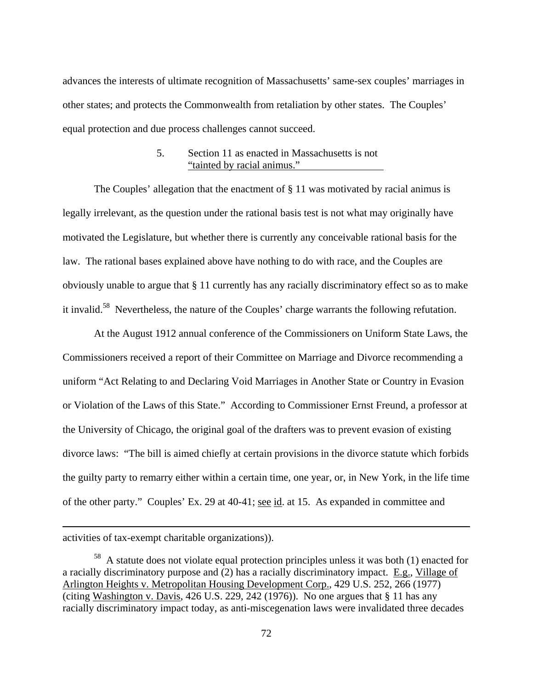<span id="page-71-0"></span>advances the interests of ultimate recognition of Massachusetts' same-sex couples' marriages in other states; and protects the Commonwealth from retaliation by other states. The Couples' equal protection and due process challenges cannot succeed.

### 5. Section 11 as enacted in Massachusetts is not "tainted by racial animus."

 The Couples' allegation that the enactment of § 11 was motivated by racial animus is legally irrelevant, as the question under the rational basis test is not what may originally have motivated the Legislature, but whether there is currently any conceivable rational basis for the law. The rational bases explained above have nothing to do with race, and the Couples are obviously unable to argue that § 11 currently has any racially discriminatory effect so as to make it invalid[.58](#page-71-0) Nevertheless, the nature of the Couples' charge warrants the following refutation.

 At the August 1912 annual conference of the Commissioners on Uniform State Laws, the Commissioners received a report of their Committee on Marriage and Divorce recommending a uniform "Act Relating to and Declaring Void Marriages in Another State or Country in Evasion or Violation of the Laws of this State." According to Commissioner Ernst Freund, a professor at the University of Chicago, the original goal of the drafters was to prevent evasion of existing divorce laws: "The bill is aimed chiefly at certain provisions in the divorce statute which forbids the guilty party to remarry either within a certain time, one year, or, in New York, in the life time of the other party." Couples' Ex. 29 at 40-41; see id. at 15. As expanded in committee and

activities of tax-exempt charitable organizations)).

<sup>&</sup>lt;sup>58</sup> A statute does not violate equal protection principles unless it was both (1) enacted for a racially discriminatory purpose and (2) has a racially discriminatory impact. E.g., Village of Arlington Heights v. Metropolitan Housing Development Corp., 429 U.S. 252, 266 (1977) (citing Washington v. Davis,  $426$  U.S.  $229$ ,  $242$  (1976)). No one argues that § 11 has any racially discriminatory impact today, as anti-miscegenation laws were invalidated three decades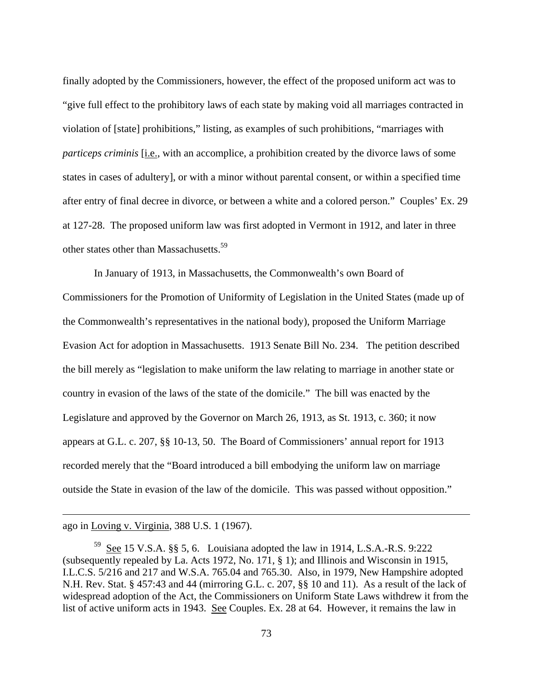<span id="page-72-0"></span>finally adopted by the Commissioners, however, the effect of the proposed uniform act was to "give full effect to the prohibitory laws of each state by making void all marriages contracted in violation of [state] prohibitions," listing, as examples of such prohibitions, "marriages with *particeps criminis* [*i.e.,* with an accomplice, a prohibition created by the divorce laws of some states in cases of adultery], or with a minor without parental consent, or within a specified time after entry of final decree in divorce, or between a white and a colored person." Couples' Ex. 29 at 127-28. The proposed uniform law was first adopted in Vermont in 1912, and later in three other states other than Massachusetts.<sup>59</sup>

 In January of 1913, in Massachusetts, the Commonwealth's own Board of Commissioners for the Promotion of Uniformity of Legislation in the United States (made up of the Commonwealth's representatives in the national body), proposed the Uniform Marriage Evasion Act for adoption in Massachusetts. 1913 Senate Bill No. 234. The petition described the bill merely as "legislation to make uniform the law relating to marriage in another state or country in evasion of the laws of the state of the domicile." The bill was enacted by the Legislature and approved by the Governor on March 26, 1913, as St. 1913, c. 360; it now appears at G.L. c. 207, §§ 10-13, 50. The Board of Commissioners' annual report for 1913 recorded merely that the "Board introduced a bill embodying the uniform law on marriage outside the State in evasion of the law of the domicile. This was passed without opposition."

ago in Loving v. Virginia, 388 U.S. 1 (1967).

 $59$  See 15 V.S.A. §§ 5, 6. Louisiana adopted the law in 1914, L.S.A.-R.S. 9:222 (subsequently repealed by La. Acts 1972, No. 171, § 1); and Illinois and Wisconsin in 1915, I.L.C.S. 5/216 and 217 and W.S.A. 765.04 and 765.30. Also, in 1979, New Hampshire adopted N.H. Rev. Stat. § 457:43 and 44 (mirroring G.L. c. 207, §§ 10 and 11). As a result of the lack of widespread adoption of the Act, the Commissioners on Uniform State Laws withdrew it from the list of active uniform acts in 1943. See Couples. Ex. 28 at 64. However, it remains the law in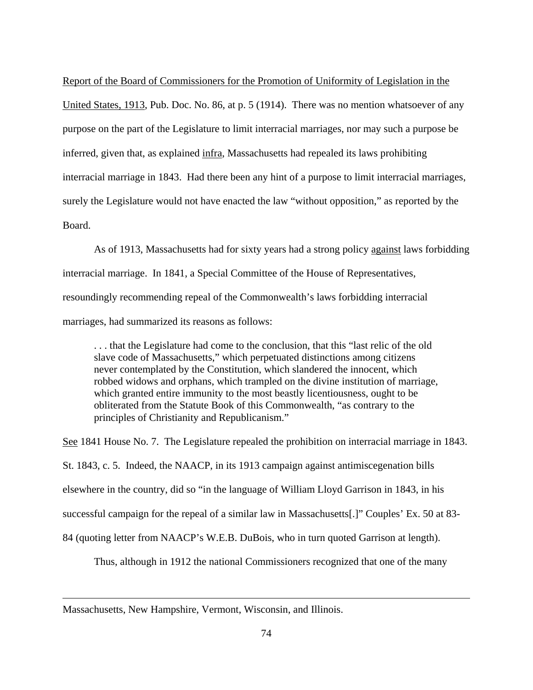Report of the Board of Commissioners for the Promotion of Uniformity of Legislation in the United States, 1913, Pub. Doc. No. 86, at p. 5 (1914). There was no mention whatsoever of any purpose on the part of the Legislature to limit interracial marriages, nor may such a purpose be inferred, given that, as explained infra, Massachusetts had repealed its laws prohibiting interracial marriage in 1843. Had there been any hint of a purpose to limit interracial marriages, surely the Legislature would not have enacted the law "without opposition," as reported by the Board.

 As of 1913, Massachusetts had for sixty years had a strong policy against laws forbidding interracial marriage. In 1841, a Special Committee of the House of Representatives, resoundingly recommending repeal of the Commonwealth's laws forbidding interracial marriages, had summarized its reasons as follows:

. . . that the Legislature had come to the conclusion, that this "last relic of the old slave code of Massachusetts," which perpetuated distinctions among citizens never contemplated by the Constitution, which slandered the innocent, which robbed widows and orphans, which trampled on the divine institution of marriage, which granted entire immunity to the most beastly licentiousness, ought to be obliterated from the Statute Book of this Commonwealth, "as contrary to the principles of Christianity and Republicanism."

See 1841 House No. 7. The Legislature repealed the prohibition on interracial marriage in 1843. St. 1843, c. 5. Indeed, the NAACP, in its 1913 campaign against antimiscegenation bills elsewhere in the country, did so "in the language of William Lloyd Garrison in 1843, in his successful campaign for the repeal of a similar law in Massachusetts[.]" Couples' Ex. 50 at 83- 84 (quoting letter from NAACP's W.E.B. DuBois, who in turn quoted Garrison at length).

Thus, although in 1912 the national Commissioners recognized that one of the many

Massachusetts, New Hampshire, Vermont, Wisconsin, and Illinois.

1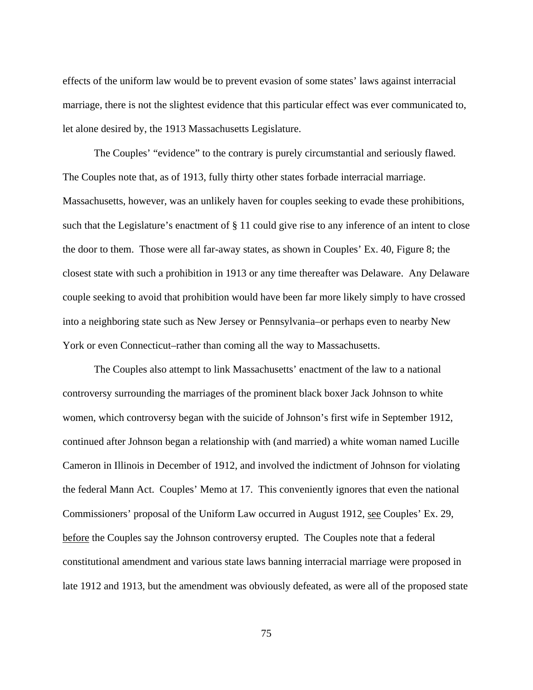effects of the uniform law would be to prevent evasion of some states' laws against interracial marriage, there is not the slightest evidence that this particular effect was ever communicated to, let alone desired by, the 1913 Massachusetts Legislature.

 The Couples' "evidence" to the contrary is purely circumstantial and seriously flawed. The Couples note that, as of 1913, fully thirty other states forbade interracial marriage. Massachusetts, however, was an unlikely haven for couples seeking to evade these prohibitions, such that the Legislature's enactment of § 11 could give rise to any inference of an intent to close the door to them. Those were all far-away states, as shown in Couples' Ex. 40, Figure 8; the closest state with such a prohibition in 1913 or any time thereafter was Delaware. Any Delaware couple seeking to avoid that prohibition would have been far more likely simply to have crossed into a neighboring state such as New Jersey or Pennsylvania–or perhaps even to nearby New York or even Connecticut–rather than coming all the way to Massachusetts.

 The Couples also attempt to link Massachusetts' enactment of the law to a national controversy surrounding the marriages of the prominent black boxer Jack Johnson to white women, which controversy began with the suicide of Johnson's first wife in September 1912, continued after Johnson began a relationship with (and married) a white woman named Lucille Cameron in Illinois in December of 1912, and involved the indictment of Johnson for violating the federal Mann Act. Couples' Memo at 17. This conveniently ignores that even the national Commissioners' proposal of the Uniform Law occurred in August 1912, see Couples' Ex. 29, before the Couples say the Johnson controversy erupted. The Couples note that a federal constitutional amendment and various state laws banning interracial marriage were proposed in late 1912 and 1913, but the amendment was obviously defeated, as were all of the proposed state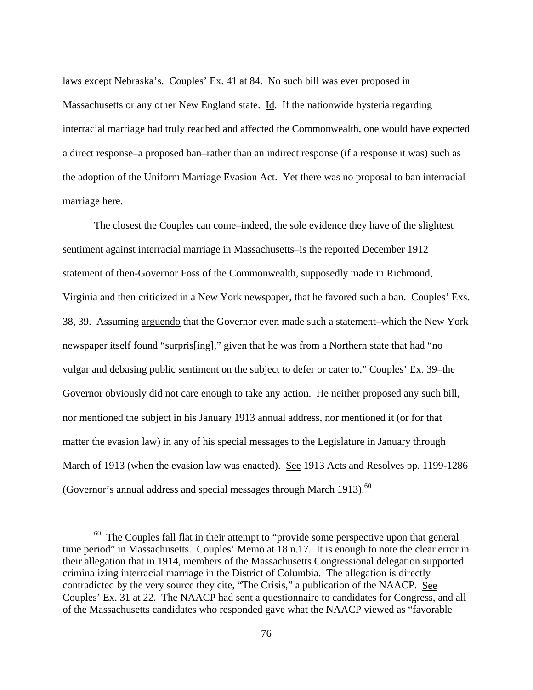<span id="page-75-0"></span>laws except Nebraska's. Couples' Ex. 41 at 84. No such bill was ever proposed in Massachusetts or any other New England state. Id. If the nationwide hysteria regarding interracial marriage had truly reached and affected the Commonwealth, one would have expected a direct response–a proposed ban–rather than an indirect response (if a response it was) such as the adoption of the Uniform Marriage Evasion Act. Yet there was no proposal to ban interracial marriage here.

 The closest the Couples can come–indeed, the sole evidence they have of the slightest sentiment against interracial marriage in Massachusetts–is the reported December 1912 statement of then-Governor Foss of the Commonwealth, supposedly made in Richmond, Virginia and then criticized in a New York newspaper, that he favored such a ban. Couples' Exs. 38, 39. Assuming arguendo that the Governor even made such a statement–which the New York newspaper itself found "surpris[ing]," given that he was from a Northern state that had "no vulgar and debasing public sentiment on the subject to defer or cater to," Couples' Ex. 39–the Governor obviously did not care enough to take any action. He neither proposed any such bill, nor mentioned the subject in his January 1913 annual address, nor mentioned it (or for that matter the evasion law) in any of his special messages to the Legislature in January through March of 1913 (when the evasion law was enacted). See 1913 Acts and Resolves pp. 1199-1286 (Governor's annual address and special messages through March 1913). $^{60}$  $^{60}$  $^{60}$ 

 $60$  The Couples fall flat in their attempt to "provide some perspective upon that general time period" in Massachusetts. Couples' Memo at 18 n.17. It is enough to note the clear error in their allegation that in 1914, members of the Massachusetts Congressional delegation supported criminalizing interracial marriage in the District of Columbia. The allegation is directly contradicted by the very source they cite, "The Crisis," a publication of the NAACP. See Couples' Ex. 31 at 22. The NAACP had sent a questionnaire to candidates for Congress, and all of the Massachusetts candidates who responded gave what the NAACP viewed as "favorable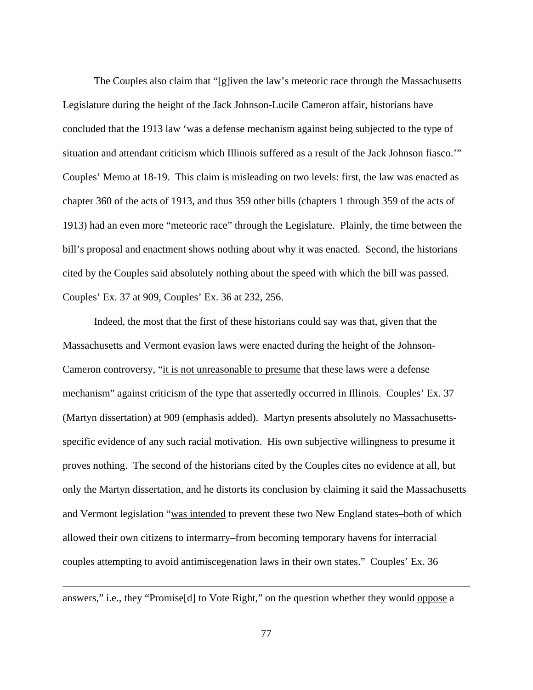The Couples also claim that "[g]iven the law's meteoric race through the Massachusetts Legislature during the height of the Jack Johnson-Lucile Cameron affair, historians have concluded that the 1913 law 'was a defense mechanism against being subjected to the type of situation and attendant criticism which Illinois suffered as a result of the Jack Johnson fiasco.'" Couples' Memo at 18-19. This claim is misleading on two levels: first, the law was enacted as chapter 360 of the acts of 1913, and thus 359 other bills (chapters 1 through 359 of the acts of 1913) had an even more "meteoric race" through the Legislature. Plainly, the time between the bill's proposal and enactment shows nothing about why it was enacted. Second, the historians cited by the Couples said absolutely nothing about the speed with which the bill was passed. Couples' Ex. 37 at 909, Couples' Ex. 36 at 232, 256.

 Indeed, the most that the first of these historians could say was that, given that the Massachusetts and Vermont evasion laws were enacted during the height of the Johnson-Cameron controversy, "it is not unreasonable to presume that these laws were a defense mechanism" against criticism of the type that assertedly occurred in Illinois. Couples' Ex. 37 (Martyn dissertation) at 909 (emphasis added). Martyn presents absolutely no Massachusettsspecific evidence of any such racial motivation. His own subjective willingness to presume it proves nothing. The second of the historians cited by the Couples cites no evidence at all, but only the Martyn dissertation, and he distorts its conclusion by claiming it said the Massachusetts and Vermont legislation "was intended to prevent these two New England states–both of which allowed their own citizens to intermarry–from becoming temporary havens for interracial couples attempting to avoid antimiscegenation laws in their own states." Couples' Ex. 36

answers," i.e., they "Promise[d] to Vote Right," on the question whether they would oppose a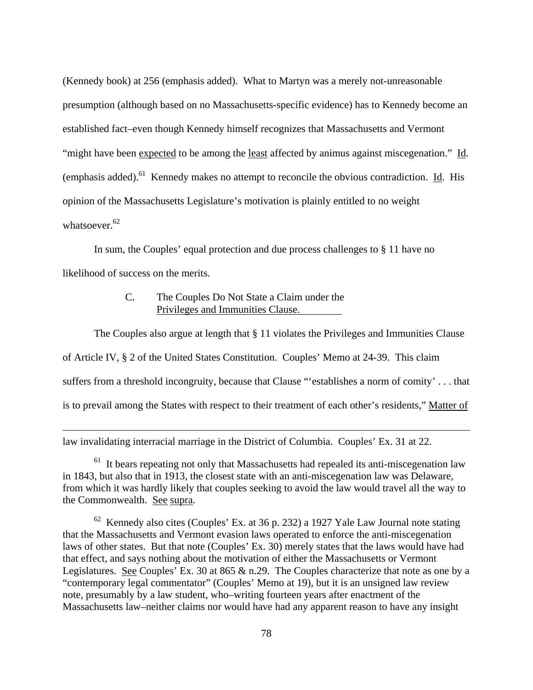<span id="page-77-1"></span>(Kennedy book) at 256 (emphasis added). What to Martyn was a merely not-unreasonable presumption (although based on no Massachusetts-specific evidence) has to Kennedy become an established fact–even though Kennedy himself recognizes that Massachusetts and Vermont "might have been expected to be among the least affected by animus against miscegenation." Id. (emphasis added).<sup>61</sup> Kennedy makes no attempt to reconcile the obvious contradiction. Id. His opinion of the Massachusetts Legislature's motivation is plainly entitled to no weight whatsoever. $62$ 

 In sum, the Couples' equal protection and due process challenges to § 11 have no likelihood of success on the merits.

## C. The Couples Do Not State a Claim under the Privileges and Immunities Clause.

 The Couples also argue at length that § 11 violates the Privileges and Immunities Clause of Article IV, § 2 of the United States Constitution. Couples' Memo at 24-39. This claim suffers from a threshold incongruity, because that Clause "'establishes a norm of comity' . . . that is to prevail among the States with respect to their treatment of each other's residents," Matter of

law invalidating interracial marriage in the District of Columbia. Couples' Ex. 31 at 22.

 $\overline{a}$ 

<span id="page-77-0"></span> $61$  It bears repeating not only that Massachusetts had repealed its anti-miscegenation law in 1843, but also that in 1913, the closest state with an anti-miscegenation law was Delaware, from which it was hardly likely that couples seeking to avoid the law would travel all the way to the Commonwealth. See supra.

 $62$  Kennedy also cites (Couples' Ex. at 36 p. 232) a 1927 Yale Law Journal note stating that the Massachusetts and Vermont evasion laws operated to enforce the anti-miscegenation laws of other states. But that note (Couples' Ex. 30) merely states that the laws would have had that effect, and says nothing about the motivation of either the Massachusetts or Vermont Legislatures. See Couples' Ex. 30 at 865 & n.29. The Couples characterize that note as one by a "contemporary legal commentator" (Couples' Memo at 19), but it is an unsigned law review note, presumably by a law student, who–writing fourteen years after enactment of the Massachusetts law–neither claims nor would have had any apparent reason to have any insight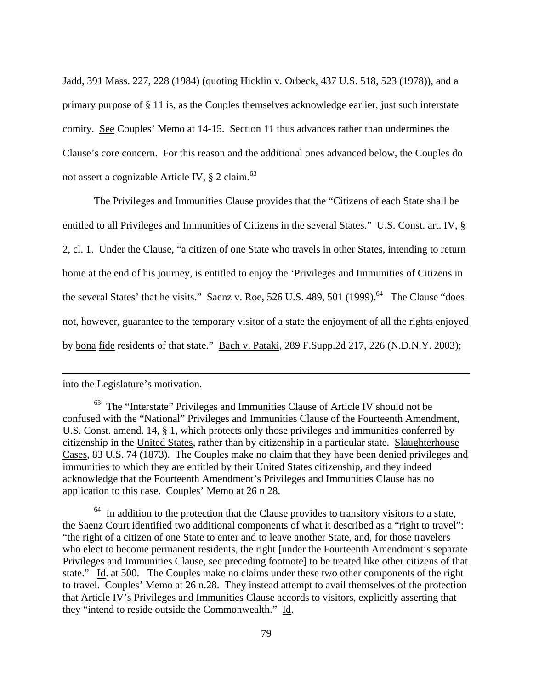Jadd, 391 Mass. 227, 228 (1984) (quoting Hicklin v. Orbeck, 437 U.S. 518, 523 (1978)), and a primary purpose of § 11 is, as the Couples themselves acknowledge earlier, just such interstate comity. See Couples' Memo at 14-15. Section 11 thus advances rather than undermines the Clause's core concern. For this reason and the additional ones advanced below, the Couples do not assert a cognizable Article IV,  $\S$  2 claim.<sup>[63](#page-78-0)</sup>

 The Privileges and Immunities Clause provides that the "Citizens of each State shall be entitled to all Privileges and Immunities of Citizens in the several States." U.S. Const. art. IV, § 2, cl. 1. Under the Clause, "a citizen of one State who travels in other States, intending to return home at the end of his journey, is entitled to enjoy the 'Privileges and Immunities of Citizens in the several States' that he visits." Saenz v. Roe, 526 U.S. 489, 501 (1999). $<sup>64</sup>$  The Clause "does</sup> not, however, guarantee to the temporary visitor of a state the enjoyment of all the rights enjoyed by bona fide residents of that state." Bach v. Pataki, 289 F.Supp.2d 217, 226 (N.D.N.Y. 2003);

## into the Legislature's motivation.

 $\overline{a}$ 

<span id="page-78-1"></span> $64$  In addition to the protection that the Clause provides to transitory visitors to a state, the Saenz Court identified two additional components of what it described as a "right to travel": "the right of a citizen of one State to enter and to leave another State, and, for those travelers who elect to become permanent residents, the right [under the Fourteenth Amendment's separate Privileges and Immunities Clause, see preceding footnote] to be treated like other citizens of that state." Id. at 500. The Couples make no claims under these two other components of the right to travel. Couples' Memo at 26 n.28. They instead attempt to avail themselves of the protection that Article IV's Privileges and Immunities Clause accords to visitors, explicitly asserting that they "intend to reside outside the Commonwealth." Id.

<span id="page-78-0"></span> $63$  The "Interstate" Privileges and Immunities Clause of Article IV should not be confused with the "National" Privileges and Immunities Clause of the Fourteenth Amendment, U.S. Const. amend. 14, § 1, which protects only those privileges and immunities conferred by citizenship in the United States, rather than by citizenship in a particular state. Slaughterhouse Cases, 83 U.S. 74 (1873). The Couples make no claim that they have been denied privileges and immunities to which they are entitled by their United States citizenship, and they indeed acknowledge that the Fourteenth Amendment's Privileges and Immunities Clause has no application to this case. Couples' Memo at 26 n 28.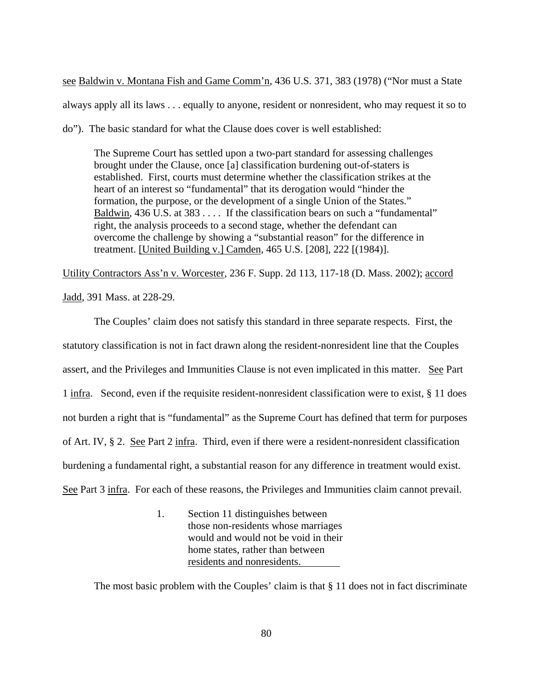see Baldwin v. Montana Fish and Game Comm'n, 436 U.S. 371, 383 (1978) ("Nor must a State always apply all its laws . . . equally to anyone, resident or nonresident, who may request it so to do"). The basic standard for what the Clause does cover is well established:

The Supreme Court has settled upon a two-part standard for assessing challenges brought under the Clause, once [a] classification burdening out-of-staters is established. First, courts must determine whether the classification strikes at the heart of an interest so "fundamental" that its derogation would "hinder the formation, the purpose, or the development of a single Union of the States." Baldwin, 436 U.S. at 383 . . . . If the classification bears on such a "fundamental" right, the analysis proceeds to a second stage, whether the defendant can overcome the challenge by showing a "substantial reason" for the difference in treatment. [United Building v.] Camden, 465 U.S. [208], 222 [(1984)].

Utility Contractors Ass'n v. Worcester, 236 F. Supp. 2d 113, 117-18 (D. Mass. 2002); accord Jadd, 391 Mass. at 228-29.

 The Couples' claim does not satisfy this standard in three separate respects. First, the statutory classification is not in fact drawn along the resident-nonresident line that the Couples assert, and the Privileges and Immunities Clause is not even implicated in this matter. See Part 1 infra. Second, even if the requisite resident-nonresident classification were to exist, § 11 does not burden a right that is "fundamental" as the Supreme Court has defined that term for purposes of Art. IV, § 2. See Part 2 infra. Third, even if there were a resident-nonresident classification burdening a fundamental right, a substantial reason for any difference in treatment would exist. See Part 3 infra. For each of these reasons, the Privileges and Immunities claim cannot prevail.

> 1. Section 11 distinguishes between those non-residents whose marriages would and would not be void in their home states, rather than between residents and nonresidents.

The most basic problem with the Couples' claim is that § 11 does not in fact discriminate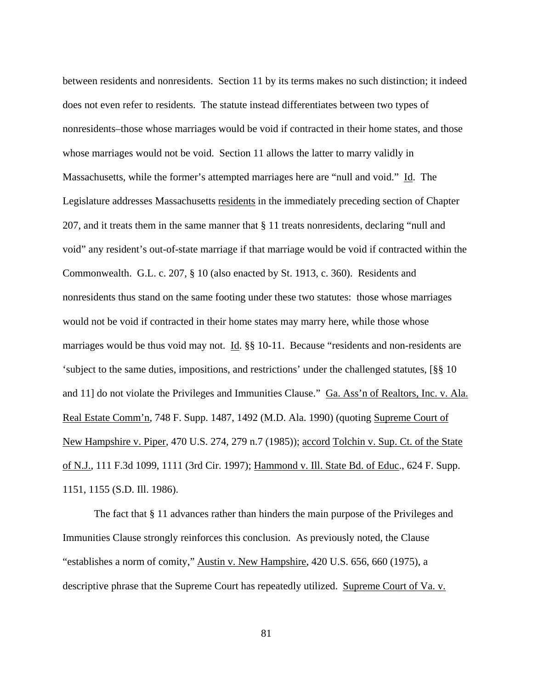between residents and nonresidents. Section 11 by its terms makes no such distinction; it indeed does not even refer to residents. The statute instead differentiates between two types of nonresidents–those whose marriages would be void if contracted in their home states, and those whose marriages would not be void. Section 11 allows the latter to marry validly in Massachusetts, while the former's attempted marriages here are "null and void." Id. The Legislature addresses Massachusetts residents in the immediately preceding section of Chapter 207, and it treats them in the same manner that § 11 treats nonresidents, declaring "null and void" any resident's out-of-state marriage if that marriage would be void if contracted within the Commonwealth. G.L. c. 207, § 10 (also enacted by St. 1913, c. 360). Residents and nonresidents thus stand on the same footing under these two statutes: those whose marriages would not be void if contracted in their home states may marry here, while those whose marriages would be thus void may not. Id. §§ 10-11. Because "residents and non-residents are 'subject to the same duties, impositions, and restrictions' under the challenged statutes, [§§ 10 and 11] do not violate the Privileges and Immunities Clause." Ga. Ass'n of Realtors, Inc. v. Ala. Real Estate Comm'n, 748 F. Supp. 1487, 1492 (M.D. Ala. 1990) (quoting Supreme Court of New Hampshire v. Piper, 470 U.S. 274, 279 n.7 (1985)); accord Tolchin v. Sup. Ct. of the State of N.J., 111 F.3d 1099, 1111 (3rd Cir. 1997); Hammond v. Ill. State Bd. of Educ., 624 F. Supp. 1151, 1155 (S.D. Ill. 1986).

 The fact that § 11 advances rather than hinders the main purpose of the Privileges and Immunities Clause strongly reinforces this conclusion. As previously noted, the Clause "establishes a norm of comity," Austin v. New Hampshire, 420 U.S. 656, 660 (1975), a descriptive phrase that the Supreme Court has repeatedly utilized. Supreme Court of Va. v.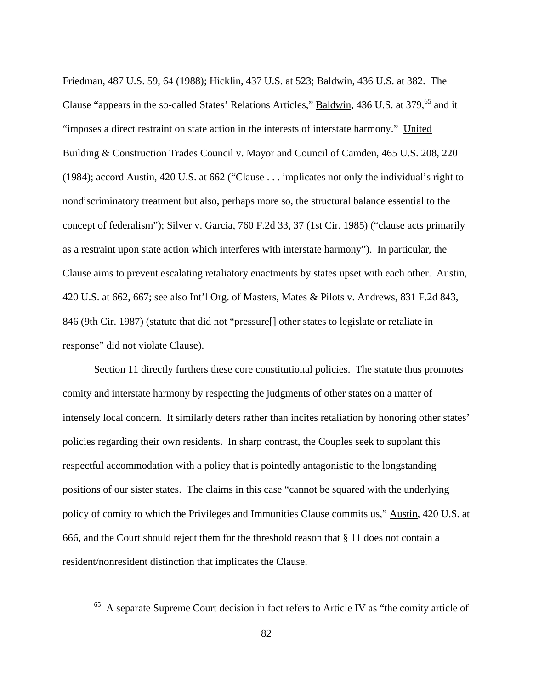<span id="page-81-0"></span>Friedman, 487 U.S. 59, 64 (1988); Hicklin, 437 U.S. at 523; Baldwin, 436 U.S. at 382. The Clause "appears in the so-called States' Relations Articles," Baldwin, 436 U.S. at 379.<sup>65</sup> and it "imposes a direct restraint on state action in the interests of interstate harmony." United Building & Construction Trades Council v. Mayor and Council of Camden, 465 U.S. 208, 220 (1984); accord Austin, 420 U.S. at 662 ("Clause . . . implicates not only the individual's right to nondiscriminatory treatment but also, perhaps more so, the structural balance essential to the concept of federalism"); Silver v. Garcia, 760 F.2d 33, 37 (1st Cir. 1985) ("clause acts primarily as a restraint upon state action which interferes with interstate harmony"). In particular, the Clause aims to prevent escalating retaliatory enactments by states upset with each other. Austin, 420 U.S. at 662, 667; see also Int'l Org. of Masters, Mates & Pilots v. Andrews, 831 F.2d 843, 846 (9th Cir. 1987) (statute that did not "pressure[] other states to legislate or retaliate in response" did not violate Clause).

 Section 11 directly furthers these core constitutional policies. The statute thus promotes comity and interstate harmony by respecting the judgments of other states on a matter of intensely local concern. It similarly deters rather than incites retaliation by honoring other states' policies regarding their own residents. In sharp contrast, the Couples seek to supplant this respectful accommodation with a policy that is pointedly antagonistic to the longstanding positions of our sister states. The claims in this case "cannot be squared with the underlying policy of comity to which the Privileges and Immunities Clause commits us," Austin, 420 U.S. at 666, and the Court should reject them for the threshold reason that § 11 does not contain a resident/nonresident distinction that implicates the Clause.

<sup>65</sup> A separate Supreme Court decision in fact refers to Article IV as "the comity article of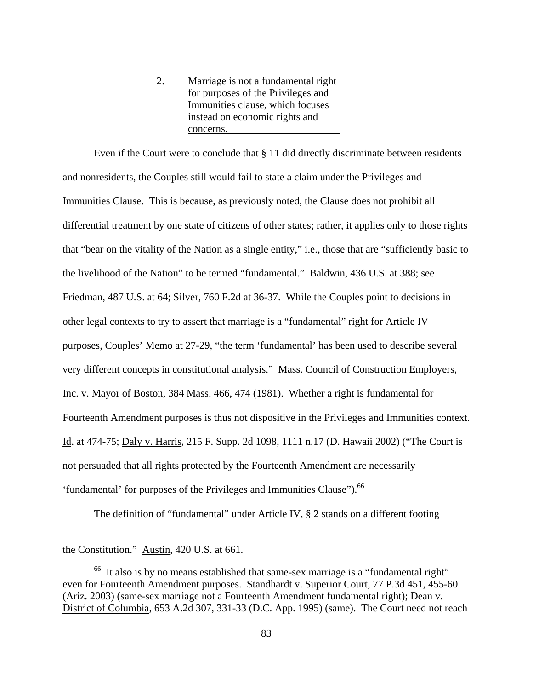2. Marriage is not a fundamental right for purposes of the Privileges and Immunities clause, which focuses instead on economic rights and concerns.

<span id="page-82-0"></span> Even if the Court were to conclude that § 11 did directly discriminate between residents and nonresidents, the Couples still would fail to state a claim under the Privileges and Immunities Clause. This is because, as previously noted, the Clause does not prohibit all differential treatment by one state of citizens of other states; rather, it applies only to those rights that "bear on the vitality of the Nation as a single entity," i.e., those that are "sufficiently basic to the livelihood of the Nation" to be termed "fundamental." Baldwin, 436 U.S. at 388; see Friedman, 487 U.S. at 64; Silver, 760 F.2d at 36-37. While the Couples point to decisions in other legal contexts to try to assert that marriage is a "fundamental" right for Article IV purposes, Couples' Memo at 27-29, "the term 'fundamental' has been used to describe several very different concepts in constitutional analysis." Mass. Council of Construction Employers, Inc. v. Mayor of Boston, 384 Mass. 466, 474 (1981). Whether a right is fundamental for Fourteenth Amendment purposes is thus not dispositive in the Privileges and Immunities context. Id. at 474-75; Daly v. Harris, 215 F. Supp. 2d 1098, 1111 n.17 (D. Hawaii 2002) ("The Court is not persuaded that all rights protected by the Fourteenth Amendment are necessarily 'fundamental' for purposes of the Privileges and Immunities Clause").<sup>[66](#page-82-0)</sup>

The definition of "fundamental" under Article IV, § 2 stands on a different footing

the Constitution." Austin, 420 U.S. at 661.

<sup>&</sup>lt;sup>66</sup> It also is by no means established that same-sex marriage is a "fundamental right" even for Fourteenth Amendment purposes. Standhardt v. Superior Court, 77 P.3d 451, 455-60 (Ariz. 2003) (same-sex marriage not a Fourteenth Amendment fundamental right); Dean v. District of Columbia, 653 A.2d 307, 331-33 (D.C. App. 1995) (same). The Court need not reach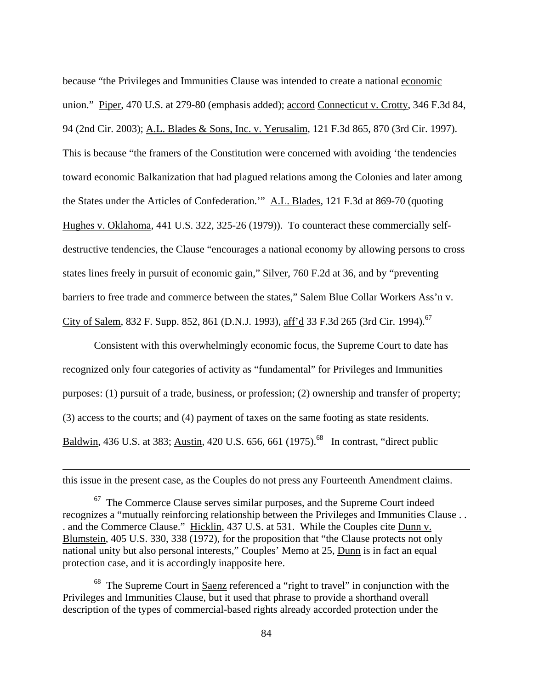<span id="page-83-1"></span>because "the Privileges and Immunities Clause was intended to create a national economic union." Piper, 470 U.S. at 279-80 (emphasis added); accord Connecticut v. Crotty, 346 F.3d 84, 94 (2nd Cir. 2003); A.L. Blades & Sons, Inc. v. Yerusalim, 121 F.3d 865, 870 (3rd Cir. 1997). This is because "the framers of the Constitution were concerned with avoiding 'the tendencies toward economic Balkanization that had plagued relations among the Colonies and later among the States under the Articles of Confederation.'" A.L. Blades, 121 F.3d at 869-70 (quoting Hughes v. Oklahoma, 441 U.S. 322, 325-26 (1979)). To counteract these commercially selfdestructive tendencies, the Clause "encourages a national economy by allowing persons to cross states lines freely in pursuit of economic gain," Silver, 760 F.2d at 36, and by "preventing barriers to free trade and commerce between the states," Salem Blue Collar Workers Ass'n v. City of Salem, 832 F. Supp. 852, 861 (D.N.J. 1993), aff'd 33 F.3d 265 (3rd Cir. 1994).<sup>67</sup>

 Consistent with this overwhelmingly economic focus, the Supreme Court to date has recognized only four categories of activity as "fundamental" for Privileges and Immunities purposes: (1) pursuit of a trade, business, or profession; (2) ownership and transfer of property; (3) access to the courts; and (4) payment of taxes on the same footing as state residents. Baldwin, 436 U.S. at 383; Austin, 420 U.S. 656, 661 (1975).<sup>68</sup> In contrast, "direct public

this issue in the present case, as the Couples do not press any Fourteenth Amendment claims.

<u>.</u>

<span id="page-83-0"></span> $67$  The Commerce Clause serves similar purposes, and the Supreme Court indeed recognizes a "mutually reinforcing relationship between the Privileges and Immunities Clause . . . and the Commerce Clause." Hicklin, 437 U.S. at 531. While the Couples cite Dunn v. Blumstein, 405 U.S. 330, 338 (1972), for the proposition that "the Clause protects not only national unity but also personal interests," Couples' Memo at 25, Dunn is in fact an equal protection case, and it is accordingly inapposite here.

<sup>&</sup>lt;sup>68</sup> The Supreme Court in **Saenz** referenced a "right to travel" in conjunction with the Privileges and Immunities Clause, but it used that phrase to provide a shorthand overall description of the types of commercial-based rights already accorded protection under the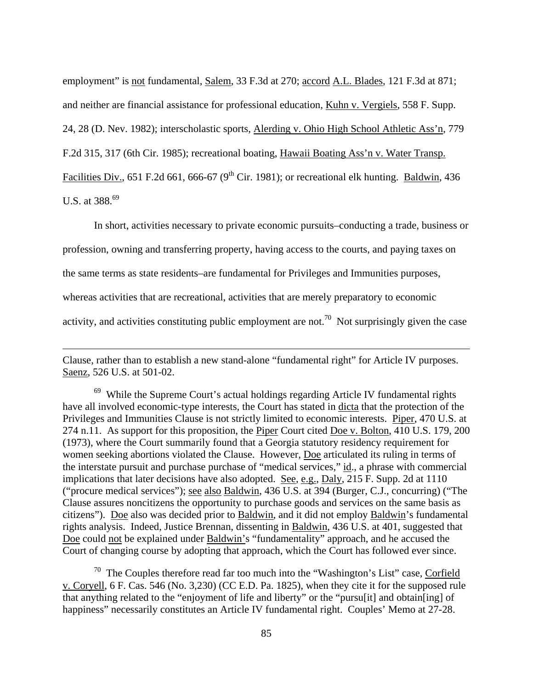<span id="page-84-1"></span>employment" is not fundamental, Salem, 33 F.3d at 270; accord A.L. Blades, 121 F.3d at 871;

and neither are financial assistance for professional education, Kuhn v. Vergiels, 558 F. Supp.

24, 28 (D. Nev. 1982); interscholastic sports, Alerding v. Ohio High School Athletic Ass'n, 779

F.2d 315, 317 (6th Cir. 1985); recreational boating, Hawaii Boating Ass'n v. Water Transp.

Facilities Div., 651 F.2d 661, 666-67 (9<sup>th</sup> Cir. 1981); or recreational elk hunting. Baldwin, 436

U.S. at 388.[69](#page-84-0) 

<u>.</u>

In short, activities necessary to private economic pursuits–conducting a trade, business or

profession, owning and transferring property, having access to the courts, and paying taxes on

the same terms as state residents–are fundamental for Privileges and Immunities purposes,

whereas activities that are recreational, activities that are merely preparatory to economic

activity, and activities constituting public employment are not.<sup>70</sup> Not surprisingly given the case

Clause, rather than to establish a new stand-alone "fundamental right" for Article IV purposes. Saenz, 526 U.S. at 501-02.

<span id="page-84-0"></span> $69$  While the Supreme Court's actual holdings regarding Article IV fundamental rights have all involved economic-type interests, the Court has stated in dicta that the protection of the Privileges and Immunities Clause is not strictly limited to economic interests. Piper, 470 U.S. at 274 n.11. As support for this proposition, the Piper Court cited Doe v. Bolton, 410 U.S. 179, 200 (1973), where the Court summarily found that a Georgia statutory residency requirement for women seeking abortions violated the Clause. However, Doe articulated its ruling in terms of the interstate pursuit and purchase purchase of "medical services," id., a phrase with commercial implications that later decisions have also adopted. See, e.g., Daly, 215 F. Supp. 2d at 1110 ("procure medical services"); see also Baldwin, 436 U.S. at 394 (Burger, C.J., concurring) ("The Clause assures noncitizens the opportunity to purchase goods and services on the same basis as citizens"). Doe also was decided prior to Baldwin, and it did not employ Baldwin's fundamental rights analysis. Indeed, Justice Brennan, dissenting in Baldwin, 436 U.S. at 401, suggested that Doe could not be explained under Baldwin's "fundamentality" approach, and he accused the Court of changing course by adopting that approach, which the Court has followed ever since.

 $70$  The Couples therefore read far too much into the "Washington's List" case, Corfield v. Coryell, 6 F. Cas. 546 (No. 3,230) (CC E.D. Pa. 1825), when they cite it for the supposed rule that anything related to the "enjoyment of life and liberty" or the "pursu[it] and obtain[ing] of happiness" necessarily constitutes an Article IV fundamental right. Couples' Memo at 27-28.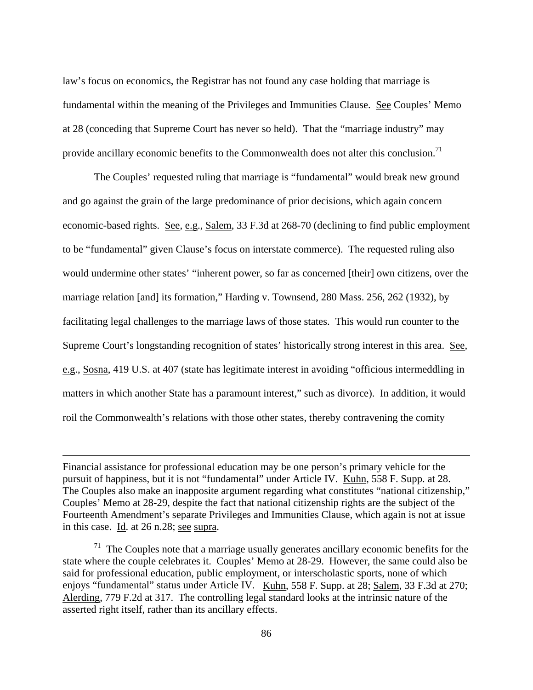law's focus on economics, the Registrar has not found any case holding that marriage is fundamental within the meaning of the Privileges and Immunities Clause. See Couples' Memo at 28 (conceding that Supreme Court has never so held). That the "marriage industry" may provide ancillary economic benefits to the Commonwealth does not alter this conclusion.<sup>71</sup>

 The Couples' requested ruling that marriage is "fundamental" would break new ground and go against the grain of the large predominance of prior decisions, which again concern economic-based rights. See, e.g., Salem, 33 F.3d at 268-70 (declining to find public employment to be "fundamental" given Clause's focus on interstate commerce). The requested ruling also would undermine other states' "inherent power, so far as concerned [their] own citizens, over the marriage relation [and] its formation," Harding v. Townsend, 280 Mass. 256, 262 (1932), by facilitating legal challenges to the marriage laws of those states. This would run counter to the Supreme Court's longstanding recognition of states' historically strong interest in this area. See, e.g., Sosna, 419 U.S. at 407 (state has legitimate interest in avoiding "officious intermeddling in matters in which another State has a paramount interest," such as divorce). In addition, it would roil the Commonwealth's relations with those other states, thereby contravening the comity

1

Financial assistance for professional education may be one person's primary vehicle for the pursuit of happiness, but it is not "fundamental" under Article IV. Kuhn, 558 F. Supp. at 28. The Couples also make an inapposite argument regarding what constitutes "national citizenship," Couples' Memo at 28-29, despite the fact that national citizenship rights are the subject of the Fourteenth Amendment's separate Privileges and Immunities Clause, which again is not at issue in this case. Id. at  $26$  n.28; see supra.

<span id="page-85-0"></span> $71$  The Couples note that a marriage usually generates ancillary economic benefits for the state where the couple celebrates it. Couples' Memo at 28-29. However, the same could also be said for professional education, public employment, or interscholastic sports, none of which enjoys "fundamental" status under Article IV. Kuhn, 558 F. Supp. at 28; Salem, 33 F.3d at 270; Alerding, 779 F.2d at 317. The controlling legal standard looks at the intrinsic nature of the asserted right itself, rather than its ancillary effects.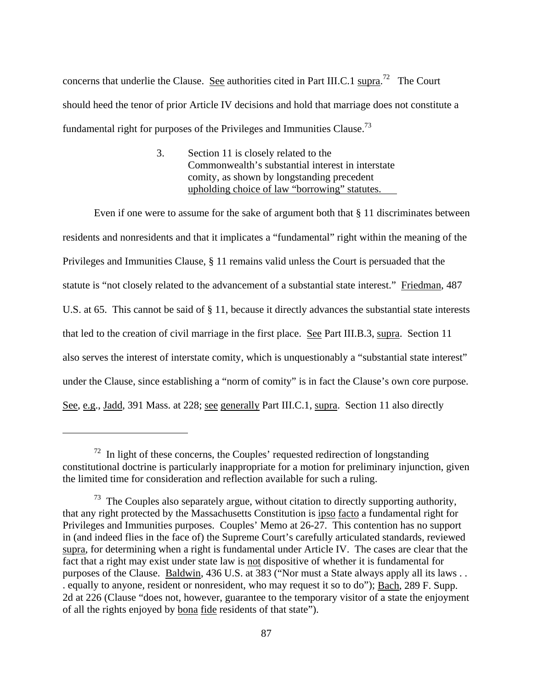concerns that underlie the Clause. See authorities cited in Part III.C.1  $\frac{\text{supra}}{2}$  The Court should heed the tenor of prior Article IV decisions and hold that marriage does not constitute a fundamental right for purposes of the Privileges and Immunities Clause.<sup>73</sup>

> 3. Section 11 is closely related to the Commonwealth's substantial interest in interstate comity, as shown by longstanding precedent upholding choice of law "borrowing" statutes.

 Even if one were to assume for the sake of argument both that § 11 discriminates between residents and nonresidents and that it implicates a "fundamental" right within the meaning of the Privileges and Immunities Clause, § 11 remains valid unless the Court is persuaded that the statute is "not closely related to the advancement of a substantial state interest." Friedman, 487 U.S. at 65. This cannot be said of § 11, because it directly advances the substantial state interests that led to the creation of civil marriage in the first place. See Part III.B.3, supra. Section 11 also serves the interest of interstate comity, which is unquestionably a "substantial state interest" under the Clause, since establishing a "norm of comity" is in fact the Clause's own core purpose. See, e.g., Jadd, 391 Mass. at 228; see generally Part III.C.1, supra. Section 11 also directly

<span id="page-86-0"></span> $72$  In light of these concerns, the Couples' requested redirection of longstanding constitutional doctrine is particularly inappropriate for a motion for preliminary injunction, given the limited time for consideration and reflection available for such a ruling.

<span id="page-86-1"></span> $73$  The Couples also separately argue, without citation to directly supporting authority, that any right protected by the Massachusetts Constitution is ipso facto a fundamental right for Privileges and Immunities purposes. Couples' Memo at 26-27. This contention has no support in (and indeed flies in the face of) the Supreme Court's carefully articulated standards, reviewed supra, for determining when a right is fundamental under Article IV. The cases are clear that the fact that a right may exist under state law is not dispositive of whether it is fundamental for purposes of the Clause. Baldwin, 436 U.S. at 383 ("Nor must a State always apply all its laws . . . equally to anyone, resident or nonresident, who may request it so to do"); Bach, 289 F. Supp. 2d at 226 (Clause "does not, however, guarantee to the temporary visitor of a state the enjoyment of all the rights enjoyed by bona fide residents of that state").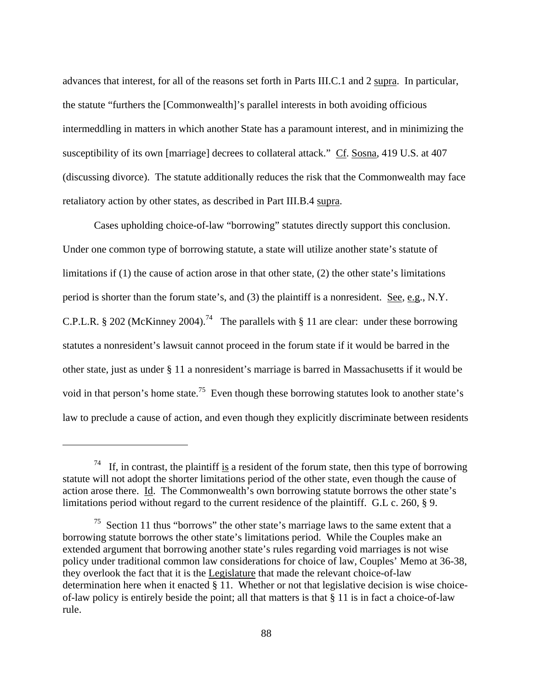advances that interest, for all of the reasons set forth in Parts III.C.1 and 2 supra. In particular, the statute "furthers the [Commonwealth]'s parallel interests in both avoiding officious intermeddling in matters in which another State has a paramount interest, and in minimizing the susceptibility of its own [marriage] decrees to collateral attack." Cf. Sosna, 419 U.S. at 407 (discussing divorce). The statute additionally reduces the risk that the Commonwealth may face retaliatory action by other states, as described in Part III.B.4 supra.

 Cases upholding choice-of-law "borrowing" statutes directly support this conclusion. Under one common type of borrowing statute, a state will utilize another state's statute of limitations if  $(1)$  the cause of action arose in that other state,  $(2)$  the other state's limitations period is shorter than the forum state's, and (3) the plaintiff is a nonresident. See, e.g., N.Y. C.P.L.R. § 202 (McKinney 2004).<sup>74</sup> The parallels with § 11 are clear: under these borrowing statutes a nonresident's lawsuit cannot proceed in the forum state if it would be barred in the other state, just as under § 11 a nonresident's marriage is barred in Massachusetts if it would be void in that person's home state.<sup>75</sup> Even though these borrowing statutes look to another state's law to preclude a cause of action, and even though they explicitly discriminate between residents

<span id="page-87-0"></span><sup>&</sup>lt;sup>74</sup> If, in contrast, the plaintiff is a resident of the forum state, then this type of borrowing statute will not adopt the shorter limitations period of the other state, even though the cause of action arose there. Id. The Commonwealth's own borrowing statute borrows the other state's limitations period without regard to the current residence of the plaintiff. G.L c. 260, § 9.

<span id="page-87-1"></span> $75$  Section 11 thus "borrows" the other state's marriage laws to the same extent that a borrowing statute borrows the other state's limitations period. While the Couples make an extended argument that borrowing another state's rules regarding void marriages is not wise policy under traditional common law considerations for choice of law, Couples' Memo at 36-38, they overlook the fact that it is the Legislature that made the relevant choice-of-law determination here when it enacted § 11. Whether or not that legislative decision is wise choiceof-law policy is entirely beside the point; all that matters is that § 11 is in fact a choice-of-law rule.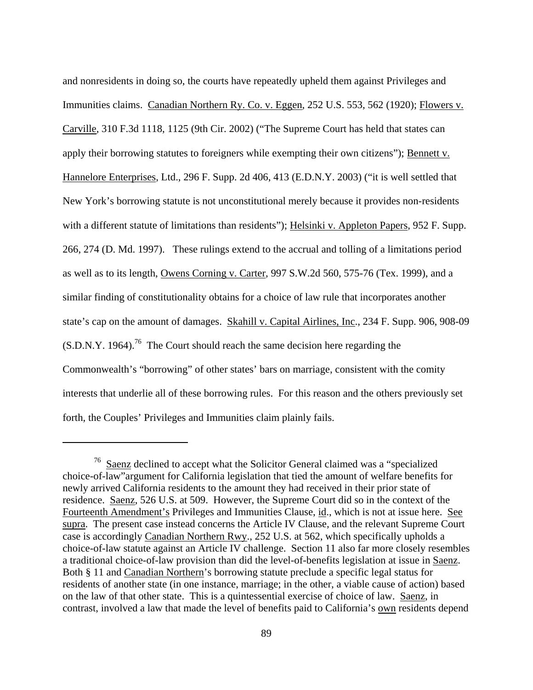<span id="page-88-0"></span>and nonresidents in doing so, the courts have repeatedly upheld them against Privileges and Immunities claims. Canadian Northern Ry. Co. v. Eggen, 252 U.S. 553, 562 (1920); Flowers v. Carville, 310 F.3d 1118, 1125 (9th Cir. 2002) ("The Supreme Court has held that states can apply their borrowing statutes to foreigners while exempting their own citizens"); Bennett v. Hannelore Enterprises, Ltd., 296 F. Supp. 2d 406, 413 (E.D.N.Y. 2003) ("it is well settled that New York's borrowing statute is not unconstitutional merely because it provides non-residents with a different statute of limitations than residents"); Helsinki v. Appleton Papers, 952 F. Supp. 266, 274 (D. Md. 1997). These rulings extend to the accrual and tolling of a limitations period as well as to its length, Owens Corning v. Carter, 997 S.W.2d 560, 575-76 (Tex. 1999), and a similar finding of constitutionality obtains for a choice of law rule that incorporates another state's cap on the amount of damages. Skahill v. Capital Airlines, Inc., 234 F. Supp. 906, 908-09  $(S.D.N.Y. 1964).$ <sup>76</sup> The Court should reach the same decision here regarding the Commonwealth's "borrowing" of other states' bars on marriage, consistent with the comity interests that underlie all of these borrowing rules. For this reason and the others previously set forth, the Couples' Privileges and Immunities claim plainly fails.

1

<sup>76</sup> Saenz declined to accept what the Solicitor General claimed was a "specialized choice-of-law"argument for California legislation that tied the amount of welfare benefits for newly arrived California residents to the amount they had received in their prior state of residence. Saenz, 526 U.S. at 509. However, the Supreme Court did so in the context of the Fourteenth Amendment's Privileges and Immunities Clause, id., which is not at issue here. See supra. The present case instead concerns the Article IV Clause, and the relevant Supreme Court case is accordingly Canadian Northern Rwy., 252 U.S. at 562, which specifically upholds a choice-of-law statute against an Article IV challenge. Section 11 also far more closely resembles a traditional choice-of-law provision than did the level-of-benefits legislation at issue in Saenz. Both § 11 and Canadian Northern's borrowing statute preclude a specific legal status for residents of another state (in one instance, marriage; in the other, a viable cause of action) based on the law of that other state. This is a quintessential exercise of choice of law. Saenz, in contrast, involved a law that made the level of benefits paid to California's own residents depend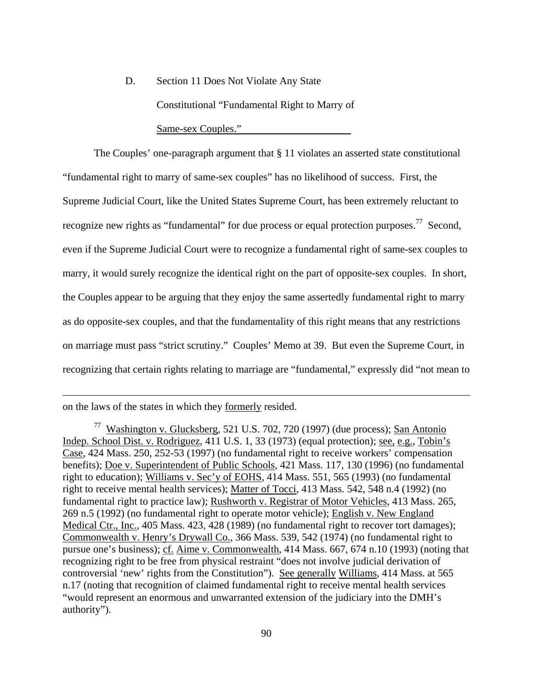D. Section 11 Does Not Violate Any State Constitutional "Fundamental Right to Marry of Same-sex Couples."

The Couples' one-paragraph argument that § 11 violates an asserted state constitutional "fundamental right to marry of same-sex couples" has no likelihood of success. First, the Supreme Judicial Court, like the United States Supreme Court, has been extremely reluctant to recognize new rights as "fundamental" for due process or equal protection purposes.<sup>77</sup> Second, even if the Supreme Judicial Court were to recognize a fundamental right of same-sex couples to marry, it would surely recognize the identical right on the part of opposite-sex couples. In short, the Couples appear to be arguing that they enjoy the same assertedly fundamental right to marry as do opposite-sex couples, and that the fundamentality of this right means that any restrictions on marriage must pass "strict scrutiny." Couples' Memo at 39. But even the Supreme Court, in recognizing that certain rights relating to marriage are "fundamental," expressly did "not mean to

on the laws of the states in which they formerly resided.

<span id="page-89-0"></span><sup>&</sup>lt;sup>77</sup> Washington v. Glucksberg, 521 U.S. 702, 720 (1997) (due process); <u>San Antonio</u> Indep. School Dist. v. Rodriguez, 411 U.S. 1, 33 (1973) (equal protection); see, e.g., Tobin's Case, 424 Mass. 250, 252-53 (1997) (no fundamental right to receive workers' compensation benefits); Doe v. Superintendent of Public Schools, 421 Mass. 117, 130 (1996) (no fundamental right to education); Williams v. Sec'y of EOHS, 414 Mass. 551, 565 (1993) (no fundamental right to receive mental health services); Matter of Tocci, 413 Mass. 542, 548 n.4 (1992) (no fundamental right to practice law); Rushworth v. Registrar of Motor Vehicles, 413 Mass. 265, 269 n.5 (1992) (no fundamental right to operate motor vehicle); English v. New England Medical Ctr., Inc., 405 Mass. 423, 428 (1989) (no fundamental right to recover tort damages); Commonwealth v. Henry's Drywall Co., 366 Mass. 539, 542 (1974) (no fundamental right to pursue one's business); cf. Aime v. Commonwealth, 414 Mass. 667, 674 n.10 (1993) (noting that recognizing right to be free from physical restraint "does not involve judicial derivation of controversial 'new' rights from the Constitution"). See generally Williams, 414 Mass. at 565 n.17 (noting that recognition of claimed fundamental right to receive mental health services "would represent an enormous and unwarranted extension of the judiciary into the DMH's authority").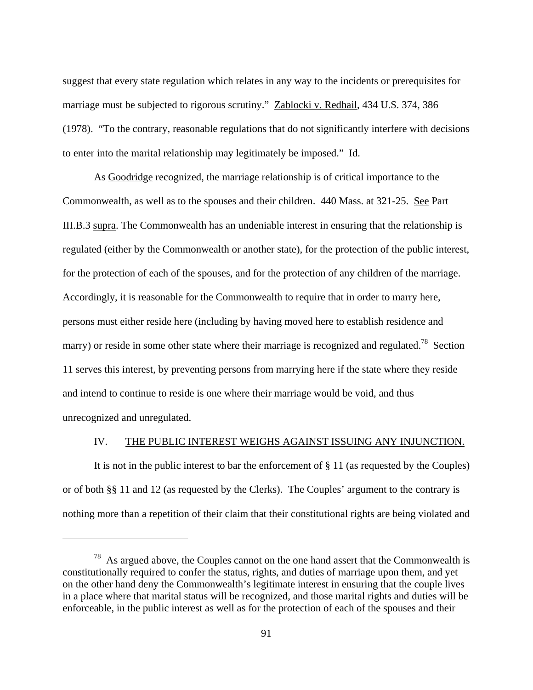suggest that every state regulation which relates in any way to the incidents or prerequisites for marriage must be subjected to rigorous scrutiny." Zablocki v. Redhail, 434 U.S. 374, 386 (1978). "To the contrary, reasonable regulations that do not significantly interfere with decisions to enter into the marital relationship may legitimately be imposed." Id.

 As Goodridge recognized, the marriage relationship is of critical importance to the Commonwealth, as well as to the spouses and their children. 440 Mass. at 321-25. See Part III.B.3 supra. The Commonwealth has an undeniable interest in ensuring that the relationship is regulated (either by the Commonwealth or another state), for the protection of the public interest, for the protection of each of the spouses, and for the protection of any children of the marriage. Accordingly, it is reasonable for the Commonwealth to require that in order to marry here, persons must either reside here (including by having moved here to establish residence and marry) or reside in some other state where their marriage is recognized and regulated.<sup>78</sup> Section 11 serves this interest, by preventing persons from marrying here if the state where they reside and intend to continue to reside is one where their marriage would be void, and thus unrecognized and unregulated.

## IV. THE PUBLIC INTEREST WEIGHS AGAINST ISSUING ANY INJUNCTION.

 It is not in the public interest to bar the enforcement of § 11 (as requested by the Couples) or of both §§ 11 and 12 (as requested by the Clerks). The Couples' argument to the contrary is nothing more than a repetition of their claim that their constitutional rights are being violated and

<span id="page-90-0"></span> $78$  As argued above, the Couples cannot on the one hand assert that the Commonwealth is constitutionally required to confer the status, rights, and duties of marriage upon them, and yet on the other hand deny the Commonwealth's legitimate interest in ensuring that the couple lives in a place where that marital status will be recognized, and those marital rights and duties will be enforceable, in the public interest as well as for the protection of each of the spouses and their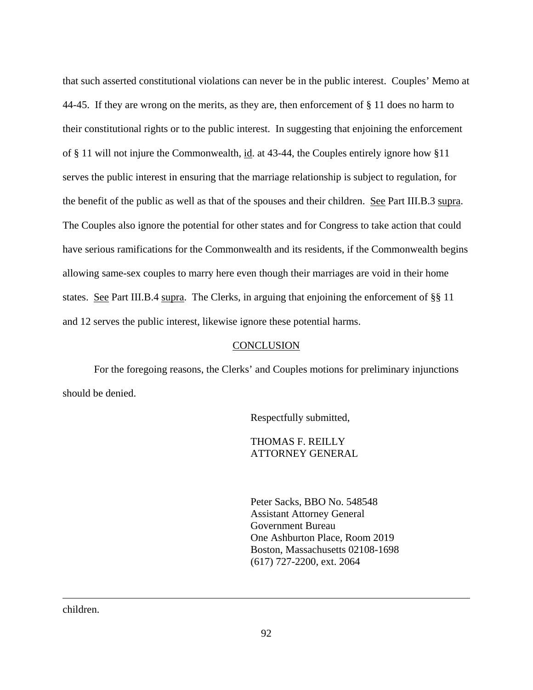that such asserted constitutional violations can never be in the public interest. Couples' Memo at 44-45. If they are wrong on the merits, as they are, then enforcement of § 11 does no harm to their constitutional rights or to the public interest. In suggesting that enjoining the enforcement of § 11 will not injure the Commonwealth, id. at 43-44, the Couples entirely ignore how §11 serves the public interest in ensuring that the marriage relationship is subject to regulation, for the benefit of the public as well as that of the spouses and their children. See Part III.B.3 supra. The Couples also ignore the potential for other states and for Congress to take action that could have serious ramifications for the Commonwealth and its residents, if the Commonwealth begins allowing same-sex couples to marry here even though their marriages are void in their home states. See Part III.B.4 supra. The Clerks, in arguing that enjoining the enforcement of §§ 11 and 12 serves the public interest, likewise ignore these potential harms.

## **CONCLUSION**

 For the foregoing reasons, the Clerks' and Couples motions for preliminary injunctions should be denied.

Respectfully submitted,

THOMAS F. REILLY ATTORNEY GENERAL

Peter Sacks, BBO No. 548548 Assistant Attorney General Government Bureau One Ashburton Place, Room 2019 Boston, Massachusetts 02108-1698 (617) 727-2200, ext. 2064

children.